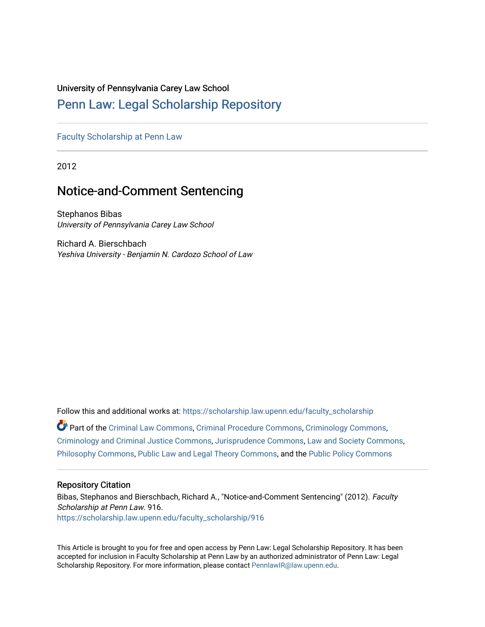# University of Pennsylvania Carey Law School

# [Penn Law: Legal Scholarship Repository](https://scholarship.law.upenn.edu/)

[Faculty Scholarship at Penn Law](https://scholarship.law.upenn.edu/faculty_scholarship)

2012

# Notice-and-Comment Sentencing

Stephanos Bibas University of Pennsylvania Carey Law School

Richard A. Bierschbach Yeshiva University - Benjamin N. Cardozo School of Law

Follow this and additional works at: [https://scholarship.law.upenn.edu/faculty\\_scholarship](https://scholarship.law.upenn.edu/faculty_scholarship?utm_source=scholarship.law.upenn.edu%2Ffaculty_scholarship%2F916&utm_medium=PDF&utm_campaign=PDFCoverPages)  Part of the [Criminal Law Commons,](http://network.bepress.com/hgg/discipline/912?utm_source=scholarship.law.upenn.edu%2Ffaculty_scholarship%2F916&utm_medium=PDF&utm_campaign=PDFCoverPages) [Criminal Procedure Commons,](http://network.bepress.com/hgg/discipline/1073?utm_source=scholarship.law.upenn.edu%2Ffaculty_scholarship%2F916&utm_medium=PDF&utm_campaign=PDFCoverPages) [Criminology Commons,](http://network.bepress.com/hgg/discipline/417?utm_source=scholarship.law.upenn.edu%2Ffaculty_scholarship%2F916&utm_medium=PDF&utm_campaign=PDFCoverPages) [Criminology and Criminal Justice Commons](http://network.bepress.com/hgg/discipline/367?utm_source=scholarship.law.upenn.edu%2Ffaculty_scholarship%2F916&utm_medium=PDF&utm_campaign=PDFCoverPages), [Jurisprudence Commons,](http://network.bepress.com/hgg/discipline/610?utm_source=scholarship.law.upenn.edu%2Ffaculty_scholarship%2F916&utm_medium=PDF&utm_campaign=PDFCoverPages) [Law and Society Commons](http://network.bepress.com/hgg/discipline/853?utm_source=scholarship.law.upenn.edu%2Ffaculty_scholarship%2F916&utm_medium=PDF&utm_campaign=PDFCoverPages), [Philosophy Commons,](http://network.bepress.com/hgg/discipline/525?utm_source=scholarship.law.upenn.edu%2Ffaculty_scholarship%2F916&utm_medium=PDF&utm_campaign=PDFCoverPages) [Public Law and Legal Theory Commons,](http://network.bepress.com/hgg/discipline/871?utm_source=scholarship.law.upenn.edu%2Ffaculty_scholarship%2F916&utm_medium=PDF&utm_campaign=PDFCoverPages) and the [Public Policy Commons](http://network.bepress.com/hgg/discipline/400?utm_source=scholarship.law.upenn.edu%2Ffaculty_scholarship%2F916&utm_medium=PDF&utm_campaign=PDFCoverPages)

# Repository Citation

Bibas, Stephanos and Bierschbach, Richard A., "Notice-and-Comment Sentencing" (2012). Faculty Scholarship at Penn Law. 916. [https://scholarship.law.upenn.edu/faculty\\_scholarship/916](https://scholarship.law.upenn.edu/faculty_scholarship/916?utm_source=scholarship.law.upenn.edu%2Ffaculty_scholarship%2F916&utm_medium=PDF&utm_campaign=PDFCoverPages) 

This Article is brought to you for free and open access by Penn Law: Legal Scholarship Repository. It has been accepted for inclusion in Faculty Scholarship at Penn Law by an authorized administrator of Penn Law: Legal Scholarship Repository. For more information, please contact [PennlawIR@law.upenn.edu.](mailto:PennlawIR@law.upenn.edu)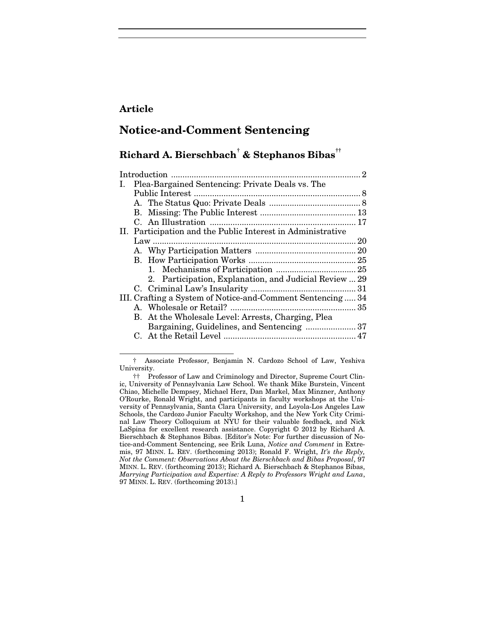# **Article**

1

# **Notice-and-Comment Sentencing**

# **Richard A. Bierschbach[†](#page-1-0) & Stephanos Bibas[††](#page-1-1)**

| I.                                                         | Plea-Bargained Sentencing: Private Deals vs. The            |                                                        |  |
|------------------------------------------------------------|-------------------------------------------------------------|--------------------------------------------------------|--|
|                                                            |                                                             |                                                        |  |
|                                                            |                                                             |                                                        |  |
|                                                            |                                                             |                                                        |  |
|                                                            |                                                             |                                                        |  |
|                                                            | II. Participation and the Public Interest in Administrative |                                                        |  |
|                                                            |                                                             |                                                        |  |
|                                                            |                                                             |                                                        |  |
|                                                            |                                                             |                                                        |  |
|                                                            |                                                             |                                                        |  |
|                                                            |                                                             | 2. Participation, Explanation, and Judicial Review  29 |  |
|                                                            |                                                             |                                                        |  |
| III. Crafting a System of Notice-and-Comment Sentencing 34 |                                                             |                                                        |  |
|                                                            |                                                             |                                                        |  |
|                                                            |                                                             | B. At the Wholesale Level: Arrests, Charging, Plea     |  |
|                                                            |                                                             |                                                        |  |
|                                                            |                                                             |                                                        |  |

<span id="page-1-0"></span><sup>†</sup> Associate Professor, Benjamin N. Cardozo School of Law, Yeshiva University.

<span id="page-1-1"></span><sup>††</sup> Professor of Law and Criminology and Director, Supreme Court Clinic, University of Pennsylvania Law School. We thank Mike Burstein, Vincent Chiao, Michelle Dempsey, Michael Herz, Dan Markel, Max Minzner, Anthony O'Rourke, Ronald Wright, and participants in faculty workshops at the University of Pennsylvania, Santa Clara University, and Loyola-Los Angeles Law Schools, the Cardozo Junior Faculty Workshop, and the New York City Criminal Law Theory Colloquium at NYU for their valuable feedback, and Nick LaSpina for excellent research assistance. Copyright © 2012 by Richard A. Bierschbach & Stephanos Bibas. [Editor's Note: For further discussion of Notice-and-Comment Sentencing, see Erik Luna, *Notice and Comment* in Extremis, 97 MINN. L. REV. (forthcoming 2013); Ronald F. Wright, *It's the Reply, Not the Comment: Observations About the Bierschbach and Bibas Proposal*, 97 MINN. L. REV. (forthcoming 2013); Richard A. Bierschbach & Stephanos Bibas, *Marrying Participation and Expertise: A Reply to Professors Wright and Luna*, 97 MINN. L. REV. (forthcoming 2013).]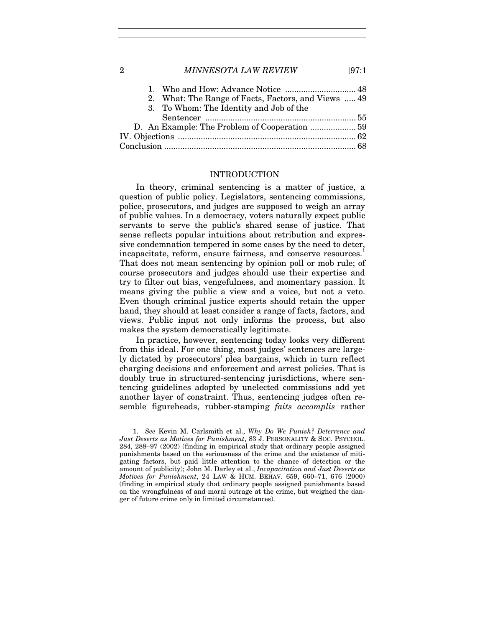| 1. Who and How: Advance Notice  48                  |  |
|-----------------------------------------------------|--|
| 2. What: The Range of Facts, Factors, and Views  49 |  |
| 3. To Whom: The Identity and Job of the             |  |
|                                                     |  |
|                                                     |  |
|                                                     |  |
|                                                     |  |

#### INTRODUCTION

In theory, criminal sentencing is a matter of justice, a question of public policy. Legislators, sentencing commissions, police, prosecutors, and judges are supposed to weigh an array of public values. In a democracy, voters naturally expect public servants to serve the public's shared sense of justice. That sense reflects popular intuitions about retribution and expressive condemnation tempered in some cases by the need to deter, incapacitate, reform, ensure fairness, and conserve resources.<sup>[1](#page-2-0)</sup> That does not mean sentencing by opinion poll or mob rule; of course prosecutors and judges should use their expertise and try to filter out bias, vengefulness, and momentary passion. It means giving the public a view and a voice, but not a veto. Even though criminal justice experts should retain the upper hand, they should at least consider a range of facts, factors, and views. Public input not only informs the process, but also makes the system democratically legitimate.

In practice, however, sentencing today looks very different from this ideal. For one thing, most judges' sentences are largely dictated by prosecutors' plea bargains, which in turn reflect charging decisions and enforcement and arrest policies. That is doubly true in structured-sentencing jurisdictions, where sentencing guidelines adopted by unelected commissions add yet another layer of constraint. Thus, sentencing judges often resemble figureheads, rubber-stamping *faits accomplis* rather

<span id="page-2-0"></span><sup>1.</sup> *See* Kevin M. Carlsmith et al., *Why Do We Punish? Deterrence and Just Deserts as Motives for Punishment*, 83 J. PERSONALITY & SOC. PSYCHOL. 284, 288–97 (2002) (finding in empirical study that ordinary people assigned punishments based on the seriousness of the crime and the existence of mitigating factors, but paid little attention to the chance of detection or the amount of publicity); John M. Darley et al., *Incapacitation and Just Deserts as Motives for Punishment*, 24 LAW & HUM. BEHAV. 659, 660–71, 676 (2000) (finding in empirical study that ordinary people assigned punishments based on the wrongfulness of and moral outrage at the crime, but weighed the danger of future crime only in limited circumstances).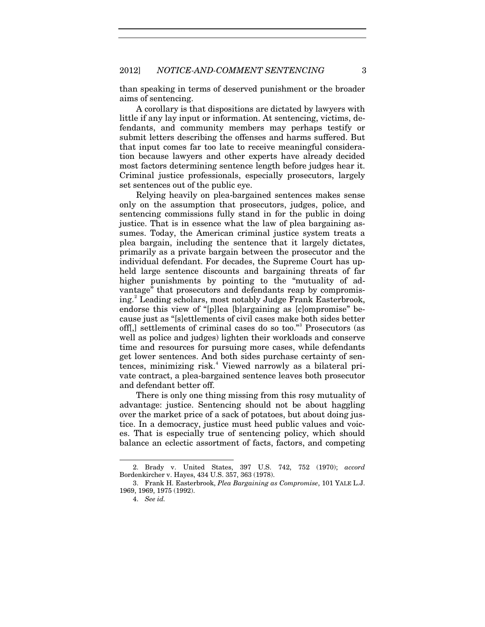than speaking in terms of deserved punishment or the broader aims of sentencing.

A corollary is that dispositions are dictated by lawyers with little if any lay input or information. At sentencing, victims, defendants, and community members may perhaps testify or submit letters describing the offenses and harms suffered. But that input comes far too late to receive meaningful consideration because lawyers and other experts have already decided most factors determining sentence length before judges hear it. Criminal justice professionals, especially prosecutors, largely set sentences out of the public eye.

Relying heavily on plea-bargained sentences makes sense only on the assumption that prosecutors, judges, police, and sentencing commissions fully stand in for the public in doing justice. That is in essence what the law of plea bargaining assumes. Today, the American criminal justice system treats a plea bargain, including the sentence that it largely dictates, primarily as a private bargain between the prosecutor and the individual defendant. For decades, the Supreme Court has upheld large sentence discounts and bargaining threats of far higher punishments by pointing to the "mutuality of advantage" that prosecutors and defendants reap by compromising.[2](#page-3-0) Leading scholars, most notably Judge Frank Easterbrook, endorse this view of "[p]lea [b]argaining as [c]ompromise" because just as "[s]ettlements of civil cases make both sides better off[,] settlements of criminal cases do so too."[3](#page-3-1) Prosecutors (as well as police and judges) lighten their workloads and conserve time and resources for pursuing more cases, while defendants get lower sentences. And both sides purchase certainty of sen-tences, minimizing risk.<sup>[4](#page-3-2)</sup> Viewed narrowly as a bilateral private contract, a plea-bargained sentence leaves both prosecutor and defendant better off.

<span id="page-3-3"></span>There is only one thing missing from this rosy mutuality of advantage: justice. Sentencing should not be about haggling over the market price of a sack of potatoes, but about doing justice. In a democracy, justice must heed public values and voices. That is especially true of sentencing policy, which should balance an eclectic assortment of facts, factors, and competing

<span id="page-3-0"></span><sup>2.</sup> Brady v. United States, 397 U.S. 742, 752 (1970); *accord* Bordenkircher v. Hayes, 434 U.S. 357, 363 (1978).

<span id="page-3-2"></span><span id="page-3-1"></span><sup>3.</sup> Frank H. Easterbrook, *Plea Bargaining as Compromise*, 101 YALE L.J. 1969, 1969, 1975 (1992).

<sup>4.</sup> *See id.*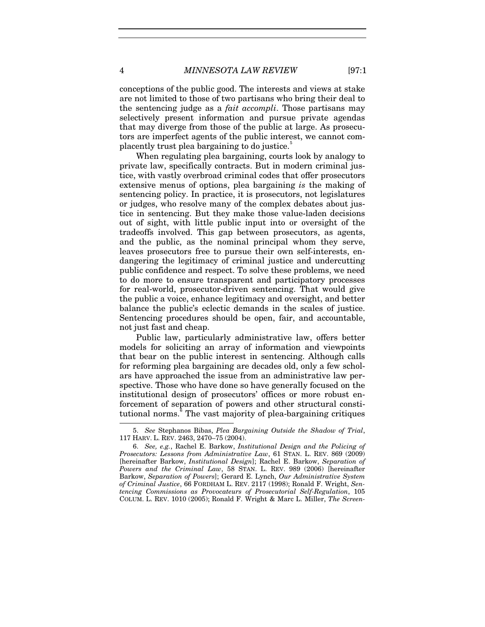conceptions of the public good. The interests and views at stake are not limited to those of two partisans who bring their deal to the sentencing judge as a *fait accompli*. Those partisans may selectively present information and pursue private agendas that may diverge from those of the public at large. As prosecutors are imperfect agents of the public interest, we cannot complacently trust plea bargaining to do justice.<sup>3</sup>

When regulating plea bargaining, courts look by analogy to private law, specifically contracts. But in modern criminal justice, with vastly overbroad criminal codes that offer prosecutors extensive menus of options, plea bargaining *is* the making of sentencing policy. In practice, it is prosecutors, not legislatures or judges, who resolve many of the complex debates about justice in sentencing. But they make those value-laden decisions out of sight, with little public input into or oversight of the tradeoffs involved. This gap between prosecutors, as agents, and the public, as the nominal principal whom they serve, leaves prosecutors free to pursue their own self-interests, endangering the legitimacy of criminal justice and undercutting public confidence and respect. To solve these problems, we need to do more to ensure transparent and participatory processes for real-world, prosecutor-driven sentencing. That would give the public a voice, enhance legitimacy and oversight, and better balance the public's eclectic demands in the scales of justice. Sentencing procedures should be open, fair, and accountable, not just fast and cheap.

Public law, particularly administrative law, offers better models for soliciting an array of information and viewpoints that bear on the public interest in sentencing. Although calls for reforming plea bargaining are decades old, only a few scholars have approached the issue from an administrative law perspective. Those who have done so have generally focused on the institutional design of prosecutors' offices or more robust enforcement of separation of powers and other structural consti-tutional norms.<sup>[6](#page-4-1)</sup> The vast majority of plea-bargaining critiques

<span id="page-4-2"></span>

<span id="page-4-3"></span><span id="page-4-0"></span><sup>5.</sup> *See* Stephanos Bibas, *Plea Bargaining Outside the Shadow of Trial*, 117 HARV. L. REV. 2463, 2470–75 (2004).

<span id="page-4-1"></span><sup>6.</sup> *See, e.g.*, Rachel E. Barkow, *Institutional Design and the Policing of Prosecutors: Lessons from Administrative Law*, 61 STAN. L. REV. 869 (2009) [hereinafter Barkow, *Institutional Design*]; Rachel E. Barkow, *Separation of Powers and the Criminal Law*, 58 STAN. L. REV. 989 (2006) [hereinafter Barkow, *Separation of Powers*]; Gerard E. Lynch, *Our Administrative System of Criminal Justice*, 66 FORDHAM L. REV. 2117 (1998); Ronald F. Wright, *Sentencing Commissions as Provocateurs of Prosecutorial Self-Regulation*, 105 COLUM. L. REV. 1010 (2005); Ronald F. Wright & Marc L. Miller, *The Screen-*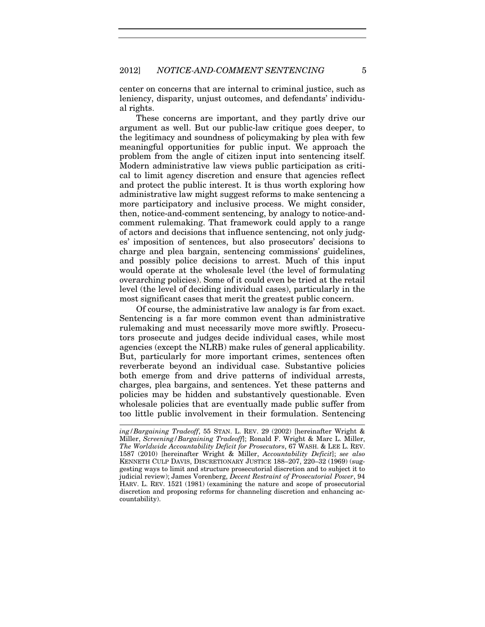center on concerns that are internal to criminal justice, such as leniency, disparity, unjust outcomes, and defendants' individual rights.

These concerns are important, and they partly drive our argument as well. But our public-law critique goes deeper, to the legitimacy and soundness of policymaking by plea with few meaningful opportunities for public input. We approach the problem from the angle of citizen input into sentencing itself. Modern administrative law views public participation as critical to limit agency discretion and ensure that agencies reflect and protect the public interest. It is thus worth exploring how administrative law might suggest reforms to make sentencing a more participatory and inclusive process. We might consider, then, notice-and-comment sentencing, by analogy to notice-andcomment rulemaking. That framework could apply to a range of actors and decisions that influence sentencing, not only judges' imposition of sentences, but also prosecutors' decisions to charge and plea bargain, sentencing commissions' guidelines, and possibly police decisions to arrest. Much of this input would operate at the wholesale level (the level of formulating overarching policies). Some of it could even be tried at the retail level (the level of deciding individual cases), particularly in the most significant cases that merit the greatest public concern.

Of course, the administrative law analogy is far from exact. Sentencing is a far more common event than administrative rulemaking and must necessarily move more swiftly. Prosecutors prosecute and judges decide individual cases, while most agencies (except the NLRB) make rules of general applicability. But, particularly for more important crimes, sentences often reverberate beyond an individual case. Substantive policies both emerge from and drive patterns of individual arrests, charges, plea bargains, and sentences. Yet these patterns and policies may be hidden and substantively questionable. Even wholesale policies that are eventually made public suffer from too little public involvement in their formulation. Sentencing

 *ing/Bargaining Tradeoff*, 55 STAN. L. REV. 29 (2002) [hereinafter Wright & Miller, *Screening/Bargaining Tradeoff*]; Ronald F. Wright & Marc L. Miller, *The Worldwide Accountability Deficit for Prosecutors*, 67 WASH. & LEE L. REV. 1587 (2010) [hereinafter Wright & Miller, *Accountability Deficit*]; *see also* KENNETH CULP DAVIS, DISCRETIONARY JUSTICE 188–207, 220–32 (1969) (suggesting ways to limit and structure prosecutorial discretion and to subject it to judicial review); James Vorenberg, *Decent Restraint of Prosecutorial Power*, 94 HARV. L. REV. 1521 (1981) (examining the nature and scope of prosecutorial discretion and proposing reforms for channeling discretion and enhancing accountability).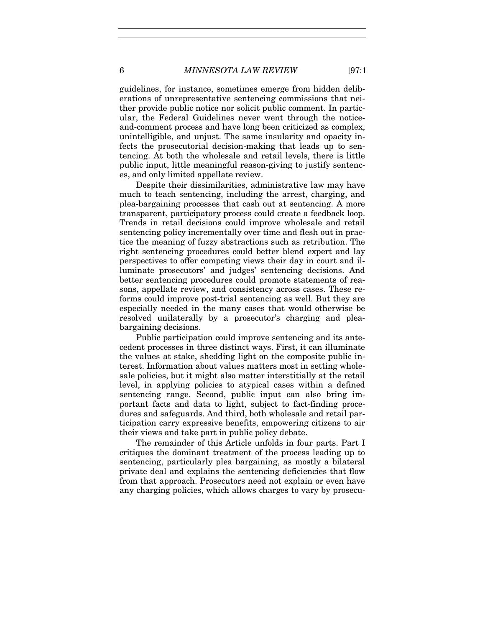guidelines, for instance, sometimes emerge from hidden deliberations of unrepresentative sentencing commissions that neither provide public notice nor solicit public comment. In particular, the Federal Guidelines never went through the noticeand-comment process and have long been criticized as complex, unintelligible, and unjust. The same insularity and opacity infects the prosecutorial decision-making that leads up to sentencing. At both the wholesale and retail levels, there is little public input, little meaningful reason-giving to justify sentences, and only limited appellate review.

Despite their dissimilarities, administrative law may have much to teach sentencing, including the arrest, charging, and plea-bargaining processes that cash out at sentencing. A more transparent, participatory process could create a feedback loop. Trends in retail decisions could improve wholesale and retail sentencing policy incrementally over time and flesh out in practice the meaning of fuzzy abstractions such as retribution. The right sentencing procedures could better blend expert and lay perspectives to offer competing views their day in court and illuminate prosecutors' and judges' sentencing decisions. And better sentencing procedures could promote statements of reasons, appellate review, and consistency across cases. These reforms could improve post-trial sentencing as well. But they are especially needed in the many cases that would otherwise be resolved unilaterally by a prosecutor's charging and pleabargaining decisions.

Public participation could improve sentencing and its antecedent processes in three distinct ways. First, it can illuminate the values at stake, shedding light on the composite public interest. Information about values matters most in setting wholesale policies, but it might also matter interstitially at the retail level, in applying policies to atypical cases within a defined sentencing range. Second, public input can also bring important facts and data to light, subject to fact-finding procedures and safeguards. And third, both wholesale and retail participation carry expressive benefits, empowering citizens to air their views and take part in public policy debate.

The remainder of this Article unfolds in four parts. Part I critiques the dominant treatment of the process leading up to sentencing, particularly plea bargaining, as mostly a bilateral private deal and explains the sentencing deficiencies that flow from that approach. Prosecutors need not explain or even have any charging policies, which allows charges to vary by prosecu-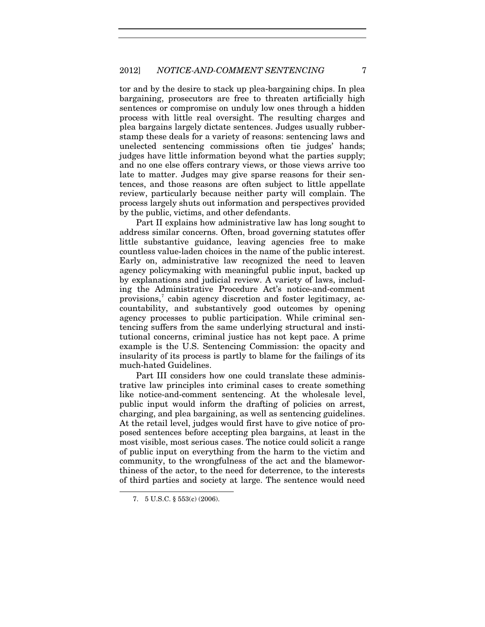tor and by the desire to stack up plea-bargaining chips. In plea bargaining, prosecutors are free to threaten artificially high sentences or compromise on unduly low ones through a hidden process with little real oversight. The resulting charges and plea bargains largely dictate sentences. Judges usually rubberstamp these deals for a variety of reasons: sentencing laws and unelected sentencing commissions often tie judges' hands; judges have little information beyond what the parties supply; and no one else offers contrary views, or those views arrive too late to matter. Judges may give sparse reasons for their sentences, and those reasons are often subject to little appellate review, particularly because neither party will complain. The process largely shuts out information and perspectives provided by the public, victims, and other defendants.

Part II explains how administrative law has long sought to address similar concerns. Often, broad governing statutes offer little substantive guidance, leaving agencies free to make countless value-laden choices in the name of the public interest. Early on, administrative law recognized the need to leaven agency policymaking with meaningful public input, backed up by explanations and judicial review. A variety of laws, including the Administrative Procedure Act's notice-and-comment provisions,<sup>[7](#page-7-0)</sup> cabin agency discretion and foster legitimacy, accountability, and substantively good outcomes by opening agency processes to public participation. While criminal sentencing suffers from the same underlying structural and institutional concerns, criminal justice has not kept pace. A prime example is the U.S. Sentencing Commission: the opacity and insularity of its process is partly to blame for the failings of its much-hated Guidelines.

Part III considers how one could translate these administrative law principles into criminal cases to create something like notice-and-comment sentencing. At the wholesale level, public input would inform the drafting of policies on arrest, charging, and plea bargaining, as well as sentencing guidelines. At the retail level, judges would first have to give notice of proposed sentences before accepting plea bargains, at least in the most visible, most serious cases. The notice could solicit a range of public input on everything from the harm to the victim and community, to the wrongfulness of the act and the blameworthiness of the actor, to the need for deterrence, to the interests of third parties and society at large. The sentence would need

<span id="page-7-0"></span><sup>7.</sup> 5 U.S.C. § 553(c) (2006).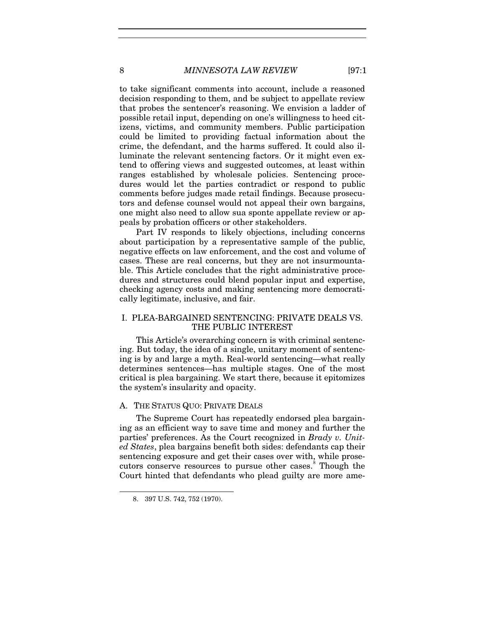to take significant comments into account, include a reasoned decision responding to them, and be subject to appellate review that probes the sentencer's reasoning. We envision a ladder of possible retail input, depending on one's willingness to heed citizens, victims, and community members. Public participation could be limited to providing factual information about the crime, the defendant, and the harms suffered. It could also illuminate the relevant sentencing factors. Or it might even extend to offering views and suggested outcomes, at least within ranges established by wholesale policies. Sentencing procedures would let the parties contradict or respond to public comments before judges made retail findings. Because prosecutors and defense counsel would not appeal their own bargains, one might also need to allow sua sponte appellate review or appeals by probation officers or other stakeholders.

Part IV responds to likely objections, including concerns about participation by a representative sample of the public, negative effects on law enforcement, and the cost and volume of cases. These are real concerns, but they are not insurmountable. This Article concludes that the right administrative procedures and structures could blend popular input and expertise, checking agency costs and making sentencing more democratically legitimate, inclusive, and fair.

# I. PLEA-BARGAINED SENTENCING: PRIVATE DEALS VS. THE PUBLIC INTEREST

This Article's overarching concern is with criminal sentencing. But today, the idea of a single, unitary moment of sentencing is by and large a myth. Real-world sentencing—what really determines sentences—has multiple stages. One of the most critical is plea bargaining. We start there, because it epitomizes the system's insularity and opacity.

# A. THE STATUS QUO: PRIVATE DEALS

The Supreme Court has repeatedly endorsed plea bargaining as an efficient way to save time and money and further the parties' preferences. As the Court recognized in *Brady v. United States*, plea bargains benefit both sides: defendants cap their sentencing exposure and get their cases over with, while prose-cutors conserve resources to pursue other cases.<sup>[8](#page-8-0)</sup> Though the Court hinted that defendants who plead guilty are more ame-

<span id="page-8-0"></span><sup>8.</sup> 397 U.S. 742, 752 (1970).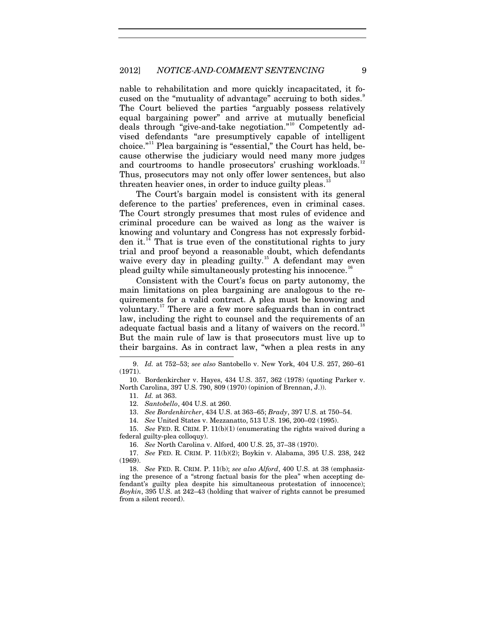nable to rehabilitation and more quickly incapacitated, it focused on the "mutuality of advantage" accruing to both sides." The Court believed the parties "arguably possess relatively equal bargaining power" and arrive at mutually beneficial deals through "give-and-take negotiation."[10](#page-9-1) Competently advised defendants "are presumptively capable of intelligent choice."[11](#page-9-2) Plea bargaining is "essential," the Court has held, because otherwise the judiciary would need many more judges and courtrooms to handle prosecutors' crushing workloads.<sup>[12](#page-9-3)</sup> Thus, prosecutors may not only offer lower sentences, but also threaten heavier ones, in order to induce guilty pleas. $13$ 

The Court's bargain model is consistent with its general deference to the parties' preferences, even in criminal cases. The Court strongly presumes that most rules of evidence and criminal procedure can be waived as long as the waiver is knowing and voluntary and Congress has not expressly forbid-den it.<sup>[14](#page-9-5)</sup> That is true even of the constitutional rights to jury trial and proof beyond a reasonable doubt, which defendants waive every day in pleading guilty.<sup>[15](#page-9-6)</sup> A defendant may even plead guilty while simultaneously protesting his innocence.<sup>[16](#page-9-7)</sup>

Consistent with the Court's focus on party autonomy, the main limitations on plea bargaining are analogous to the requirements for a valid contract. A plea must be knowing and voluntary.[17](#page-9-8) There are a few more safeguards than in contract law, including the right to counsel and the requirements of an adequate factual basis and a litany of waivers on the record.<sup>[18](#page-9-9)</sup> But the main rule of law is that prosecutors must live up to their bargains. As in contract law, "when a plea rests in any

11. *Id.* at 363.

-

- 12. *Santobello*, 404 U.S. at 260.
- 13. *See Bordenkircher*, 434 U.S. at 363–65; *Brady*, 397 U.S. at 750–54.

14. *See* United States v. Mezzanatto, 513 U.S. 196, 200–02 (1995).

<span id="page-9-6"></span><span id="page-9-5"></span><span id="page-9-4"></span>15. *See* FED. R. CRIM. P. 11(b)(1) (enumerating the rights waived during a federal guilty-plea colloquy).

16. *See* North Carolina v. Alford, 400 U.S. 25, 37–38 (1970).

<span id="page-9-8"></span><span id="page-9-7"></span>17. *See* FED. R. CRIM. P. 11(b)(2); Boykin v. Alabama, 395 U.S. 238, 242 (1969).

<span id="page-9-9"></span>18. *See* FED. R. CRIM. P. 11(b); *see also Alford*, 400 U.S. at 38 (emphasizing the presence of a "strong factual basis for the plea" when accepting defendant's guilty plea despite his simultaneous protestation of innocence); *Boykin*, 395 U.S. at 242–43 (holding that waiver of rights cannot be presumed from a silent record).

<span id="page-9-0"></span><sup>9.</sup> *Id.* at 752–53; *see also* Santobello v. New York, 404 U.S. 257, 260–61 (1971).

<span id="page-9-3"></span><span id="page-9-2"></span><span id="page-9-1"></span><sup>10.</sup> Bordenkircher v. Hayes, 434 U.S. 357, 362 (1978) (quoting Parker v. North Carolina, 397 U.S. 790, 809 (1970) (opinion of Brennan, J.)).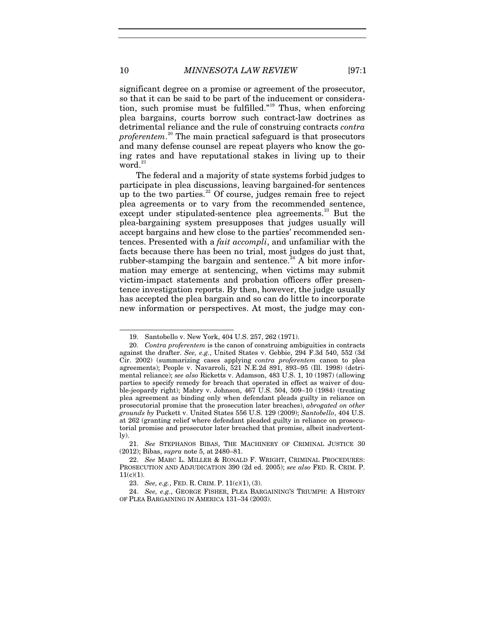significant degree on a promise or agreement of the prosecutor, so that it can be said to be part of the inducement or consideration, such promise must be fulfilled."[19](#page-10-0) Thus, when enforcing plea bargains, courts borrow such contract-law doctrines as detrimental reliance and the rule of construing contracts *contra proferentem*. [20](#page-10-1) The main practical safeguard is that prosecutors and many defense counsel are repeat players who know the going rates and have reputational stakes in living up to their  $\sqrt{v}$  word.<sup>[21](#page-10-2)</sup>

<span id="page-10-6"></span>The federal and a majority of state systems forbid judges to participate in plea discussions, leaving bargained-for sentences up to the two parties.<sup>[22](#page-10-3)</sup> Of course, judges remain free to reject plea agreements or to vary from the recommended sentence, except under stipulated-sentence plea agreements.<sup>[23](#page-10-4)</sup> But the plea-bargaining system presupposes that judges usually will accept bargains and hew close to the parties' recommended sentences. Presented with a *fait accompli*, and unfamiliar with the facts because there has been no trial, most judges do just that, rubber-stamping the bargain and sentence.<sup>[24](#page-10-5)</sup> A bit more information may emerge at sentencing, when victims may submit victim-impact statements and probation officers offer presentence investigation reports. By then, however, the judge usually has accepted the plea bargain and so can do little to incorporate new information or perspectives. At most, the judge may con-

1

<sup>19.</sup> Santobello v. New York, 404 U.S. 257, 262 (1971).

<span id="page-10-1"></span><span id="page-10-0"></span><sup>20.</sup> *Contra proferentem* is the canon of construing ambiguities in contracts against the drafter. *See, e.g.*, United States v. Gebbie, 294 F.3d 540, 552 (3d Cir. 2002) (summarizing cases applying *contra proferentem* canon to plea agreements); People v. Navarroli, 521 N.E.2d 891, 893–95 (Ill. 1998) (detrimental reliance); *see also* Ricketts v. Adamson, 483 U.S. 1, 10 (1987) (allowing parties to specify remedy for breach that operated in effect as waiver of double-jeopardy right); Mabry v. Johnson, 467 U.S. 504, 509–10 (1984) (treating plea agreement as binding only when defendant pleads guilty in reliance on prosecutorial promise that the prosecution later breaches), *abrogated on other grounds by* Puckett v. United States 556 U.S. 129 (2009); *Santobello*, 404 U.S. at 262 (granting relief where defendant pleaded guilty in reliance on prosecutorial promise and prosecutor later breached that promise, albeit inadvertently).

<span id="page-10-2"></span><sup>21.</sup> *See* STEPHANOS BIBAS, THE MACHINERY OF CRIMINAL JUSTICE 30 (2012); Bibas, *supra* not[e 5,](#page-4-2) at 2480–81.

<span id="page-10-3"></span><sup>22.</sup> *See* MARC L. MILLER & RONALD F. WRIGHT, CRIMINAL PROCEDURES: PROSECUTION AND ADJUDICATION 390 (2d ed. 2005); *see also* FED. R. CRIM. P.  $11(c)(1)$ .

<sup>23.</sup> *See, e.g.*, FED. R. CRIM. P. 11(c)(1), (3).

<span id="page-10-5"></span><span id="page-10-4"></span><sup>24.</sup> *See, e.g.*, GEORGE FISHER, PLEA BARGAINING'S TRIUMPH: A HISTORY OF PLEA BARGAINING IN AMERICA 131–34 (2003).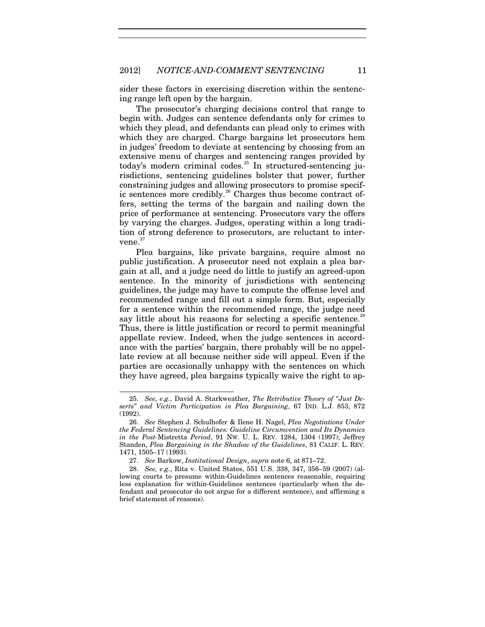sider these factors in exercising discretion within the sentencing range left open by the bargain.

The prosecutor's charging decisions control that range to begin with. Judges can sentence defendants only for crimes to which they plead, and defendants can plead only to crimes with which they are charged. Charge bargains let prosecutors hem in judges' freedom to deviate at sentencing by choosing from an extensive menu of charges and sentencing ranges provided by today's modern criminal codes.<sup>[25](#page-11-0)</sup> In structured-sentencing jurisdictions, sentencing guidelines bolster that power, further constraining judges and allowing prosecutors to promise specif-ic sentences more credibly.<sup>[26](#page-11-1)</sup> Charges thus become contract offers, setting the terms of the bargain and nailing down the price of performance at sentencing. Prosecutors vary the offers by varying the charges. Judges, operating within a long tradition of strong deference to prosecutors, are reluctant to intervene. $27$ 

Plea bargains, like private bargains, require almost no public justification. A prosecutor need not explain a plea bargain at all, and a judge need do little to justify an agreed-upon sentence. In the minority of jurisdictions with sentencing guidelines, the judge may have to compute the offense level and recommended range and fill out a simple form. But, especially for a sentence within the recommended range, the judge need say little about his reasons for selecting a specific sentence.<sup>[28](#page-11-3)</sup> Thus, there is little justification or record to permit meaningful appellate review. Indeed, when the judge sentences in accordance with the parties' bargain, there probably will be no appellate review at all because neither side will appeal. Even if the parties are occasionally unhappy with the sentences on which they have agreed, plea bargains typically waive the right to ap-

1

<span id="page-11-0"></span><sup>25.</sup> *See, e.g.*, David A. Starkweather, *The Retributive Theory of "Just Deserts" and Victim Participation in Plea Bargaining*, 67 IND. L.J. 853, 872 (1992).

<span id="page-11-1"></span><sup>26.</sup> *See* Stephen J. Schulhofer & Ilene H. Nagel, *Plea Negotiations Under the Federal Sentencing Guidelines: Guideline Circumvention and Its Dynamics in the Post-*Mistretta *Period*, 91 NW. U. L. REV. 1284, 1304 (1997); Jeffrey Standen, *Plea Bargaining in the Shadow of the Guidelines*, 81 CALIF. L. REV. 1471, 1505–17 (1993).

<sup>27.</sup> *See* Barkow, *Institutional Design*, *supra* not[e 6,](#page-4-3) at 871–72.

<span id="page-11-3"></span><span id="page-11-2"></span><sup>28.</sup> *See, e.g.*, Rita v. United States, 551 U.S. 338, 347, 356–59 (2007) (allowing courts to presume within-Guidelines sentences reasonable, requiring less explanation for within-Guidelines sentences (particularly when the defendant and prosecutor do not argue for a different sentence), and affirming a brief statement of reasons).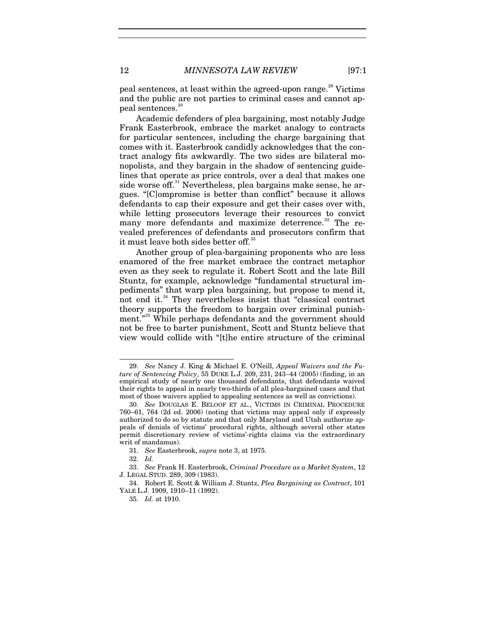peal sentences, at least within the agreed-upon range.<sup>[29](#page-12-0)</sup> Victims and the public are not parties to criminal cases and cannot ap-peal sentences.<sup>[30](#page-12-1)</sup>

Academic defenders of plea bargaining, most notably Judge Frank Easterbrook, embrace the market analogy to contracts for particular sentences, including the charge bargaining that comes with it. Easterbrook candidly acknowledges that the contract analogy fits awkwardly. The two sides are bilateral monopolists, and they bargain in the shadow of sentencing guidelines that operate as price controls, over a deal that makes one side worse off.<sup>[31](#page-12-2)</sup> Nevertheless, plea bargains make sense, he argues. "[C]ompromise is better than conflict" because it allows defendants to cap their exposure and get their cases over with, while letting prosecutors leverage their resources to convict many more defendants and maximize deterrence.<sup>[32](#page-12-3)</sup> The revealed preferences of defendants and prosecutors confirm that it must leave both sides better off.<sup>[33](#page-12-4)</sup>

<span id="page-12-7"></span>Another group of plea-bargaining proponents who are less enamored of the free market embrace the contract metaphor even as they seek to regulate it. Robert Scott and the late Bill Stuntz, for example, acknowledge "fundamental structural impediments" that warp plea bargaining, but propose to mend it, not end it.<sup>[34](#page-12-5)</sup> They nevertheless insist that "classical contract" theory supports the freedom to bargain over criminal punish-ment."<sup>[35](#page-12-6)</sup> While perhaps defendants and the government should not be free to barter punishment, Scott and Stuntz believe that view would collide with "[t]he entire structure of the criminal

32. *Id.*

<span id="page-12-0"></span><sup>29.</sup> *See* Nancy J. King & Michael E. O'Neill, *Appeal Waivers and the Future of Sentencing Policy*, 55 DUKE L.J. 209, 231, 243–44 (2005) (finding, in an empirical study of nearly one thousand defendants, that defendants waived their rights to appeal in nearly two-thirds of all plea-bargained cases and that most of those waivers applied to appealing sentences as well as convictions).

<span id="page-12-1"></span><sup>30.</sup> *See* DOUGLAS E. BELOOF ET AL., VICTIMS IN CRIMINAL PROCEDURE 760–61, 764 (2d ed. 2006) (noting that victims may appeal only if expressly authorized to do so by statute and that only Maryland and Utah authorize appeals of denials of victims' procedural rights, although several other states permit discretionary review of victims'-rights claims via the extraordinary writ of mandamus).

<sup>31.</sup> *See* Easterbrook, *supra* not[e 3,](#page-3-3) at 1975.

<span id="page-12-4"></span><span id="page-12-3"></span><span id="page-12-2"></span><sup>33.</sup> *See* Frank H. Easterbrook, *Criminal Procedure as a Market System*, 12 J. LEGAL STUD. 289, 309 (1983).

<span id="page-12-6"></span><span id="page-12-5"></span><sup>34.</sup> Robert E. Scott & William J. Stuntz, *Plea Bargaining as Contract*, 101 YALE L.J. 1909, 1910–11 (1992).

<sup>35.</sup> *Id.* at 1910.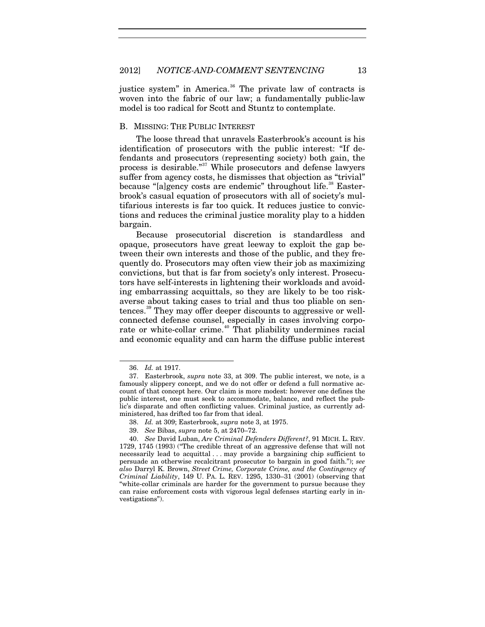justice system" in America.<sup>[36](#page-13-0)</sup> The private law of contracts is woven into the fabric of our law; a fundamentally public-law model is too radical for Scott and Stuntz to contemplate.

## B. MISSING: THE PUBLIC INTEREST

The loose thread that unravels Easterbrook's account is his identification of prosecutors with the public interest: "If defendants and prosecutors (representing society) both gain, the process is desirable."[37](#page-13-1) While prosecutors and defense lawyers suffer from agency costs, he dismisses that objection as "trivial" because "[a]gency costs are endemic" throughout life.<sup>[38](#page-13-2)</sup> Easterbrook's casual equation of prosecutors with all of society's multifarious interests is far too quick. It reduces justice to convictions and reduces the criminal justice morality play to a hidden bargain.

Because prosecutorial discretion is standardless and opaque, prosecutors have great leeway to exploit the gap between their own interests and those of the public, and they frequently do. Prosecutors may often view their job as maximizing convictions, but that is far from society's only interest. Prosecutors have self-interests in lightening their workloads and avoiding embarrassing acquittals, so they are likely to be too riskaverse about taking cases to trial and thus too pliable on sentences. [39](#page-13-3) They may offer deeper discounts to aggressive or wellconnected defense counsel, especially in cases involving corpo-rate or white-collar crime.<sup>[40](#page-13-4)</sup> That pliability undermines racial and economic equality and can harm the diffuse public interest

1

<sup>36.</sup> *Id.* at 1917.

<span id="page-13-1"></span><span id="page-13-0"></span><sup>37.</sup> Easterbrook, *supra* note [33,](#page-12-7) at 309. The public interest, we note, is a famously slippery concept, and we do not offer or defend a full normative account of that concept here. Our claim is more modest: however one defines the public interest, one must seek to accommodate, balance, and reflect the public's disparate and often conflicting values. Criminal justice, as currently administered, has drifted too far from that ideal.

<sup>38.</sup> *Id.* at 309; Easterbrook, *supra* note [3,](#page-3-3) at 1975.

<sup>39.</sup> *See* Bibas, *supra* not[e 5,](#page-4-2) at 2470–72.

<span id="page-13-4"></span><span id="page-13-3"></span><span id="page-13-2"></span><sup>40.</sup> *See* David Luban, *Are Criminal Defenders Different?*, 91 MICH. L. REV. 1729, 1745 (1993) ("The credible threat of an aggressive defense that will not necessarily lead to acquittal . . . may provide a bargaining chip sufficient to persuade an otherwise recalcitrant prosecutor to bargain in good faith."); *see also* Darryl K. Brown, *Street Crime, Corporate Crime, and the Contingency of Criminal Liability*, 149 U. PA. L. REV. 1295, 1330–31 (2001) (observing that "white-collar criminals are harder for the government to pursue because they can raise enforcement costs with vigorous legal defenses starting early in investigations").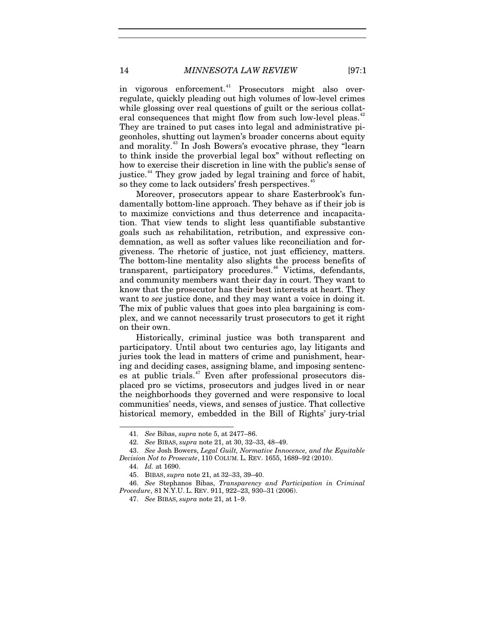in vigorous enforcement.<sup>[41](#page-14-0)</sup> Prosecutors might also overregulate, quickly pleading out high volumes of low-level crimes while glossing over real questions of guilt or the serious collat-eral consequences that might flow from such low-level pleas.<sup>[42](#page-14-1)</sup> They are trained to put cases into legal and administrative pigeonholes, shutting out laymen's broader concerns about equity and morality.<sup>[43](#page-14-2)</sup> In Josh Bowers's evocative phrase, they "learn to think inside the proverbial legal box" without reflecting on how to exercise their discretion in line with the public's sense of justice.<sup>[44](#page-14-3)</sup> They grow jaded by legal training and force of habit, so they come to lack outsiders' fresh perspectives.<sup>[45](#page-14-4)</sup>

Moreover, prosecutors appear to share Easterbrook's fundamentally bottom-line approach. They behave as if their job is to maximize convictions and thus deterrence and incapacitation. That view tends to slight less quantifiable substantive goals such as rehabilitation, retribution, and expressive condemnation, as well as softer values like reconciliation and forgiveness. The rhetoric of justice, not just efficiency, matters. The bottom-line mentality also slights the process benefits of transparent, participatory procedures.<sup>[46](#page-14-5)</sup> Victims, defendants, and community members want their day in court. They want to know that the prosecutor has their best interests at heart. They want to *see* justice done, and they may want a voice in doing it. The mix of public values that goes into plea bargaining is complex, and we cannot necessarily trust prosecutors to get it right on their own.

Historically, criminal justice was both transparent and participatory. Until about two centuries ago, lay litigants and juries took the lead in matters of crime and punishment, hearing and deciding cases, assigning blame, and imposing sentences at public trials. [47](#page-14-6) Even after professional prosecutors displaced pro se victims, prosecutors and judges lived in or near the neighborhoods they governed and were responsive to local communities' needs, views, and senses of justice. That collective historical memory, embedded in the Bill of Rights' jury-trial

<sup>41.</sup> *See* Bibas, *supra* note [5,](#page-4-2) at 2477–86.

<sup>42.</sup> *See* BIBAS, *supra* not[e 21,](#page-10-6) at 30, 32–33, 48–49.

<span id="page-14-3"></span><span id="page-14-2"></span><span id="page-14-1"></span><span id="page-14-0"></span><sup>43.</sup> *See* Josh Bowers, *Legal Guilt, Normative Innocence, and the Equitable Decision Not to Prosecute*, 110 COLUM. L. REV. 1655, 1689–92 (2010).

<sup>44.</sup> *Id.* at 1690.

<sup>45.</sup> BIBAS, *supra* note [21,](#page-10-6) at 32–33, 39–40.

<span id="page-14-6"></span><span id="page-14-5"></span><span id="page-14-4"></span><sup>46.</sup> *See* Stephanos Bibas, *Transparency and Participation in Criminal Procedure*, 81 N.Y.U. L. REV. 911, 922–23, 930–31 (2006).

<sup>47.</sup> *See* BIBAS, *supra* not[e 21,](#page-10-6) at 1–9.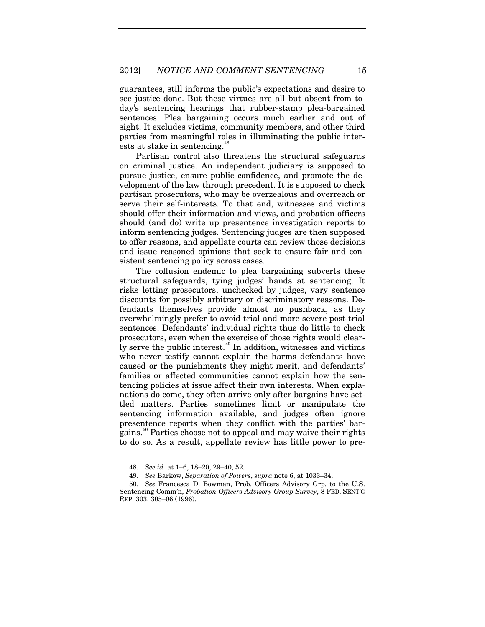guarantees, still informs the public's expectations and desire to see justice done. But these virtues are all but absent from today's sentencing hearings that rubber-stamp plea-bargained sentences. Plea bargaining occurs much earlier and out of sight. It excludes victims, community members, and other third parties from meaningful roles in illuminating the public inter-ests at stake in sentencing.<sup>[48](#page-15-0)</sup>

Partisan control also threatens the structural safeguards on criminal justice. An independent judiciary is supposed to pursue justice, ensure public confidence, and promote the development of the law through precedent. It is supposed to check partisan prosecutors, who may be overzealous and overreach or serve their self-interests. To that end, witnesses and victims should offer their information and views, and probation officers should (and do) write up presentence investigation reports to inform sentencing judges. Sentencing judges are then supposed to offer reasons, and appellate courts can review those decisions and issue reasoned opinions that seek to ensure fair and consistent sentencing policy across cases.

The collusion endemic to plea bargaining subverts these structural safeguards, tying judges' hands at sentencing. It risks letting prosecutors, unchecked by judges, vary sentence discounts for possibly arbitrary or discriminatory reasons. Defendants themselves provide almost no pushback, as they overwhelmingly prefer to avoid trial and more severe post-trial sentences. Defendants' individual rights thus do little to check prosecutors, even when the exercise of those rights would clear-ly serve the public interest.<sup>[49](#page-15-1)</sup> In addition, witnesses and victims who never testify cannot explain the harms defendants have caused or the punishments they might merit, and defendants' families or affected communities cannot explain how the sentencing policies at issue affect their own interests. When explanations do come, they often arrive only after bargains have settled matters. Parties sometimes limit or manipulate the sentencing information available, and judges often ignore presentence reports when they conflict with the parties' bar-gains.<sup>[50](#page-15-2)</sup> Parties choose not to appeal and may waive their rights to do so. As a result, appellate review has little power to pre-

<sup>48.</sup> *See id.* at 1–6, 18–20, 29–40, 52.

<sup>49.</sup> *See* Barkow, *Separation of Powers*, *supra* not[e 6,](#page-4-3) at 1033–34.

<span id="page-15-2"></span><span id="page-15-1"></span><span id="page-15-0"></span><sup>50.</sup> *See* Francesca D. Bowman, Prob. Officers Advisory Grp. to the U.S. Sentencing Comm'n, *Probation Officers Advisory Group Survey*, 8 FED. SENT'G REP. 303, 305–06 (1996).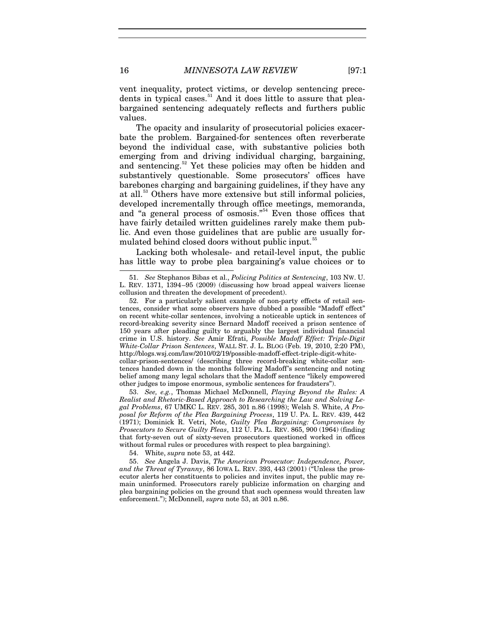vent inequality, protect victims, or develop sentencing prece-dents in typical cases.<sup>[51](#page-16-1)</sup> And it does little to assure that pleabargained sentencing adequately reflects and furthers public values.

The opacity and insularity of prosecutorial policies exacerbate the problem. Bargained-for sentences often reverberate beyond the individual case, with substantive policies both emerging from and driving individual charging, bargaining, and sentencing. [52](#page-16-2) Yet these policies may often be hidden and substantively questionable. Some prosecutors' offices have barebones charging and bargaining guidelines, if they have any at all.<sup>[53](#page-16-3)</sup> Others have more extensive but still informal policies, developed incrementally through office meetings, memoranda, and "a general process of osmosis."<sup>[54](#page-16-4)</sup> Even those offices that have fairly detailed written guidelines rarely make them public. And even those guidelines that are public are usually for-mulated behind closed doors without public input.<sup>[55](#page-16-5)</sup>

<span id="page-16-0"></span>Lacking both wholesale- and retail-level input, the public has little way to probe plea bargaining's value choices or to

<span id="page-16-3"></span>53. *See, e.g.*, Thomas Michael McDonnell, *Playing Beyond the Rules: A Realist and Rhetoric-Based Approach to Researching the Law and Solving Legal Problems*, 67 UMKC L. REV. 285, 301 n.86 (1998); Welsh S. White, *A Proposal for Reform of the Plea Bargaining Process*, 119 U. PA. L. REV. 439, 442 (1971); Dominick R. Vetri, Note, *Guilty Plea Bargaining: Compromises by Prosecutors to Secure Guilty Pleas*, 112 U. PA. L. REV. 865, 900 (1964) (finding that forty-seven out of sixty-seven prosecutors questioned worked in offices without formal rules or procedures with respect to plea bargaining).

54. White, *supra* not[e 53,](#page-16-0) at 442.

<span id="page-16-5"></span><span id="page-16-4"></span>55. *See* Angela J. Davis, *The American Prosecutor: Independence, Power, and the Threat of Tyranny*, 86 IOWA L. REV. 393, 443 (2001) ("Unless the prosecutor alerts her constituents to policies and invites input, the public may remain uninformed. Prosecutors rarely publicize information on charging and plea bargaining policies on the ground that such openness would threaten law enforcement."); McDonnell, *supra* not[e 53,](#page-16-0) at 301 n.86.

1

<span id="page-16-1"></span><sup>51.</sup> *See* Stephanos Bibas et al., *Policing Politics at Sentencing*, 103 NW. U. L. REV. 1371, 1394–95 (2009) (discussing how broad appeal waivers license collusion and threaten the development of precedent).

<span id="page-16-2"></span><sup>52.</sup> For a particularly salient example of non-party effects of retail sentences, consider what some observers have dubbed a possible "Madoff effect" on recent white-collar sentences, involving a noticeable uptick in sentences of record-breaking severity since Bernard Madoff received a prison sentence of 150 years after pleading guilty to arguably the largest individual financial crime in U.S. history. *See* Amir Efrati, *Possible Madoff Effect: Triple-Digit White-Collar Prison Sentences*, WALL ST. J. L. BLOG (Feb. 19, 2010, 2:20 PM), http://blogs.wsj.com/law/2010/02/19/possible-madoff-effect-triple-digit-whitecollar-prison-sentences/ (describing three record-breaking white-collar sentences handed down in the months following Madoff's sentencing and noting belief among many legal scholars that the Madoff sentence "likely empowered other judges to impose enormous, symbolic sentences for fraudsters").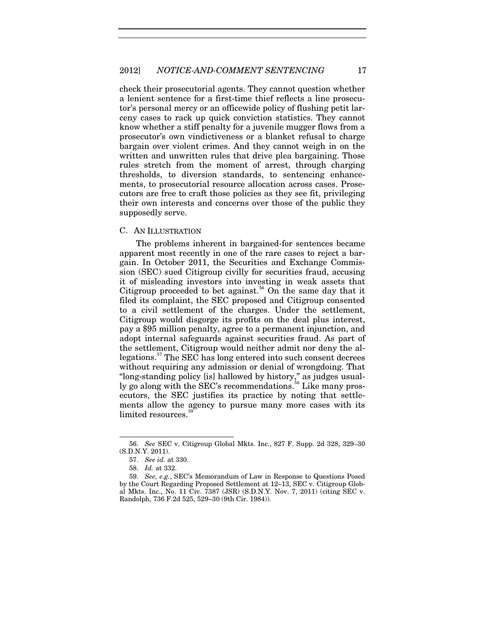check their prosecutorial agents. They cannot question whether a lenient sentence for a first-time thief reflects a line prosecutor's personal mercy or an officewide policy of flushing petit larceny cases to rack up quick conviction statistics. They cannot know whether a stiff penalty for a juvenile mugger flows from a prosecutor's own vindictiveness or a blanket refusal to charge bargain over violent crimes. And they cannot weigh in on the written and unwritten rules that drive plea bargaining. Those rules stretch from the moment of arrest, through charging thresholds, to diversion standards, to sentencing enhancements, to prosecutorial resource allocation across cases. Prosecutors are free to craft those policies as they see fit, privileging their own interests and concerns over those of the public they supposedly serve.

#### C. AN ILLUSTRATION

The problems inherent in bargained-for sentences became apparent most recently in one of the rare cases to reject a bargain. In October 2011, the Securities and Exchange Commission (SEC) sued Citigroup civilly for securities fraud, accusing it of misleading investors into investing in weak assets that Citigroup proceeded to bet against.<sup>[56](#page-17-0)</sup> On the same day that it filed its complaint, the SEC proposed and Citigroup consented to a civil settlement of the charges. Under the settlement, Citigroup would disgorge its profits on the deal plus interest, pay a \$95 million penalty, agree to a permanent injunction, and adopt internal safeguards against securities fraud. As part of the settlement, Citigroup would neither admit nor deny the allegations.[57](#page-17-1) The SEC has long entered into such consent decrees without requiring any admission or denial of wrongdoing. That "long-standing policy [is] hallowed by history," as judges usual-ly go along with the SEC's recommendations.<sup>[58](#page-17-2)</sup> Like many prosecutors, the SEC justifies its practice by noting that settlements allow the agency to pursue many more cases with its limited resources.<sup>[59](#page-17-3)</sup>

1

<span id="page-17-0"></span><sup>56.</sup> *See* SEC v. Citigroup Global Mkts. Inc., 827 F. Supp. 2d 328, 329–30 (S.D.N.Y. 2011).

<sup>57.</sup> *See id.* at 330.

<sup>58.</sup> *Id.* at 332.

<span id="page-17-3"></span><span id="page-17-2"></span><span id="page-17-1"></span><sup>59.</sup> *See, e.g.*, SEC's Memorandum of Law in Response to Questions Posed by the Court Regarding Proposed Settlement at 12–13, SEC v. Citigroup Global Mkts. Inc., No. 11 Civ. 7387 (JSR) (S.D.N.Y. Nov. 7, 2011) (citing SEC v. Randolph, 736 F.2d 525, 529–30 (9th Cir. 1984)).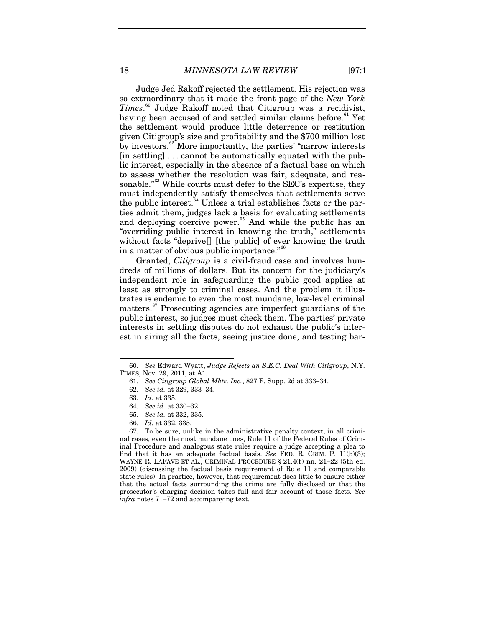<span id="page-18-8"></span>Judge Jed Rakoff rejected the settlement. His rejection was so extraordinary that it made the front page of the *New York Times*. [60](#page-18-0) Judge Rakoff noted that Citigroup was a recidivist, having been accused of and settled similar claims before.<sup>[61](#page-18-1)</sup> Yet the settlement would produce little deterrence or restitution given Citigroup's size and profitability and the \$700 million lost by investors.<sup>[62](#page-18-2)</sup> More importantly, the parties' "narrow interests" [in settling] . . . cannot be automatically equated with the public interest, especially in the absence of a factual base on which to assess whether the resolution was fair, adequate, and rea-sonable."<sup>[63](#page-18-3)</sup> While courts must defer to the SEC's expertise, they must independently satisfy themselves that settlements serve the public interest. $64$  Unless a trial establishes facts or the parties admit them, judges lack a basis for evaluating settlements and deploying coercive power.<sup>[65](#page-18-5)</sup> And while the public has an "overriding public interest in knowing the truth," settlements without facts "deprive[] [the public] of ever knowing the truth in a matter of obvious public importance."<sup>[66](#page-18-6)</sup>

Granted, *Citigroup* is a civil-fraud case and involves hundreds of millions of dollars. But its concern for the judiciary's independent role in safeguarding the public good applies at least as strongly to criminal cases. And the problem it illustrates is endemic to even the most mundane, low-level criminal matters.<sup>[67](#page-18-7)</sup> Prosecuting agencies are imperfect guardians of the public interest, so judges must check them. The parties' private interests in settling disputes do not exhaust the public's interest in airing all the facts, seeing justice done, and testing bar-

1

<span id="page-18-7"></span><span id="page-18-6"></span><span id="page-18-5"></span><span id="page-18-4"></span><span id="page-18-3"></span>67. To be sure, unlike in the administrative penalty context, in all criminal cases, even the most mundane ones, Rule 11 of the Federal Rules of Criminal Procedure and analogous state rules require a judge accepting a plea to find that it has an adequate factual basis. *See* FED. R. CRIM. P. 11(b)(3); WAYNE R. LAFAVE ET AL., CRIMINAL PROCEDURE § 21.4(f) nn. 21–22 (5th ed. 2009) (discussing the factual basis requirement of Rule 11 and comparable state rules). In practice, however, that requirement does little to ensure either that the actual facts surrounding the crime are fully disclosed or that the prosecutor's charging decision takes full and fair account of those facts. *See infra* notes [71–](#page-19-0)[72](#page-19-1) and accompanying text.

<span id="page-18-2"></span><span id="page-18-1"></span><span id="page-18-0"></span><sup>60.</sup> *See* Edward Wyatt, *Judge Rejects an S.E.C. Deal With Citigroup*, N.Y. TIMES, Nov. 29, 2011, at A1.

<sup>61.</sup> *See Citigroup Global Mkts. Inc.*, 827 F. Supp. 2d at 333**–**34.

<sup>62.</sup> *See id.* at 329, 333–34.

<sup>63.</sup> *Id.* at 335.

<sup>64.</sup> *See id.* at 330–32.

<sup>65.</sup> *See id.* at 332, 335.

<sup>66.</sup> *Id.* at 332, 335.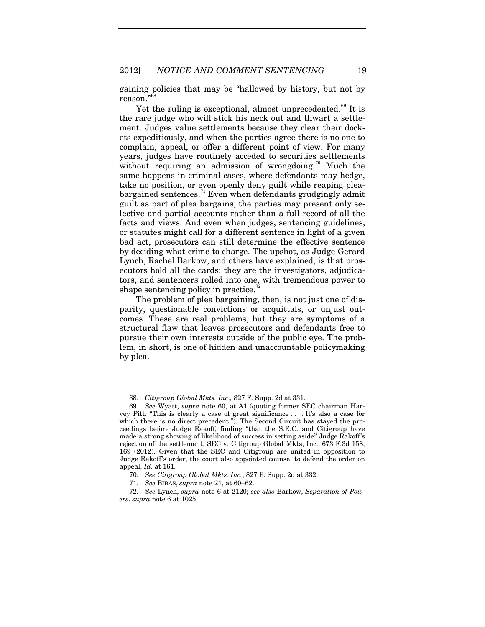gaining policies that may be "hallowed by history, but not by reason."<sup>6</sup>

<span id="page-19-0"></span>Yet the ruling is exceptional, almost unprecedented.<sup>[69](#page-19-3)</sup> It is the rare judge who will stick his neck out and thwart a settlement. Judges value settlements because they clear their dockets expeditiously, and when the parties agree there is no one to complain, appeal, or offer a different point of view. For many years, judges have routinely acceded to securities settlements without requiring an admission of wrongdoing.<sup>[70](#page-19-4)</sup> Much the same happens in criminal cases, where defendants may hedge, take no position, or even openly deny guilt while reaping plea-bargained sentences.<sup>[71](#page-19-5)</sup> Even when defendants grudgingly admit guilt as part of plea bargains, the parties may present only selective and partial accounts rather than a full record of all the facts and views. And even when judges, sentencing guidelines, or statutes might call for a different sentence in light of a given bad act, prosecutors can still determine the effective sentence by deciding what crime to charge. The upshot, as Judge Gerard Lynch, Rachel Barkow, and others have explained, is that prosecutors hold all the cards: they are the investigators, adjudicators, and sentencers rolled into one, with tremendous power to shape sentencing policy in practice.<sup>7</sup>

<span id="page-19-1"></span>The problem of plea bargaining, then, is not just one of disparity, questionable convictions or acquittals, or unjust outcomes. These are real problems, but they are symptoms of a structural flaw that leaves prosecutors and defendants free to pursue their own interests outside of the public eye. The problem, in short, is one of hidden and unaccountable policymaking by plea.

<sup>68.</sup> *Citigroup Global Mkts. Inc*.*,* 827 F. Supp. 2d at 331.

<span id="page-19-3"></span><span id="page-19-2"></span><sup>69.</sup> *See* Wyatt, *supra* note [60,](#page-18-8) at A1 (quoting former SEC chairman Harvey Pitt: "This is clearly a case of great significance . . . . It's also a case for which there is no direct precedent."). The Second Circuit has stayed the proceedings before Judge Rakoff, finding "that the S.E.C. and Citigroup have made a strong showing of likelihood of success in setting aside" Judge Rakoff's rejection of the settlement. SEC v. Citigroup Global Mkts, Inc., 673 F.3d 158, 169 (2012). Given that the SEC and Citigroup are united in opposition to Judge Rakoff's order, the court also appointed counsel to defend the order on appeal. *Id.* at 161.

<sup>70.</sup> *See Citigroup Global Mkts. Inc.*, 827 F. Supp. 2d at 332.

<sup>71.</sup> *See* BIBAS, *supra* not[e 21,](#page-10-6) at 60–62.

<span id="page-19-6"></span><span id="page-19-5"></span><span id="page-19-4"></span><sup>72.</sup> *See* Lynch, *supra* note [6](#page-4-3) at 2120; *see also* Barkow, *Separation of Powers*, *supra* note [6](#page-4-3) at 1025.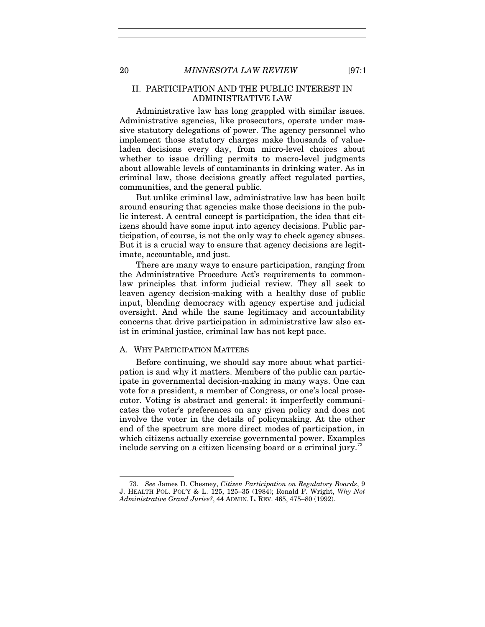## II. PARTICIPATION AND THE PUBLIC INTEREST IN ADMINISTRATIVE LAW

Administrative law has long grappled with similar issues. Administrative agencies, like prosecutors, operate under massive statutory delegations of power. The agency personnel who implement those statutory charges make thousands of valueladen decisions every day, from micro-level choices about whether to issue drilling permits to macro-level judgments about allowable levels of contaminants in drinking water. As in criminal law, those decisions greatly affect regulated parties, communities, and the general public.

But unlike criminal law, administrative law has been built around ensuring that agencies make those decisions in the public interest. A central concept is participation, the idea that citizens should have some input into agency decisions. Public participation, of course, is not the only way to check agency abuses. But it is a crucial way to ensure that agency decisions are legitimate, accountable, and just.

There are many ways to ensure participation, ranging from the Administrative Procedure Act's requirements to commonlaw principles that inform judicial review. They all seek to leaven agency decision-making with a healthy dose of public input, blending democracy with agency expertise and judicial oversight. And while the same legitimacy and accountability concerns that drive participation in administrative law also exist in criminal justice, criminal law has not kept pace.

### A. WHY PARTICIPATION MATTERS

Before continuing, we should say more about what participation is and why it matters. Members of the public can participate in governmental decision-making in many ways. One can vote for a president, a member of Congress, or one's local prosecutor. Voting is abstract and general: it imperfectly communicates the voter's preferences on any given policy and does not involve the voter in the details of policymaking. At the other end of the spectrum are more direct modes of participation, in which citizens actually exercise governmental power. Examples include serving on a citizen licensing board or a criminal jury.<sup>[73](#page-20-0)</sup>

<span id="page-20-1"></span><span id="page-20-0"></span><sup>73.</sup> *See* James D. Chesney, *Citizen Participation on Regulatory Boards*, 9 J. HEALTH POL. POL'Y & L. 125, 125–35 (1984); Ronald F. Wright, *Why Not Administrative Grand Juries?*, 44 ADMIN. L. REV. 465, 475–80 (1992).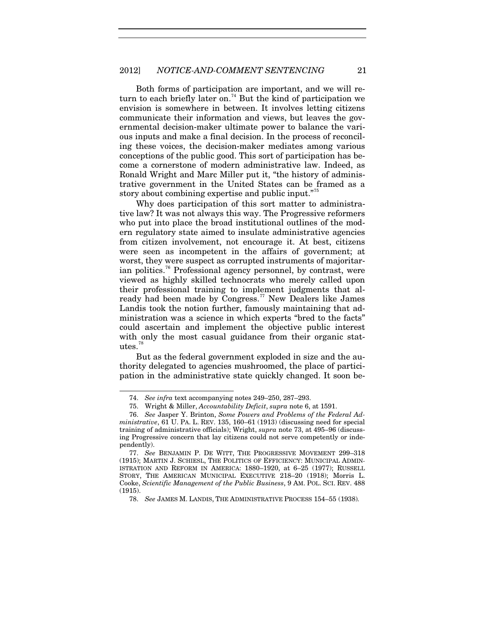Both forms of participation are important, and we will re-turn to each briefly later on.<sup>[74](#page-21-0)</sup> But the kind of participation we envision is somewhere in between. It involves letting citizens communicate their information and views, but leaves the governmental decision-maker ultimate power to balance the various inputs and make a final decision. In the process of reconciling these voices, the decision-maker mediates among various conceptions of the public good. This sort of participation has become a cornerstone of modern administrative law. Indeed, as Ronald Wright and Marc Miller put it, "the history of administrative government in the United States can be framed as a story about combining expertise and public input."<sup>[75](#page-21-1)</sup>

Why does participation of this sort matter to administrative law? It was not always this way. The Progressive reformers who put into place the broad institutional outlines of the modern regulatory state aimed to insulate administrative agencies from citizen involvement, not encourage it. At best, citizens were seen as incompetent in the affairs of government; at worst, they were suspect as corrupted instruments of majoritar-ian politics.<sup>[76](#page-21-2)</sup> Professional agency personnel, by contrast, were viewed as highly skilled technocrats who merely called upon their professional training to implement judgments that al-ready had been made by Congress.<sup>[77](#page-21-3)</sup> New Dealers like James Landis took the notion further, famously maintaining that administration was a science in which experts "bred to the facts" could ascertain and implement the objective public interest with only the most casual guidance from their organic stat- $10^{\circ}$ 

But as the federal government exploded in size and the authority delegated to agencies mushroomed, the place of participation in the administrative state quickly changed. It soon be-

<sup>74.</sup> *See infra* text accompanying notes [249](#page-55-0)[–250,](#page-56-0) [287](#page-62-0)[–293.](#page-63-0)

<sup>75.</sup> Wright & Miller, *Accountability Deficit*, *supra* note [6,](#page-4-3) at 1591.

<span id="page-21-2"></span><span id="page-21-1"></span><span id="page-21-0"></span><sup>76.</sup> *See* Jasper Y. Brinton, *Some Powers and Problems of the Federal Administrative*, 61 U. PA. L. REV. 135, 160–61 (1913) (discussing need for special training of administrative officials); Wright, *supra* note [73,](#page-20-1) at 495–96 (discussing Progressive concern that lay citizens could not serve competently or independently).

<span id="page-21-4"></span><span id="page-21-3"></span><sup>77.</sup> *See* BENJAMIN P. DE WITT, THE PROGRESSIVE MOVEMENT 299–318 (1915); MARTIN J. SCHIESL, THE POLITICS OF EFFICIENCY: MUNICIPAL ADMIN-ISTRATION AND REFORM IN AMERICA: 1880–1920, at 6–25 (1977); RUSSELL STORY, THE AMERICAN MUNICIPAL EXECUTIVE 218–20 (1918); Morris L. Cooke, *Scientific Management of the Public Business*, 9 AM. POL. SCI. REV. 488 (1915).

<sup>78.</sup> *See* JAMES M. LANDIS, THE ADMINISTRATIVE PROCESS 154–55 (1938)*.*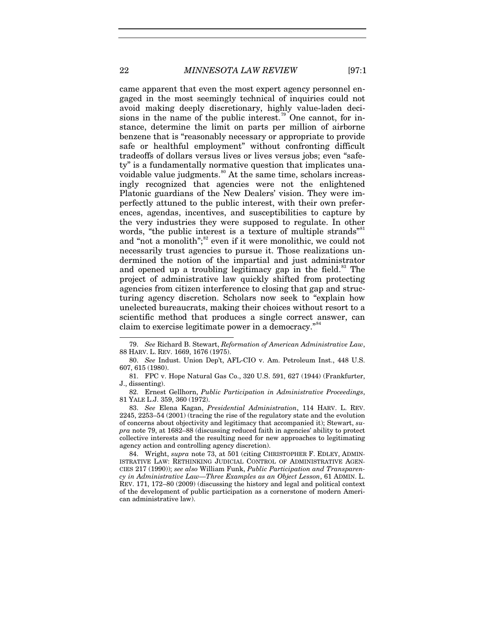<span id="page-22-0"></span>came apparent that even the most expert agency personnel engaged in the most seemingly technical of inquiries could not avoid making deeply discretionary, highly value-laden deci-sions in the name of the public interest.<sup>[79](#page-22-1)</sup> One cannot, for instance, determine the limit on parts per million of airborne benzene that is "reasonably necessary or appropriate to provide safe or healthful employment" without confronting difficult tradeoffs of dollars versus lives or lives versus jobs; even "safety" is a fundamentally normative question that implicates una-voidable value judgments.<sup>[80](#page-22-2)</sup> At the same time, scholars increasingly recognized that agencies were not the enlightened Platonic guardians of the New Dealers' vision. They were imperfectly attuned to the public interest, with their own preferences, agendas, incentives, and susceptibilities to capture by the very industries they were supposed to regulate. In other words, "the public interest is a texture of multiple strands" and "not a monolith";<sup>[82](#page-22-4)</sup> even if it were monolithic, we could not necessarily trust agencies to pursue it. Those realizations undermined the notion of the impartial and just administrator and opened up a troubling legitimacy gap in the field.<sup>[83](#page-22-5)</sup> The project of administrative law quickly shifted from protecting agencies from citizen interference to closing that gap and structuring agency discretion. Scholars now seek to "explain how unelected bureaucrats, making their choices without resort to a scientific method that produces a single correct answer, can claim to exercise legitimate power in a democracy."<sup>[84](#page-22-6)</sup>

<span id="page-22-7"></span><span id="page-22-1"></span><sup>79.</sup> *See* Richard B. Stewart, *Reformation of American Administrative Law*, 88 HARV. L. REV. 1669, 1676 (1975).

<span id="page-22-2"></span><sup>80.</sup> *See* Indust. Union Dep't, AFL-CIO v. Am. Petroleum Inst., 448 U.S. 607, 615 (1980).

<span id="page-22-3"></span><sup>81.</sup> FPC v. Hope Natural Gas Co., 320 U.S. 591, 627 (1944) (Frankfurter, J., dissenting).

<span id="page-22-4"></span><sup>82.</sup> Ernest Gellhorn, *Public Participation in Administrative Proceedings*, 81 YALE L.J. 359, 360 (1972).

<span id="page-22-5"></span><sup>83.</sup> *See* Elena Kagan, *Presidential Administration*, 114 HARV. L. REV. 2245, 2253–54 (2001) (tracing the rise of the regulatory state and the evolution of concerns about objectivity and legitimacy that accompanied it); Stewart, *supra* not[e 79,](#page-22-0) at 1682–88 (discussing reduced faith in agencies' ability to protect collective interests and the resulting need for new approaches to legitimating agency action and controlling agency discretion).

<span id="page-22-6"></span><sup>84.</sup> Wright, *supra* note [73,](#page-20-1) at 501 (citing CHRISTOPHER F. EDLEY, ADMIN-ISTRATIVE LAW: RETHINKING JUDICIAL CONTROL OF ADMINISTRATIVE AGEN-CIES 217 (1990)); *see also* William Funk, *Public Participation and Transparency in Administrative Law—Three Examples as an Object Lesson*, 61 ADMIN. L. REV. 171, 172–80 (2009) (discussing the history and legal and political context of the development of public participation as a cornerstone of modern American administrative law).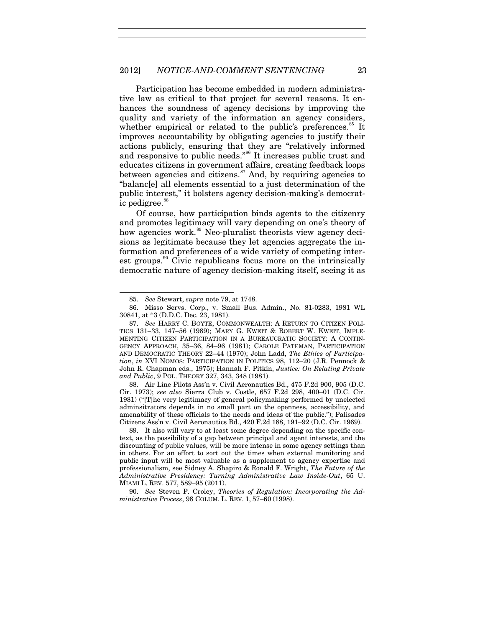#### 2012] *NOTICE-AND-COMMENT SENTENCING* 23

Participation has become embedded in modern administrative law as critical to that project for several reasons. It enhances the soundness of agency decisions by improving the quality and variety of the information an agency considers, whether empirical or related to the public's preferences.<sup>[85](#page-23-0)</sup> It improves accountability by obligating agencies to justify their actions publicly, ensuring that they are "relatively informed and responsive to public needs."<sup>[86](#page-23-1)</sup> It increases public trust and educates citizens in government affairs, creating feedback loops between agencies and citizens. $87$  And, by requiring agencies to "balanc[e] all elements essential to a just determination of the public interest," it bolsters agency decision-making's democrat-ic pedigree.<sup>[88](#page-23-3)</sup>

Of course, how participation binds agents to the citizenry and promotes legitimacy will vary depending on one's theory of how agencies work.<sup>[89](#page-23-4)</sup> Neo-pluralist theorists view agency decisions as legitimate because they let agencies aggregate the information and preferences of a wide variety of competing inter-est groups.<sup>[90](#page-23-5)</sup> Civic republicans focus more on the intrinsically democratic nature of agency decision-making itself, seeing it as

-

<span id="page-23-3"></span>88. Air Line Pilots Ass'n v. Civil Aeronautics Bd., 475 F.2d 900, 905 (D.C. Cir. 1973); *see also* Sierra Club v. Costle, 657 F.2d 298, 400–01 (D.C. Cir. 1981) ("[T]he very legitimacy of general policymaking performed by unelected adminsitrators depends in no small part on the openness, accessibility, and amenability of these officials to the needs and ideas of the public."); Palisades Citizens Ass'n v. Civil Aeronautics Bd., 420 F.2d 188, 191–92 (D.C. Cir. 1969).

<span id="page-23-4"></span>89. It also will vary to at least some degree depending on the specific context, as the possibility of a gap between principal and agent interests, and the discounting of public values, will be more intense in some agency settings than in others. For an effort to sort out the times when external monitoring and public input will be most valuable as a supplement to agency expertise and professionalism, see Sidney A. Shapiro & Ronald F. Wright, *The Future of the Administrative Presidency: Turning Administrative Law Inside-Out*, 65 U. MIAMI L. REV. 577, 589–95 (2011).

<span id="page-23-5"></span>90. *See* Steven P. Croley, *Theories of Regulation: Incorporating the Administrative Process*, 98 COLUM. L. REV. 1, 57–60 (1998).

<span id="page-23-6"></span><sup>85.</sup> *See* Stewart, *supra* note [79,](#page-22-0) at 1748.

<span id="page-23-1"></span><span id="page-23-0"></span><sup>86.</sup> Misso Servs. Corp., v. Small Bus. Admin., No. 81-0283, 1981 WL 30841, at \*3 (D.D.C. Dec. 23, 1981).

<span id="page-23-2"></span><sup>87.</sup> *See* HARRY C. BOYTE, COMMONWEALTH: A RETURN TO CITIZEN POLI-TICS 131–33, 147–56 (1989); MARY G. KWEIT & ROBERT W. KWEIT, IMPLE-MENTING CITIZEN PARTICIPATION IN A BUREAUCRATIC SOCIETY: A CONTIN-GENCY APPROACH, 35–36, 84–96 (1981); CAROLE PATEMAN, PARTICIPATION AND DEMOCRATIC THEORY 22–44 (1970); John Ladd, *The Ethics of Participation*, *in* XVI NOMOS: PARTICIPATION IN POLITICS 98, 112–20 (J.R. Pennock & John R. Chapman eds., 1975); Hannah F. Pitkin, *Justice: On Relating Private and Public*, 9 POL. THEORY 327, 343, 348 (1981).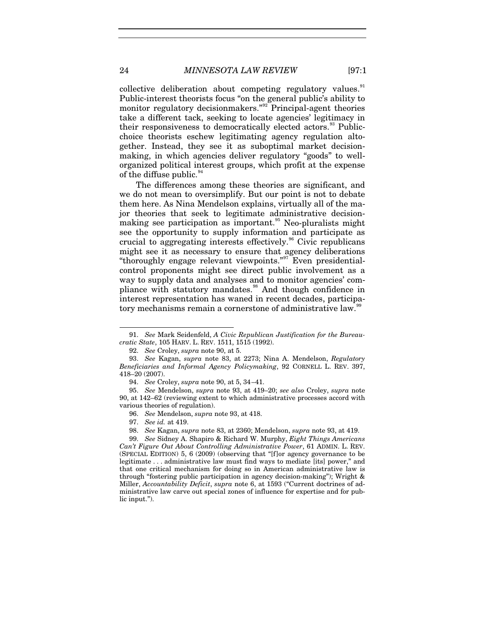collective deliberation about competing regulatory values.<sup>[91](#page-24-1)</sup> Public-interest theorists focus "on the general public's ability to monitor regulatory decisionmakers."<sup>[92](#page-24-2)</sup> Principal-agent theories take a different tack, seeking to locate agencies' legitimacy in their responsiveness to democratically elected actors.<sup>[93](#page-24-3)</sup> Publicchoice theorists eschew legitimating agency regulation altogether. Instead, they see it as suboptimal market decisionmaking, in which agencies deliver regulatory "goods" to wellorganized political interest groups, which profit at the expense of the diffuse public. $94$ 

The differences among these theories are significant, and we do not mean to oversimplify. But our point is not to debate them here. As Nina Mendelson explains, virtually all of the major theories that seek to legitimate administrative decision-making see participation as important.<sup>[95](#page-24-5)</sup> Neo-pluralists might see the opportunity to supply information and participate as crucial to aggregating interests effectively.<sup>[96](#page-24-6)</sup> Civic republicans might see it as necessary to ensure that agency deliberations "thoroughly engage relevant viewpoints."[97](#page-24-7) Even presidentialcontrol proponents might see direct public involvement as a way to supply data and analyses and to monitor agencies' com-pliance with statutory mandates.<sup>[98](#page-24-8)</sup> And though confidence in interest representation has waned in recent decades, participa-tory mechanisms remain a cornerstone of administrative law.<sup>[99](#page-24-9)</sup>

<span id="page-24-0"></span>

1

<span id="page-24-1"></span><sup>91.</sup> *See* Mark Seidenfeld, *A Civic Republican Justification for the Bureaucratic State*, 105 HARV. L. REV. 1511, 1515 (1992).

<sup>92.</sup> *See* Croley, *supra* note [90,](#page-23-6) at 5.

<span id="page-24-3"></span><span id="page-24-2"></span><sup>93.</sup> *See* Kagan, *supra* note [83,](#page-22-7) at 2273; Nina A. Mendelson, *Regulatory Beneficiaries and Informal Agency Policymaking*, 92 CORNELL L. REV. 397, 418–20 (2007).

<sup>94.</sup> *See* Croley, *supra* note [90,](#page-23-6) at 5, 34–41.

<span id="page-24-6"></span><span id="page-24-5"></span><span id="page-24-4"></span><sup>95.</sup> *See* Mendelson, *supra* note [93,](#page-24-0) at 419–20; *see also* Croley, *supra* note [90,](#page-23-6) at 142–62 (reviewing extent to which administrative processes accord with various theories of regulation).

<sup>96.</sup> *See* Mendelson, *supra* note [93,](#page-24-0) at 418.

<sup>97.</sup> *See id.* at 419.

<sup>98.</sup> *See* Kagan, *supra* not[e 83,](#page-22-7) at 2360; Mendelson, *supra* note [93,](#page-24-0) at 419.

<span id="page-24-9"></span><span id="page-24-8"></span><span id="page-24-7"></span><sup>99.</sup> *See* Sidney A. Shapiro & Richard W. Murphy, *Eight Things Americans Can't Figure Out About Controlling Administrative Power*, 61 ADMIN. L. REV. (SPECIAL EDITION) 5, 6 (2009) (observing that "[f]or agency governance to be legitimate . . . administrative law must find ways to mediate [its] power," and that one critical mechanism for doing so in American administrative law is through "fostering public participation in agency decision-making"); Wright & Miller, *Accountability Deficit*, *supra* note [6,](#page-4-3) at 1593 ("Current doctrines of administrative law carve out special zones of influence for expertise and for public input.").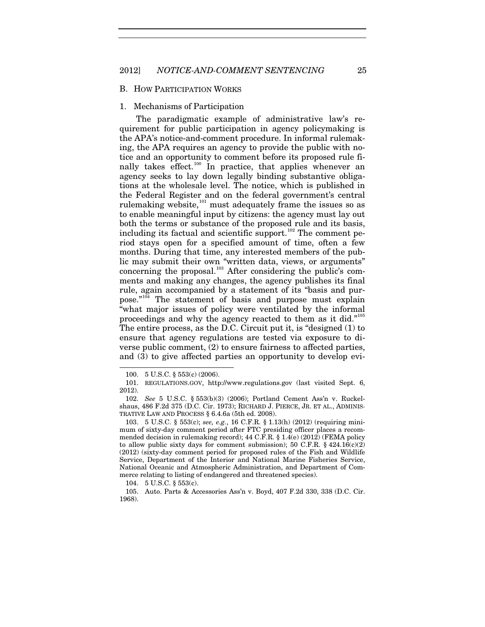#### 2012] *NOTICE-AND-COMMENT SENTENCING* 25

#### B. HOW PARTICIPATION WORKS

### 1. Mechanisms of Participation

The paradigmatic example of administrative law's requirement for public participation in agency policymaking is the APA's notice-and-comment procedure. In informal rulemaking, the APA requires an agency to provide the public with notice and an opportunity to comment before its proposed rule fi-nally takes effect.<sup>[100](#page-25-0)</sup> In practice, that applies whenever an agency seeks to lay down legally binding substantive obligations at the wholesale level. The notice, which is published in the Federal Register and on the federal government's central rulemaking website, $^{101}$  $^{101}$  $^{101}$  must adequately frame the issues so as to enable meaningful input by citizens: the agency must lay out both the terms or substance of the proposed rule and its basis, including its factual and scientific support.<sup>[102](#page-25-2)</sup> The comment period stays open for a specified amount of time, often a few months. During that time, any interested members of the public may submit their own "written data, views, or arguments" concerning the proposal.<sup>[103](#page-25-3)</sup> After considering the public's comments and making any changes, the agency publishes its final rule, again accompanied by a statement of its "basis and purpose." $104}$  $104}$  The statement of basis and purpose must explain "what major issues of policy were ventilated by the informal proceedings and why the agency reacted to them as it did."[105](#page-25-5) The entire process, as the D.C. Circuit put it, is "designed (1) to ensure that agency regulations are tested via exposure to diverse public comment, (2) to ensure fairness to affected parties, and (3) to give affected parties an opportunity to develop evi-

-

104. 5 U.S.C. § 553(c).

<span id="page-25-6"></span>

<sup>100.</sup> 5 U.S.C. § 553(c) (2006).

<span id="page-25-1"></span><span id="page-25-0"></span><sup>101.</sup> REGULATIONS.GOV, http://www.regulations.gov (last visited Sept. 6, 2012).

<span id="page-25-2"></span><sup>102.</sup> *See* 5 U.S.C. § 553(b)(3) (2006); Portland Cement Ass'n v. Ruckelshaus, 486 F.2d 375 (D.C. Cir. 1973); RICHARD J. PIERCE, JR. ET AL., ADMINIS-TRATIVE LAW AND PROCESS § 6.4.6a (5th ed. 2008).

<span id="page-25-3"></span><sup>103.</sup> 5 U.S.C. § 553(c); *see, e.g.*, 16 C.F.R. § 1.13(h) (2012) (requiring minimum of sixty-day comment period after FTC presiding officer places a recommended decision in rulemaking record); 44 C.F.R. § 1.4(e) (2012) (FEMA policy to allow public sixty days for comment submission); 50 C.F.R. § 424.16(c)(2) (2012) (sixty-day comment period for proposed rules of the Fish and Wildlife Service, Department of the Interior and National Marine Fisheries Service, National Oceanic and Atmospheric Administration, and Department of Commerce relating to listing of endangered and threatened species).

<span id="page-25-5"></span><span id="page-25-4"></span><sup>105.</sup> Auto. Parts & Accessories Ass'n v. Boyd, 407 F.2d 330, 338 (D.C. Cir. 1968).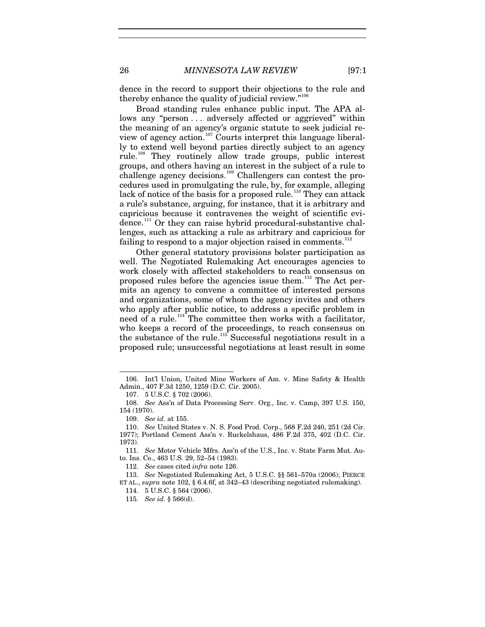dence in the record to support their objections to the rule and thereby enhance the quality of judicial review."<sup>[106](#page-26-0)</sup>

Broad standing rules enhance public input. The APA allows any "person... adversely affected or aggrieved" within the meaning of an agency's organic statute to seek judicial review of agency action.[107](#page-26-1) Courts interpret this language liberally to extend well beyond parties directly subject to an agency rule.[108](#page-26-2) They routinely allow trade groups, public interest groups, and others having an interest in the subject of a rule to challenge agency decisions.<sup>[109](#page-26-3)</sup> Challengers can contest the procedures used in promulgating the rule, by, for example, alleging lack of notice of the basis for a proposed rule.<sup>[110](#page-26-4)</sup> They can attack a rule's substance, arguing, for instance, that it is arbitrary and capricious because it contravenes the weight of scientific evi-dence.<sup>[111](#page-26-5)</sup> Or they can raise hybrid procedural-substantive challenges, such as attacking a rule as arbitrary and capricious for failing to respond to a major objection raised in comments.<sup>[112](#page-26-6)</sup>

Other general statutory provisions bolster participation as well. The Negotiated Rulemaking Act encourages agencies to work closely with affected stakeholders to reach consensus on proposed rules before the agencies issue them.<sup>[113](#page-26-7)</sup> The Act permits an agency to convene a committee of interested persons and organizations, some of whom the agency invites and others who apply after public notice, to address a specific problem in need of a rule.<sup>[114](#page-26-8)</sup> The committee then works with a facilitator, who keeps a record of the proceedings, to reach consensus on the substance of the rule.<sup>[115](#page-26-9)</sup> Successful negotiations result in a proposed rule; unsuccessful negotiations at least result in some

-

<span id="page-26-5"></span>111. *See* Motor Vehicle Mfrs. Ass'n of the U.S., Inc. v. State Farm Mut. Auto. Ins. Co., 463 U.S. 29, 52–54 (1983).

115. *See id.* § 566(d).

<span id="page-26-0"></span><sup>106.</sup> Int'l Union, United Mine Workers of Am. v. Mine Safety & Health Admin., 407 F.3d 1250, 1259 (D.C. Cir. 2005).

<sup>107.</sup> 5 U.S.C. § 702 (2006).

<span id="page-26-2"></span><span id="page-26-1"></span><sup>108.</sup> *See* Ass'n of Data Processing Serv. Org., Inc. v. Camp, 397 U.S. 150, 154 (1970).

<sup>109.</sup> *See id.* at 155.

<span id="page-26-4"></span><span id="page-26-3"></span><sup>110.</sup> *See* United States v. N. S. Food Prod. Corp., 568 F.2d 240, 251 (2d Cir. 1977); Portland Cement Ass'n v. Ruckelshaus, 486 F.2d 375, 402 (D.C. Cir. 1973).

<sup>112.</sup> *See* cases cited *infra* note [126.](#page-29-0)

<span id="page-26-9"></span><span id="page-26-8"></span><span id="page-26-7"></span><span id="page-26-6"></span><sup>113.</sup> *See* Negotiated Rulemaking Act, 5 U.S.C. §§ 561–570a (2006); PIERCE ET AL., *supra* not[e 102,](#page-25-6) § 6.4.6f, at 342–43 (describing negotiated rulemaking).

<sup>114.</sup> 5 U.S.C. § 564 (2006).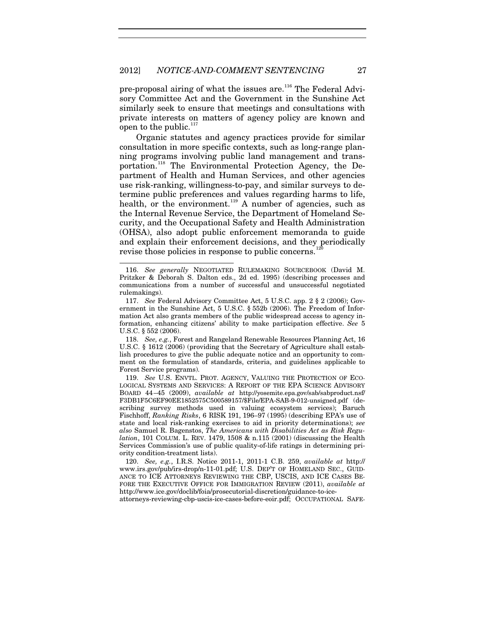pre-proposal airing of what the issues are.<sup>[116](#page-27-0)</sup> The Federal Advisory Committee Act and the Government in the Sunshine Act similarly seek to ensure that meetings and consultations with private interests on matters of agency policy are known and open to the public. $117$ 

Organic statutes and agency practices provide for similar consultation in more specific contexts, such as long-range planning programs involving public land management and trans-portation.<sup>[118](#page-27-2)</sup> The Environmental Protection Agency, the Department of Health and Human Services, and other agencies use risk-ranking, willingness-to-pay, and similar surveys to determine public preferences and values regarding harms to life, health, or the environment.<sup>[119](#page-27-3)</sup> A number of agencies, such as the Internal Revenue Service, the Department of Homeland Security, and the Occupational Safety and Health Administration (OHSA), also adopt public enforcement memoranda to guide and explain their enforcement decisions, and they periodically revise those policies in response to public concerns.<sup>12</sup>

<span id="page-27-0"></span><sup>116.</sup> *See generally* NEGOTIATED RULEMAKING SOURCEBOOK (David M. Pritzker & Deborah S. Dalton eds., 2d ed. 1995) (describing processes and communications from a number of successful and unsuccessful negotiated rulemakings).

<span id="page-27-1"></span><sup>117.</sup> *See* Federal Advisory Committee Act, 5 U.S.C. app. 2 § 2 (2006); Government in the Sunshine Act, 5 U.S.C. § 552b (2006). The Freedom of Information Act also grants members of the public widespread access to agency information, enhancing citizens' ability to make participation effective. *See* 5 U.S.C. § 552 (2006).

<span id="page-27-2"></span><sup>118.</sup> *See, e.g.*, Forest and Rangeland Renewable Resources Planning Act, 16 U.S.C. § 1612 (2006) (providing that the Secretary of Agriculture shall establish procedures to give the public adequate notice and an opportunity to comment on the formulation of standards, criteria, and guidelines applicable to Forest Service programs).

<span id="page-27-3"></span><sup>119.</sup> *See* U.S. ENVTL. PROT. AGENCY, VALUING THE PROTECTION OF ECO-LOGICAL SYSTEMS AND SERVICES: A REPORT OF THE EPA SCIENCE ADVISORY BOARD 44–45 (2009), *available at* http://yosemite.epa.gov/sab/sabproduct.nsf/ F3DB1F5C6EF90EE1852575C500589157/\$File/EPA-SAB-9-012-unsigned.pdf (describing survey methods used in valuing ecosystem services); Baruch Fischhoff, *Ranking Risks*, 6 RISK 191, 196–97 (1995) (describing EPA's use of state and local risk-ranking exercises to aid in priority determinations); *see also* Samuel R. Bagenstos, *The Americans with Disabilities Act as Risk Regulation*, 101 COLUM. L. REV. 1479, 1508 & n.115 (2001) (discussing the Health Services Commission's use of public quality-of-life ratings in determining priority condition-treatment lists).

<span id="page-27-4"></span><sup>120.</sup> *See, e.g.*, I.R.S. Notice 2011-1, 2011-1 C.B. 259, *available at* http:// www.irs.gov/pub/irs-drop/n-11-01.pdf; U.S. DEP'T OF HOMELAND SEC., GUID-ANCE TO ICE ATTORNEYS REVIEWING THE CBP, USCIS, AND ICE CASES BE-FORE THE EXECUTIVE OFFICE FOR IMMIGRATION REVIEW (2011), *available at* http://www.ice.gov/doclib/foia/prosecutorial-discretion/guidance-to-ice-

attorneys-reviewing-cbp-uscis-ice-cases-before-eoir.pdf; OCCUPATIONAL SAFE-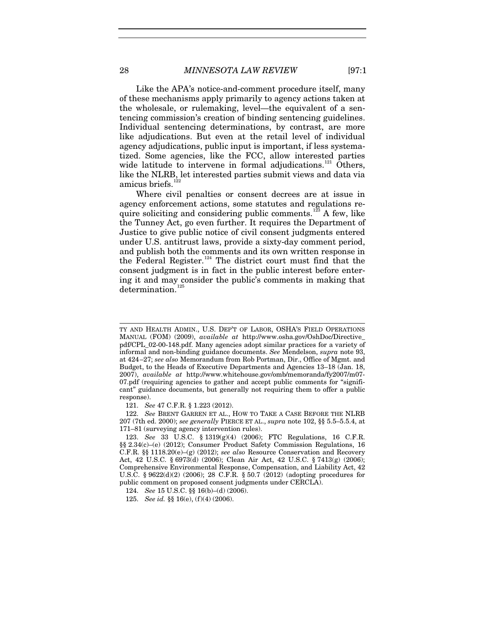Like the APA's notice-and-comment procedure itself, many of these mechanisms apply primarily to agency actions taken at the wholesale, or rulemaking, level—the equivalent of a sentencing commission's creation of binding sentencing guidelines. Individual sentencing determinations, by contrast, are more like adjudications. But even at the retail level of individual agency adjudications, public input is important, if less systematized. Some agencies, like the FCC, allow interested parties wide latitude to intervene in formal adjudications.<sup>[121](#page-28-0)</sup> Others, like the NLRB, let interested parties submit views and data via amicus briefs. $122$ 

Where civil penalties or consent decrees are at issue in agency enforcement actions, some statutes and regulations re-quire soliciting and considering public comments.<sup>[123](#page-28-2)</sup> A few, like the Tunney Act, go even further. It requires the Department of Justice to give public notice of civil consent judgments entered under U.S. antitrust laws, provide a sixty-day comment period, and publish both the comments and its own written response in the Federal Register.<sup>[124](#page-28-3)</sup> The district court must find that the consent judgment is in fact in the public interest before entering it and may consider the public's comments in making that determination.<sup>[125](#page-28-4)</sup>

 $\overline{a}$ 

TY AND HEALTH ADMIN., U.S. DEP'T OF LABOR, OSHA'S FIELD OPERATIONS MANUAL (FOM) (2009), *available at* http://www.osha.gov/OshDoc/Directive\_ pdf/CPL\_02-00-148.pdf. Many agencies adopt similar practices for a variety of informal and non-binding guidance documents. *See* Mendelson, *supra* note [93,](#page-24-0)  at 424–27; *see also* Memorandum from Rob Portman, Dir., Office of Mgmt. and Budget, to the Heads of Executive Departments and Agencies 13–18 (Jan. 18, 2007), *available at* http://www.whitehouse.gov/omb/memoranda/fy2007/m07- 07.pdf (requiring agencies to gather and accept public comments for "significant" guidance documents, but generally not requiring them to offer a public response).

<sup>121.</sup> *See* 47 C.F.R. § 1.223 (2012).

<span id="page-28-1"></span><span id="page-28-0"></span><sup>122.</sup> *See* BRENT GARREN ET AL., HOW TO TAKE A CASE BEFORE THE NLRB 207 (7th ed. 2000); *see generally* PIERCE ET AL., *supra* not[e 102,](#page-25-6) §§ 5.5–5.5.4, at 171–81 (surveying agency intervention rules).

<span id="page-28-2"></span><sup>123.</sup> *See* 33 U.S.C. § 1319(g)(4) (2006); FTC Regulations, 16 C.F.R. §§ 2.34(c)–(e) (2012); Consumer Product Safety Commission Regulations, 16 C.F.R. §§ 1118.20(e)–(g) (2012); *see also* Resource Conservation and Recovery Act, 42 U.S.C. § 6973(d) (2006); Clean Air Act, 42 U.S.C. § 7413(g) (2006); Comprehensive Environmental Response, Compensation, and Liability Act, 42 U.S.C. § 9622(d)(2) (2006); 28 C.F.R. § 50.7 (2012) (adopting procedures for public comment on proposed consent judgments under CERCLA).

<span id="page-28-3"></span><sup>124.</sup> *See* 15 U.S.C. §§ 16(b)–(d) (2006).

<span id="page-28-4"></span><sup>125.</sup> *See id.* §§ 16(e), (f)(4) (2006).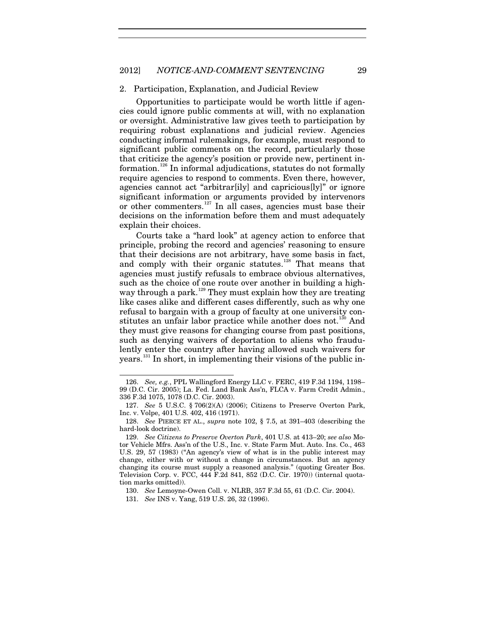#### 2012] *NOTICE-AND-COMMENT SENTENCING* 29

#### 2. Participation, Explanation, and Judicial Review

<span id="page-29-0"></span>Opportunities to participate would be worth little if agencies could ignore public comments at will, with no explanation or oversight. Administrative law gives teeth to participation by requiring robust explanations and judicial review. Agencies conducting informal rulemakings, for example, must respond to significant public comments on the record, particularly those that criticize the agency's position or provide new, pertinent information.[126](#page-29-1) In informal adjudications, statutes do not formally require agencies to respond to comments. Even there, however, agencies cannot act "arbitrar[ily] and capricious[ly]" or ignore significant information or arguments provided by intervenors or other commenters.<sup>[127](#page-29-2)</sup> In all cases, agencies must base their decisions on the information before them and must adequately explain their choices.

Courts take a "hard look" at agency action to enforce that principle, probing the record and agencies' reasoning to ensure that their decisions are not arbitrary, have some basis in fact, and comply with their organic statutes.<sup>[128](#page-29-3)</sup> That means that agencies must justify refusals to embrace obvious alternatives, such as the choice of one route over another in building a high-way through a park.<sup>[129](#page-29-4)</sup> They must explain how they are treating like cases alike and different cases differently, such as why one refusal to bargain with a group of faculty at one university con-stitutes an unfair labor practice while another does not.<sup>[130](#page-29-5)</sup> And they must give reasons for changing course from past positions, such as denying waivers of deportation to aliens who fraudulently enter the country after having allowed such waivers for years.<sup>[131](#page-29-6)</sup> In short, in implementing their visions of the public in-

1

<span id="page-29-1"></span><sup>126.</sup> *See, e.g.*, PPL Wallingford Energy LLC v. FERC, 419 F.3d 1194, 1198– 99 (D.C. Cir. 2005); La. Fed. Land Bank Ass'n, FLCA v. Farm Credit Admin., 336 F.3d 1075, 1078 (D.C. Cir. 2003).

<span id="page-29-2"></span><sup>127.</sup> *See* 5 U.S.C. § 706(2)(A) (2006); Citizens to Preserve Overton Park, Inc. v. Volpe, 401 U.S. 402, 416 (1971).

<span id="page-29-3"></span><sup>128.</sup> *See* PIERCE ET AL., *supra* note [102,](#page-25-6) § 7.5, at 391–403 (describing the hard-look doctrine).

<span id="page-29-4"></span><sup>129.</sup> *See Citizens to Preserve Overton Park*, 401 U.S. at 413–20; *see also* Motor Vehicle Mfrs. Ass'n of the U.S., Inc. v. State Farm Mut. Auto. Ins. Co., 463 U.S. 29, 57 (1983) ("An agency's view of what is in the public interest may change, either with or without a change in circumstances. But an agency changing its course must supply a reasoned analysis." (quoting Greater Bos. Television Corp. v. FCC, 444 F.2d 841, 852 (D.C. Cir. 1970)) (internal quotation marks omitted)).

<sup>130.</sup> *See* Lemoyne-Owen Coll. v. NLRB, 357 F.3d 55, 61 (D.C. Cir. 2004).

<span id="page-29-6"></span><span id="page-29-5"></span><sup>131.</sup> *See* INS v. Yang, 519 U.S. 26, 32 (1996).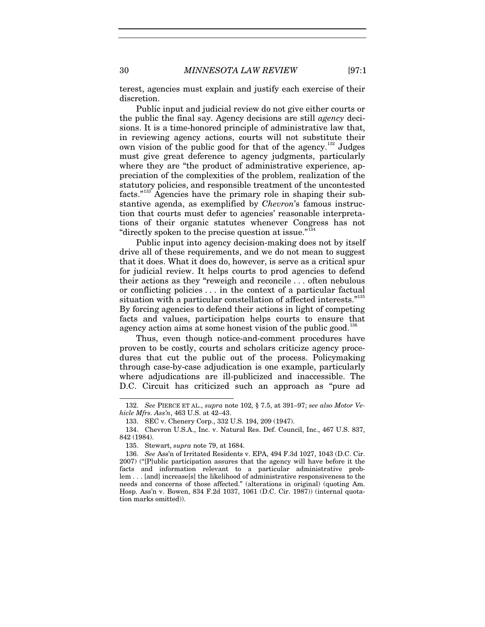terest, agencies must explain and justify each exercise of their discretion.

Public input and judicial review do not give either courts or the public the final say. Agency decisions are still *agency* decisions. It is a time-honored principle of administrative law that, in reviewing agency actions, courts will not substitute their own vision of the public good for that of the agency.<sup>[132](#page-30-0)</sup> Judges must give great deference to agency judgments, particularly where they are "the product of administrative experience, appreciation of the complexities of the problem, realization of the statutory policies, and responsible treatment of the uncontested facts."[133](#page-30-1) Agencies have the primary role in shaping their substantive agenda, as exemplified by *Chevron*'s famous instruction that courts must defer to agencies' reasonable interpretations of their organic statutes whenever Congress has not "directly spoken to the precise question at issue."[134](#page-30-2)

Public input into agency decision-making does not by itself drive all of these requirements, and we do not mean to suggest that it does. What it does do, however, is serve as a critical spur for judicial review. It helps courts to prod agencies to defend their actions as they "reweigh and reconcile . . . often nebulous or conflicting policies . . . in the context of a particular factual situation with a particular constellation of affected interests."<sup>[135](#page-30-3)</sup> By forcing agencies to defend their actions in light of competing facts and values, participation helps courts to ensure that agency action aims at some honest vision of the public good.<sup>[136](#page-30-4)</sup>

Thus, even though notice-and-comment procedures have proven to be costly, courts and scholars criticize agency procedures that cut the public out of the process. Policymaking through case-by-case adjudication is one example, particularly where adjudications are ill-publicized and inaccessible. The D.C. Circuit has criticized such an approach as "pure ad

<span id="page-30-0"></span><sup>132.</sup> *See* PIERCE ET AL., *supra* note [102,](#page-25-6) § 7.5, at 391–97; *see also Motor Vehicle Mfrs. Ass'n*, 463 U.S. at 42–43.

<sup>133.</sup> SEC v. Chenery Corp., 332 U.S. 194, 209 (1947).

<span id="page-30-2"></span><span id="page-30-1"></span><sup>134.</sup> Chevron U.S.A., Inc. v. Natural Res. Def. Council, Inc., 467 U.S. 837, 842 (1984).

<sup>135.</sup> Stewart, *supra* note [79,](#page-22-0) at 1684.

<span id="page-30-4"></span><span id="page-30-3"></span><sup>136.</sup> *See* Ass'n of Irritated Residents v. EPA, 494 F.3d 1027, 1043 (D.C. Cir. 2007) ("[P]ublic participation assures that the agency will have before it the facts and information relevant to a particular administrative problem . . . [and] increase[s] the likelihood of administrative responsiveness to the needs and concerns of those affected." (alterations in original) (quoting Am. Hosp. Ass'n v. Bowen, 834 F.2d 1037, 1061 (D.C. Cir. 1987)) (internal quotation marks omitted)).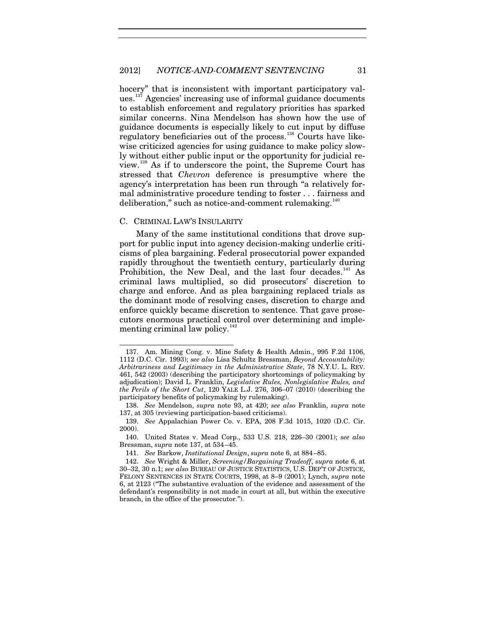<span id="page-31-0"></span>hocery" that is inconsistent with important participatory val-ues.<sup>[137](#page-31-1)</sup> Agencies' increasing use of informal guidance documents to establish enforcement and regulatory priorities has sparked similar concerns. Nina Mendelson has shown how the use of guidance documents is especially likely to cut input by diffuse regulatory beneficiaries out of the process.[138](#page-31-2) Courts have likewise criticized agencies for using guidance to make policy slowly without either public input or the opportunity for judicial review.[139](#page-31-3) As if to underscore the point, the Supreme Court has stressed that *Chevron* deference is presumptive where the agency's interpretation has been run through "a relatively formal administrative procedure tending to foster . . . fairness and deliberation," such as notice-and-comment rulemaking.<sup>[140](#page-31-4)</sup>

#### C. CRIMINAL LAW'S INSULARITY

-

Many of the same institutional conditions that drove support for public input into agency decision-making underlie criticisms of plea bargaining. Federal prosecutorial power expanded rapidly throughout the twentieth century, particularly during Prohibition, the New Deal, and the last four decades.<sup>[141](#page-31-5)</sup> As criminal laws multiplied, so did prosecutors' discretion to charge and enforce. And as plea bargaining replaced trials as the dominant mode of resolving cases, discretion to charge and enforce quickly became discretion to sentence. That gave prosecutors enormous practical control over determining and implementing criminal law policy. $142$ 

<span id="page-31-1"></span><sup>137.</sup> Am. Mining Cong. v. Mine Safety & Health Admin., 995 F.2d 1106, 1112 (D.C. Cir. 1993); *see also* Lisa Schultz Bressman, *Beyond Accountability: Arbitrariness and Legitimacy in the Administrative State*, 78 N.Y.U. L. REV. 461, 542 (2003) (describing the participatory shortcomings of policymaking by adjudication); David L. Franklin, *Legislative Rules, Nonlegislative Rules, and the Perils of the Short Cut*, 120 YALE L.J. 276, 306–07 (2010) (describing the participatory benefits of policymaking by rulemaking).

<span id="page-31-2"></span><sup>138.</sup> *See* Mendelson, *supra* note [93,](#page-24-0) at 420; *see also* Franklin, *supra* note [137,](#page-31-0) at 305 (reviewing participation-based criticisms).

<span id="page-31-3"></span><sup>139.</sup> *See* Appalachian Power Co. v. EPA, 208 F.3d 1015, 1020 (D.C. Cir. 2000).

<span id="page-31-4"></span><sup>140.</sup> United States v. Mead Corp., 533 U.S. 218, 226–30 (2001); *see also* Bressman, *supra* not[e 137,](#page-31-0) at 534–45.

<sup>141.</sup> *See* Barkow, *Institutional Design*, *supra* note [6,](#page-4-3) at 884–85.

<span id="page-31-6"></span><span id="page-31-5"></span><sup>142.</sup> *See* Wright & Miller, *Screening/Bargaining Tradeoff*, *supra* note [6,](#page-4-3) at 30–32, 30 n.1; *see also* BUREAU OF JUSTICE STATISTICS, U.S. DEP'T OF JUSTICE, FELONY SENTENCES IN STATE COURTS, 1998, at 8–9 (2001); Lynch, *supra* note [6,](#page-4-3) at 2123 ("The substantive evaluation of the evidence and assessment of the defendant's responsibility is not made in court at all, but within the executive branch, in the office of the prosecutor.").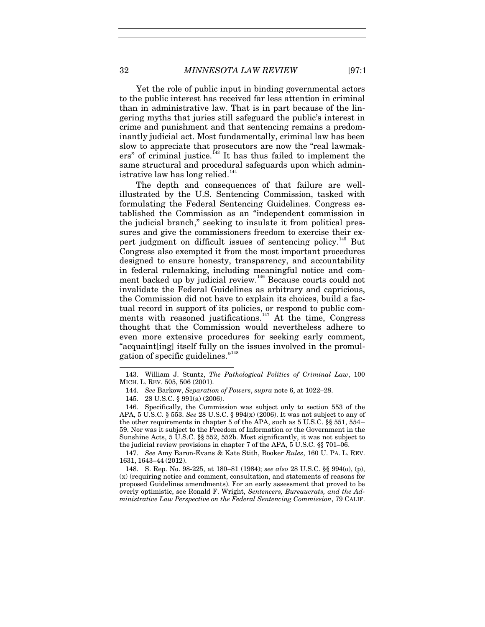Yet the role of public input in binding governmental actors to the public interest has received far less attention in criminal than in administrative law. That is in part because of the lingering myths that juries still safeguard the public's interest in crime and punishment and that sentencing remains a predominantly judicial act. Most fundamentally, criminal law has been slow to appreciate that prosecutors are now the "real lawmak-ers" of criminal justice.<sup>[143](#page-32-0)</sup> It has thus failed to implement the same structural and procedural safeguards upon which administrative law has long relied. $144$ 

The depth and consequences of that failure are wellillustrated by the U.S. Sentencing Commission, tasked with formulating the Federal Sentencing Guidelines. Congress established the Commission as an "independent commission in the judicial branch," seeking to insulate it from political pressures and give the commissioners freedom to exercise their ex-pert judgment on difficult issues of sentencing policy.<sup>[145](#page-32-2)</sup> But Congress also exempted it from the most important procedures designed to ensure honesty, transparency, and accountability in federal rulemaking, including meaningful notice and com-ment backed up by judicial review.<sup>[146](#page-32-3)</sup> Because courts could not invalidate the Federal Guidelines as arbitrary and capricious, the Commission did not have to explain its choices, build a factual record in support of its policies, or respond to public com-ments with reasoned justifications.<sup>[147](#page-32-4)</sup> At the time, Congress thought that the Commission would nevertheless adhere to even more extensive procedures for seeking early comment, "acquaint[ing] itself fully on the issues involved in the promulgation of specific guidelines."[148](#page-32-5)

<span id="page-32-6"></span><span id="page-32-1"></span><span id="page-32-0"></span><sup>143.</sup> William J. Stuntz, *The Pathological Politics of Criminal Law*, 100 MICH. L. REV. 505, 506 (2001).

<sup>144.</sup> *See* Barkow, *Separation of Powers*, *supra* not[e 6,](#page-4-3) at 1022–28.

<sup>145.</sup> 28 U.S.C. § 991(a) (2006).

<span id="page-32-3"></span><span id="page-32-2"></span><sup>146.</sup> Specifically, the Commission was subject only to section 553 of the APA, 5 U.S.C. § 553. *See* 28 U.S.C. § 994(x) (2006). It was not subject to any of the other requirements in chapter 5 of the APA, such as 5 U.S.C. §§ 551, 554– 59. Nor was it subject to the Freedom of Information or the Government in the Sunshine Acts, 5 U.S.C. §§ 552, 552b. Most significantly, it was not subject to the judicial review provisions in chapter 7 of the APA, 5 U.S.C. §§ 701–06.

<span id="page-32-4"></span><sup>147.</sup> *See* Amy Baron-Evans & Kate Stith, Booker *Rules*, 160 U. PA. L. REV. 1631, 1643–44 (2012).

<span id="page-32-5"></span><sup>148.</sup> S. Rep. No. 98-225, at 180–81 (1984); *see also* 28 U.S.C. §§ 994(o), (p), (x) (requiring notice and comment, consultation, and statements of reasons for proposed Guidelines amendments). For an early assessment that proved to be overly optimistic, see Ronald F. Wright, *Sentencers, Bureaucrats, and the Administrative Law Perspective on the Federal Sentencing Commission*, 79 CALIF.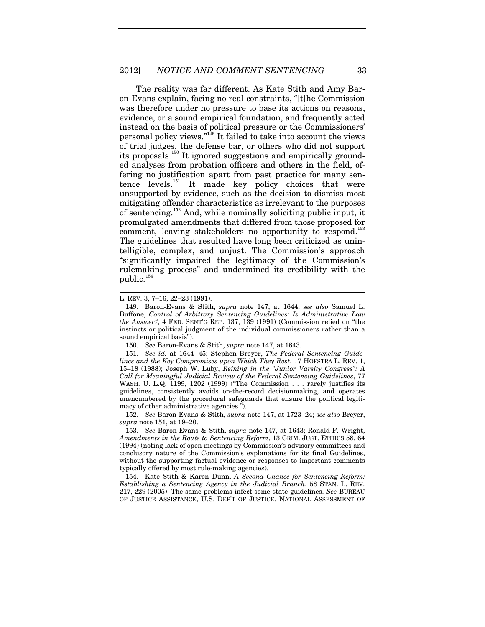#### 2012] *NOTICE-AND-COMMENT SENTENCING* 33

<span id="page-33-0"></span>The reality was far different. As Kate Stith and Amy Baron-Evans explain, facing no real constraints, "[t]he Commission was therefore under no pressure to base its actions on reasons. evidence, or a sound empirical foundation, and frequently acted instead on the basis of political pressure or the Commissioners' personal policy views."[149](#page-33-1) It failed to take into account the views of trial judges, the defense bar, or others who did not support its proposals.<sup>[150](#page-33-2)</sup> It ignored suggestions and empirically grounded analyses from probation officers and others in the field, offering no justification apart from past practice for many sentence levels.[151](#page-33-3) It made key policy choices that were unsupported by evidence, such as the decision to dismiss most mitigating offender characteristics as irrelevant to the purposes of sentencing.[152](#page-33-4) And, while nominally soliciting public input, it promulgated amendments that differed from those proposed for comment, leaving stakeholders no opportunity to respond.<sup>[153](#page-33-5)</sup> The guidelines that resulted have long been criticized as unintelligible, complex, and unjust. The Commission's approach "significantly impaired the legitimacy of the Commission's rulemaking process" and undermined its credibility with the public.<sup>[154](#page-33-6)</sup>

 $\overline{a}$ 

150. *See* Baron-Evans & Stith, *supra* not[e 147,](#page-32-6) at 1643.

<span id="page-33-3"></span><span id="page-33-2"></span>151. *See id.* at 1644–45; Stephen Breyer, *The Federal Sentencing Guidelines and the Key Compromises upon Which They Rest*, 17 HOFSTRA L. REV. 1, 15–18 (1988); Joseph W. Luby, *Reining in the "Junior Varsity Congress": A Call for Meaningful Judicial Review of the Federal Sentencing Guidelines*, 77 WASH. U. L.Q. 1199, 1202 (1999) ("The Commission . . . rarely justifies its guidelines, consistently avoids on-the-record decisionmaking, and operates unencumbered by the procedural safeguards that ensure the political legitimacy of other administrative agencies.").

<span id="page-33-4"></span>152. *See* Baron-Evans & Stith, *supra* note [147,](#page-32-6) at 1723–24; *see also* Breyer, *supra* note [151,](#page-33-0) at 19–20.

<span id="page-33-5"></span>153. *See* Baron-Evans & Stith, *supra* note [147,](#page-32-6) at 1643; Ronald F. Wright, *Amendments in the Route to Sentencing Reform*, 13 CRIM. JUST. ETHICS 58, 64 (1994) (noting lack of open meetings by Commission's advisory committees and conclusory nature of the Commission's explanations for its final Guidelines, without the supporting factual evidence or responses to important comments typically offered by most rule-making agencies).

<span id="page-33-6"></span>154. Kate Stith & Karen Dunn, *A Second Chance for Sentencing Reform: Establishing a Sentencing Agency in the Judicial Branch*, 58 STAN. L. REV. 217, 229 (2005). The same problems infect some state guidelines. *See* BUREAU OF JUSTICE ASSISTANCE, U.S. DEP'T OF JUSTICE, NATIONAL ASSESSMENT OF

L. REV. 3, 7–16, 22–23 (1991).

<span id="page-33-1"></span><sup>149.</sup> Baron-Evans & Stith, *supra* note [147,](#page-32-6) at 1644; *see also* Samuel L. Buffone, *Control of Arbitrary Sentencing Guidelines: Is Administrative Law the Answer?*, 4 FED. SENT'G REP. 137, 139 (1991) (Commission relied on "the instincts or political judgment of the individual commissioners rather than a sound empirical basis").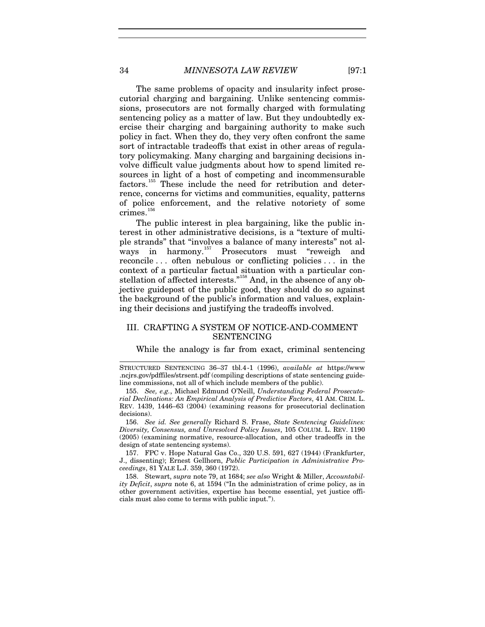The same problems of opacity and insularity infect prosecutorial charging and bargaining. Unlike sentencing commissions, prosecutors are not formally charged with formulating sentencing policy as a matter of law. But they undoubtedly exercise their charging and bargaining authority to make such policy in fact. When they do, they very often confront the same sort of intractable tradeoffs that exist in other areas of regulatory policymaking. Many charging and bargaining decisions involve difficult value judgments about how to spend limited resources in light of a host of competing and incommensurable factors.[155](#page-34-0) These include the need for retribution and deterrence, concerns for victims and communities, equality, patterns of police enforcement, and the relative notoriety of some  $crimes.<sup>156</sup>$  $crimes.<sup>156</sup>$  $crimes.<sup>156</sup>$ 

The public interest in plea bargaining, like the public interest in other administrative decisions, is a "texture of multiple strands" that "involves a balance of many interests" not al-ways in harmony.<sup>[157](#page-34-2)</sup> Prosecutors must "reweigh and reconcile . . . often nebulous or conflicting policies . . . in the context of a particular factual situation with a particular con-stellation of affected interests."<sup>[158](#page-34-3)</sup> And, in the absence of any objective guidepost of the public good, they should do so against the background of the public's information and values, explaining their decisions and justifying the tradeoffs involved.

# III. CRAFTING A SYSTEM OF NOTICE-AND-COMMENT SENTENCING

While the analogy is far from exact, criminal sentencing

STRUCTURED SENTENCING 36–37 tbl.4-1 (1996), *available at* https://www .ncjrs.gov/pdffiles/strsent.pdf (compiling descriptions of state sentencing guideline commissions, not all of which include members of the public).

<span id="page-34-0"></span>155. *See, e.g.*, Michael Edmund O'Neill, *Understanding Federal Prosecutorial Declinations: An Empirical Analysis of Predictive Factors*, 41 AM. CRIM. L. REV. 1439, 1446–63 (2004) (examining reasons for prosecutorial declination decisions).

<span id="page-34-1"></span>156. *See id. See generally* Richard S. Frase, *State Sentencing Guidelines: Diversity, Consensus, and Unresolved Policy Issues*, 105 COLUM. L. REV. 1190 (2005) (examining normative, resource-allocation, and other tradeoffs in the design of state sentencing systems).

<span id="page-34-2"></span>157. FPC v. Hope Natural Gas Co., 320 U.S. 591, 627 (1944) (Frankfurter, J., dissenting); Ernest Gellhorn, *Public Participation in Administrative Proceedings*, 81 YALE L.J. 359, 360 (1972).

<span id="page-34-3"></span>158. Stewart, *supra* not[e 79,](#page-22-0) at 1684; *see also* Wright & Miller, *Accountability Deficit*, *supra* note [6,](#page-4-3) at 1594 ("In the administration of crime policy, as in other government activities, expertise has become essential, yet justice officials must also come to terms with public input.").

 $\overline{a}$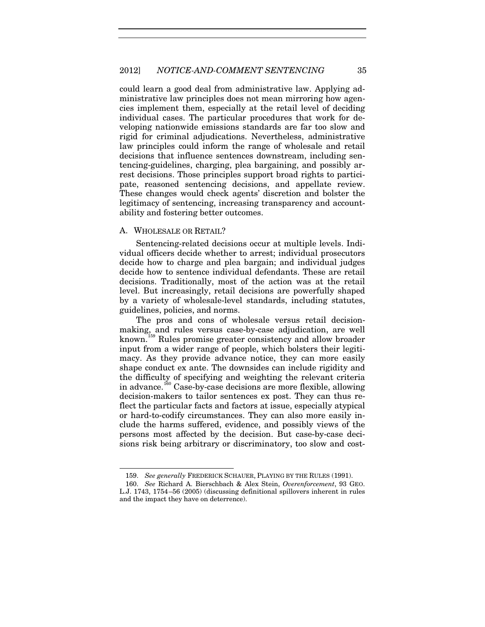could learn a good deal from administrative law. Applying administrative law principles does not mean mirroring how agencies implement them, especially at the retail level of deciding individual cases. The particular procedures that work for developing nationwide emissions standards are far too slow and rigid for criminal adjudications. Nevertheless, administrative law principles could inform the range of wholesale and retail decisions that influence sentences downstream, including sentencing-guidelines, charging, plea bargaining, and possibly arrest decisions. Those principles support broad rights to participate, reasoned sentencing decisions, and appellate review. These changes would check agents' discretion and bolster the legitimacy of sentencing, increasing transparency and accountability and fostering better outcomes.

### A. WHOLESALE OR RETAIL?

-

Sentencing-related decisions occur at multiple levels. Individual officers decide whether to arrest; individual prosecutors decide how to charge and plea bargain; and individual judges decide how to sentence individual defendants. These are retail decisions. Traditionally, most of the action was at the retail level. But increasingly, retail decisions are powerfully shaped by a variety of wholesale-level standards, including statutes, guidelines, policies, and norms.

The pros and cons of wholesale versus retail decisionmaking, and rules versus case-by-case adjudication, are well known.[159](#page-35-0) Rules promise greater consistency and allow broader input from a wider range of people, which bolsters their legitimacy. As they provide advance notice, they can more easily shape conduct ex ante. The downsides can include rigidity and the difficulty of specifying and weighting the relevant criteria in advance.<sup>[160](#page-35-1)</sup> Case-by-case decisions are more flexible, allowing decision-makers to tailor sentences ex post. They can thus reflect the particular facts and factors at issue, especially atypical or hard-to-codify circumstances. They can also more easily include the harms suffered, evidence, and possibly views of the persons most affected by the decision. But case-by-case decisions risk being arbitrary or discriminatory, too slow and cost-

<sup>159.</sup> *See generally* FREDERICK SCHAUER, PLAYING BY THE RULES (1991).

<span id="page-35-1"></span><span id="page-35-0"></span><sup>160.</sup> *See* Richard A. Bierschbach & Alex Stein, *Overenforcement*, 93 GEO. L.J. 1743, 1754–56 (2005) (discussing definitional spillovers inherent in rules and the impact they have on deterrence).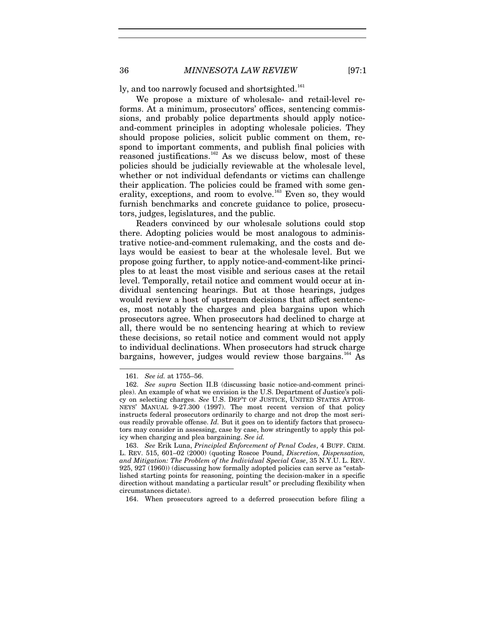ly, and too narrowly focused and shortsighted.<sup>[161](#page-36-0)</sup>

We propose a mixture of wholesale- and retail-level reforms. At a minimum, prosecutors' offices, sentencing commissions, and probably police departments should apply noticeand-comment principles in adopting wholesale policies. They should propose policies, solicit public comment on them, respond to important comments, and publish final policies with reasoned justifications.<sup>[162](#page-36-1)</sup> As we discuss below, most of these policies should be judicially reviewable at the wholesale level, whether or not individual defendants or victims can challenge their application. The policies could be framed with some gen-erality, exceptions, and room to evolve.<sup>[163](#page-36-2)</sup> Even so, they would furnish benchmarks and concrete guidance to police, prosecutors, judges, legislatures, and the public.

Readers convinced by our wholesale solutions could stop there. Adopting policies would be most analogous to administrative notice-and-comment rulemaking, and the costs and delays would be easiest to bear at the wholesale level. But we propose going further, to apply notice-and-comment-like principles to at least the most visible and serious cases at the retail level. Temporally, retail notice and comment would occur at individual sentencing hearings. But at those hearings, judges would review a host of upstream decisions that affect sentences, most notably the charges and plea bargains upon which prosecutors agree. When prosecutors had declined to charge at all, there would be no sentencing hearing at which to review these decisions, so retail notice and comment would not apply to individual declinations. When prosecutors had struck charge bargains, however, judges would review those bargains.<sup>[164](#page-36-3)</sup> As

1

<span id="page-36-3"></span>164. When prosecutors agreed to a deferred prosecution before filing a

<span id="page-36-4"></span>

<sup>161.</sup> *See id.* at 1755–56.

<span id="page-36-1"></span><span id="page-36-0"></span><sup>162.</sup> *See supra* Section II.B (discussing basic notice-and-comment principles). An example of what we envision is the U.S. Department of Justice's policy on selecting charges. *See* U.S. DEP'T OF JUSTICE, UNITED STATES ATTOR-NEYS' MANUAL 9-27.300 (1997). The most recent version of that policy instructs federal prosecutors ordinarily to charge and not drop the most serious readily provable offense. *Id.* But it goes on to identify factors that prosecutors may consider in assessing, case by case, how stringently to apply this policy when charging and plea bargaining. *See id.* 

<span id="page-36-2"></span><sup>163.</sup> *See* Erik Luna, *Principled Enforcement of Penal Codes*, 4 BUFF. CRIM. L. REV. 515, 601–02 (2000) (quoting Roscoe Pound, *Discretion, Dispensation, and Mitigation: The Problem of the Individual Special Case*, 35 N.Y.U. L. REV. 925, 927 (1960)) (discussing how formally adopted policies can serve as "established starting points for reasoning, pointing the decision-maker in a specific direction without mandating a particular result" or precluding flexibility when circumstances dictate).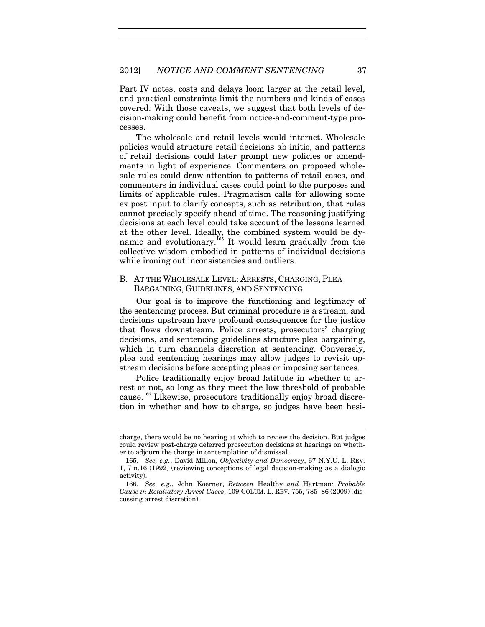Part IV notes, costs and delays loom larger at the retail level, and practical constraints limit the numbers and kinds of cases covered. With those caveats, we suggest that both levels of decision-making could benefit from notice-and-comment-type processes.

The wholesale and retail levels would interact. Wholesale policies would structure retail decisions ab initio, and patterns of retail decisions could later prompt new policies or amendments in light of experience. Commenters on proposed wholesale rules could draw attention to patterns of retail cases, and commenters in individual cases could point to the purposes and limits of applicable rules. Pragmatism calls for allowing some ex post input to clarify concepts, such as retribution, that rules cannot precisely specify ahead of time. The reasoning justifying decisions at each level could take account of the lessons learned at the other level. Ideally, the combined system would be dy-namic and evolutionary.<sup>[165](#page-37-0)</sup> It would learn gradually from the collective wisdom embodied in patterns of individual decisions while ironing out inconsistencies and outliers.

# B. AT THE WHOLESALE LEVEL: ARRESTS, CHARGING, PLEA BARGAINING, GUIDELINES, AND SENTENCING

Our goal is to improve the functioning and legitimacy of the sentencing process. But criminal procedure is a stream, and decisions upstream have profound consequences for the justice that flows downstream. Police arrests, prosecutors' charging decisions, and sentencing guidelines structure plea bargaining, which in turn channels discretion at sentencing. Conversely, plea and sentencing hearings may allow judges to revisit upstream decisions before accepting pleas or imposing sentences.

Police traditionally enjoy broad latitude in whether to arrest or not, so long as they meet the low threshold of probable cause.[166](#page-37-1) Likewise, prosecutors traditionally enjoy broad discretion in whether and how to charge, so judges have been hesi-

 $\overline{a}$ 

charge, there would be no hearing at which to review the decision. But judges could review post-charge deferred prosecution decisions at hearings on whether to adjourn the charge in contemplation of dismissal.

<span id="page-37-0"></span><sup>165.</sup> *See, e.g.*, David Millon, *Objectivity and Democracy*, 67 N.Y.U. L. REV. 1, 7 n.16 (1992) (reviewing conceptions of legal decision-making as a dialogic activity).

<span id="page-37-1"></span><sup>166.</sup> *See, e.g.*, John Koerner, *Between* Healthy *and* Hartman*: Probable Cause in Retaliatory Arrest Cases*, 109 COLUM. L. REV. 755, 785–86 (2009) (discussing arrest discretion).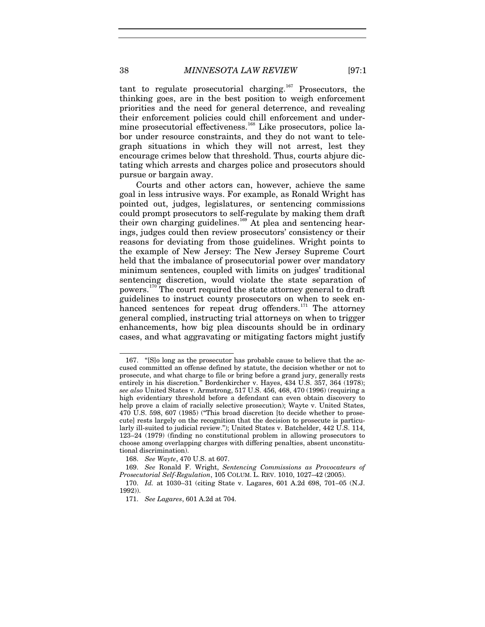tant to regulate prosecutorial charging.<sup>[167](#page-38-0)</sup> Prosecutors, the thinking goes, are in the best position to weigh enforcement priorities and the need for general deterrence, and revealing their enforcement policies could chill enforcement and under-mine prosecutorial effectiveness.<sup>[168](#page-38-1)</sup> Like prosecutors, police labor under resource constraints, and they do not want to telegraph situations in which they will not arrest, lest they encourage crimes below that threshold. Thus, courts abjure dictating which arrests and charges police and prosecutors should pursue or bargain away.

<span id="page-38-5"></span>Courts and other actors can, however, achieve the same goal in less intrusive ways. For example, as Ronald Wright has pointed out, judges, legislatures, or sentencing commissions could prompt prosecutors to self-regulate by making them draft their own charging guidelines. [169](#page-38-2) At plea and sentencing hearings, judges could then review prosecutors' consistency or their reasons for deviating from those guidelines. Wright points to the example of New Jersey: The New Jersey Supreme Court held that the imbalance of prosecutorial power over mandatory minimum sentences, coupled with limits on judges' traditional sentencing discretion, would violate the state separation of powers.[170](#page-38-3) The court required the state attorney general to draft guidelines to instruct county prosecutors on when to seek en-hanced sentences for repeat drug offenders.<sup>[171](#page-38-4)</sup> The attorney general complied, instructing trial attorneys on when to trigger enhancements, how big plea discounts should be in ordinary cases, and what aggravating or mitigating factors might justify

<span id="page-38-0"></span><sup>167.</sup> "[S]o long as the prosecutor has probable cause to believe that the accused committed an offense defined by statute, the decision whether or not to prosecute, and what charge to file or bring before a grand jury, generally rests entirely in his discretion." Bordenkircher v. Hayes, 434 U.S. 357, 364 (1978); *see also* United States v. Armstrong, 517 U.S. 456, 468, 470 (1996) (requiring a high evidentiary threshold before a defendant can even obtain discovery to help prove a claim of racially selective prosecution); Wayte v. United States, 470 U.S. 598, 607 (1985) ("This broad discretion [to decide whether to prosecute] rests largely on the recognition that the decision to prosecute is particularly ill-suited to judicial review."); United States v. Batchelder, 442 U.S. 114, 123–24 (1979) (finding no constitutional problem in allowing prosecutors to choose among overlapping charges with differing penalties, absent unconstitutional discrimination).

<sup>168.</sup> *See Wayte*, 470 U.S. at 607.

<span id="page-38-2"></span><span id="page-38-1"></span><sup>169.</sup> *See* Ronald F. Wright, *Sentencing Commissions as Provocateurs of Prosecutorial Self-Regulation*, 105 COLUM. L. REV. 1010, 1027–42 (2005).

<span id="page-38-4"></span><span id="page-38-3"></span><sup>170.</sup> *Id.* at 1030–31 (citing State v. Lagares, 601 A.2d 698, 701–05 (N.J. 1992)).

<sup>171.</sup> *See Lagares*, 601 A.2d at 704.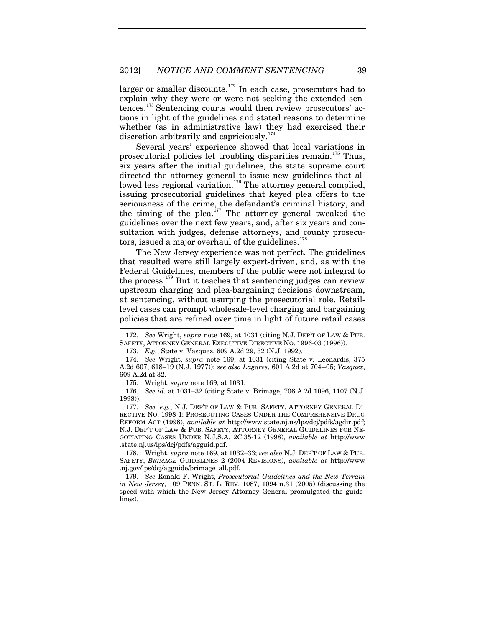larger or smaller discounts.<sup>[172](#page-39-0)</sup> In each case, prosecutors had to explain why they were or were not seeking the extended sentences.[173](#page-39-1) Sentencing courts would then review prosecutors' actions in light of the guidelines and stated reasons to determine whether (as in administrative law) they had exercised their discretion arbitrarily and capriciously.<sup>[174](#page-39-2)</sup>

Several years' experience showed that local variations in prosecutorial policies let troubling disparities remain.[175](#page-39-3) Thus, six years after the initial guidelines, the state supreme court directed the attorney general to issue new guidelines that al-lowed less regional variation.<sup>[176](#page-39-4)</sup> The attorney general complied, issuing prosecutorial guidelines that keyed plea offers to the seriousness of the crime, the defendant's criminal history, and the timing of the plea.<sup>[177](#page-39-5)</sup> The attorney general tweaked the guidelines over the next few years, and, after six years and consultation with judges, defense attorneys, and county prosecutors, issued a major overhaul of the guidelines. $178$ 

The New Jersey experience was not perfect. The guidelines that resulted were still largely expert-driven, and, as with the Federal Guidelines, members of the public were not integral to the process.<sup>[179](#page-39-7)</sup> But it teaches that sentencing judges can review upstream charging and plea-bargaining decisions downstream, at sentencing, without usurping the prosecutorial role. Retaillevel cases can prompt wholesale-level charging and bargaining policies that are refined over time in light of future retail cases

<span id="page-39-0"></span><sup>172.</sup> *See* Wright, *supra* note [169,](#page-38-5) at 1031 (citing N.J. DEP'T OF LAW & PUB. SAFETY, ATTORNEY GENERAL EXECUTIVE DIRECTIVE NO. 1996-03 (1996)).

<sup>173.</sup> *E.g.*, State v. Vasquez, 609 A.2d 29, 32 (N.J. 1992).

<span id="page-39-2"></span><span id="page-39-1"></span><sup>174.</sup> *See* Wright, *supra* note [169,](#page-38-5) at 1031 (citing State v. Leonardis, 375 A.2d 607, 618–19 (N.J. 1977)); *see also Lagares*, 601 A.2d at 704–05; *Vasquez*, 609 A.2d at 32.

<sup>175.</sup> Wright, *supra* note [169,](#page-38-5) at 1031.

<span id="page-39-4"></span><span id="page-39-3"></span><sup>176.</sup> *See id.* at 1031–32 (citing State v. Brimage, 706 A.2d 1096, 1107 (N.J. 1998)).

<span id="page-39-5"></span><sup>177.</sup> *See, e.g.*, N.J. DEP'T OF LAW & PUB. SAFETY, ATTORNEY GENERAL DI-RECTIVE NO. 1998-1: PROSECUTING CASES UNDER THE COMPREHENSIVE DRUG REFORM ACT (1998), *available at* http://www.state.nj.us/lps/dcj/pdfs/agdir.pdf; N.J. DEP'T OF LAW & PUB. SAFETY, ATTORNEY GENERAL GUIDELINES FOR NE-GOTIATING CASES UNDER N.J.S.A. 2C:35-12 (1998), *available at* http://www .state.nj.us/lps/dcj/pdfs/agguid.pdf.

<span id="page-39-6"></span><sup>178.</sup> Wright, *supra* note [169,](#page-38-5) at 1032–33; *see also* N.J. DEP'T OF LAW & PUB. SAFETY, *BRIMAGE* GUIDELINES 2 (2004 REVISIONS), *available at* http://www .nj.gov/lps/dcj/agguide/brimage\_all.pdf.

<span id="page-39-7"></span><sup>179.</sup> *See* Ronald F. Wright, *Prosecutorial Guidelines and the New Terrain in New Jersey*, 109 PENN. ST. L. REV. 1087, 1094 n.31 (2005) (discussing the speed with which the New Jersey Attorney General promulgated the guidelines).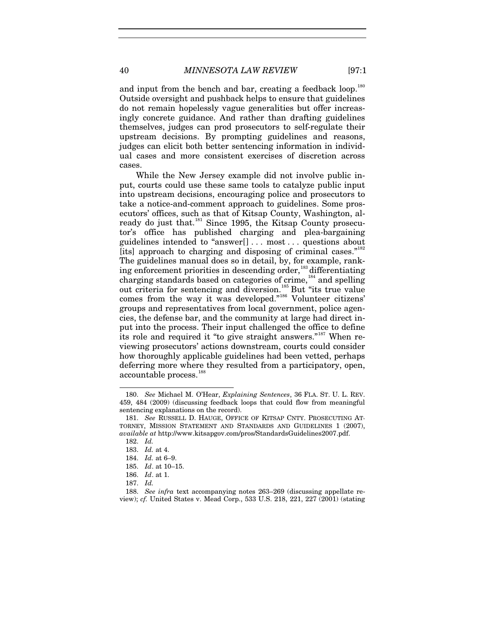<span id="page-40-10"></span>and input from the bench and bar, creating a feedback loop.<sup>[180](#page-40-0)</sup> Outside oversight and pushback helps to ensure that guidelines do not remain hopelessly vague generalities but offer increasingly concrete guidance. And rather than drafting guidelines themselves, judges can prod prosecutors to self-regulate their upstream decisions. By prompting guidelines and reasons, judges can elicit both better sentencing information in individual cases and more consistent exercises of discretion across cases.

<span id="page-40-9"></span>While the New Jersey example did not involve public input, courts could use these same tools to catalyze public input into upstream decisions, encouraging police and prosecutors to take a notice-and-comment approach to guidelines. Some prosecutors' offices, such as that of Kitsap County, Washington, al-ready do just that.<sup>[181](#page-40-1)</sup> Since 1995, the Kitsap County prosecutor's office has published charging and plea-bargaining guidelines intended to "answer[] . . . most . . . questions about [its] approach to charging and disposing of criminal cases."<sup>[182](#page-40-2)</sup> The guidelines manual does so in detail, by, for example, rank-ing enforcement priorities in descending order,<sup>[183](#page-40-3)</sup> differentiating charging standards based on categories of crime,<sup>[184](#page-40-4)</sup> and spelling out criteria for sentencing and diversion.<sup>[185](#page-40-5)</sup> But "its true value" comes from the way it was developed."[186](#page-40-6) Volunteer citizens' groups and representatives from local government, police agencies, the defense bar, and the community at large had direct input into the process. Their input challenged the office to define its role and required it "to give straight answers."<sup>[187](#page-40-7)</sup> When reviewing prosecutors' actions downstream, courts could consider how thoroughly applicable guidelines had been vetted, perhaps deferring more where they resulted from a participatory, open, accountable process.<sup>[188](#page-40-8)</sup>

-

186. *Id*. at 1.

<span id="page-40-0"></span><sup>180.</sup> *See* Michael M. O'Hear, *Explaining Sentences*, 36 FLA. ST. U. L. REV. 459, 484 (2009) (discussing feedback loops that could flow from meaningful sentencing explanations on the record).

<span id="page-40-3"></span><span id="page-40-2"></span><span id="page-40-1"></span><sup>181.</sup> *See* RUSSELL D. HAUGE, OFFICE OF KITSAP CNTY. PROSECUTING AT-TORNEY, MISSION STATEMENT AND STANDARDS AND GUIDELINES 1 (2007), *available at* http://www.kitsapgov.com/pros/StandardsGuidelines2007.pdf.

<sup>182.</sup> *Id.*

<sup>183.</sup> *Id.* at 4.

<span id="page-40-4"></span><sup>184.</sup> *Id.* at 6–9.

<sup>185.</sup> *Id*. at 10–15.

<sup>187.</sup> *Id.*

<span id="page-40-8"></span><span id="page-40-7"></span><span id="page-40-6"></span><span id="page-40-5"></span><sup>188.</sup> *See infra* text accompanying notes [263–](#page-57-0)[269](#page-58-0) (discussing appellate review); *cf.* United States v. Mead Corp., 533 U.S. 218, 221, 227 (2001) (stating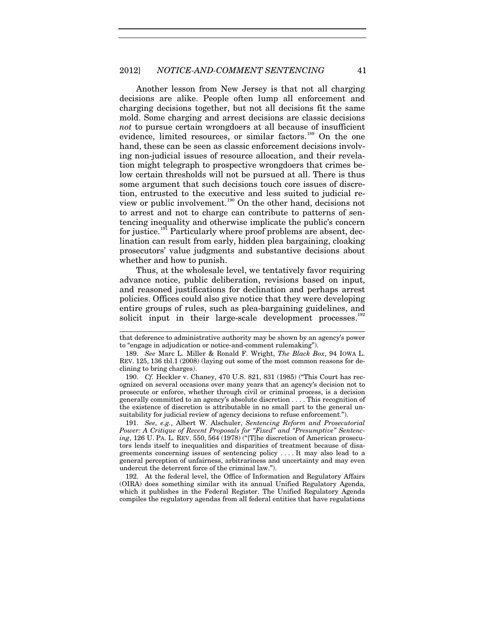#### 2012] *NOTICE-AND-COMMENT SENTENCING* 41

Another lesson from New Jersey is that not all charging decisions are alike. People often lump all enforcement and charging decisions together, but not all decisions fit the same mold. Some charging and arrest decisions are classic decisions *not* to pursue certain wrongdoers at all because of insufficient evidence, limited resources, or similar factors.<sup>[189](#page-41-0)</sup> On the one hand, these can be seen as classic enforcement decisions involving non-judicial issues of resource allocation, and their revelation might telegraph to prospective wrongdoers that crimes below certain thresholds will not be pursued at all. There is thus some argument that such decisions touch core issues of discretion, entrusted to the executive and less suited to judicial review or public involvement.[190](#page-41-1) On the other hand, decisions not to arrest and not to charge can contribute to patterns of sentencing inequality and otherwise implicate the public's concern for justice.<sup>[191](#page-41-2)</sup> Particularly where proof problems are absent, declination can result from early, hidden plea bargaining, cloaking prosecutors' value judgments and substantive decisions about whether and how to punish.

Thus, at the wholesale level, we tentatively favor requiring advance notice, public deliberation, revisions based on input, and reasoned justifications for declination and perhaps arrest policies. Offices could also give notice that they were developing entire groups of rules, such as plea-bargaining guidelines, and solicit input in their large-scale development processes.<sup>[192](#page-41-3)</sup>

 $\overline{a}$ 

<span id="page-41-2"></span>191. *See, e.g.*, Albert W. Alschuler, *Sentencing Reform and Prosecutorial Power: A Critique of Recent Proposals for "Fixed" and "Presumptive" Sentencing*, 126 U. PA. L. REV. 550, 564 (1978) ("[T]he discretion of American prosecutors lends itself to inequalities and disparities of treatment because of disagreements concerning issues of sentencing policy . . . . It may also lead to a general perception of unfairness, arbitrariness and uncertainty and may even undercut the deterrent force of the criminal law.").

<span id="page-41-3"></span>192. At the federal level, the Office of Information and Regulatory Affairs (OIRA) does something similar with its annual Unified Regulatory Agenda, which it publishes in the Federal Register. The Unified Regulatory Agenda compiles the regulatory agendas from all federal entities that have regulations

that deference to administrative authority may be shown by an agency's power to "engage in adjudication or notice-and-comment rulemaking").

<span id="page-41-0"></span><sup>189.</sup> *See* Marc L. Miller & Ronald F. Wright, *The Black Box*, 94 IOWA L. REV. 125, 136 tbl.1 (2008) (laying out some of the most common reasons for declining to bring charges).

<span id="page-41-1"></span><sup>190.</sup> *Cf.* Heckler v. Chaney, 470 U.S. 821, 831 (1985) ("This Court has recognized on several occasions over many years that an agency's decision not to prosecute or enforce, whether through civil or criminal process, is a decision generally committed to an agency's absolute discretion . . . . This recognition of the existence of discretion is attributable in no small part to the general unsuitability for judicial review of agency decisions to refuse enforcement.").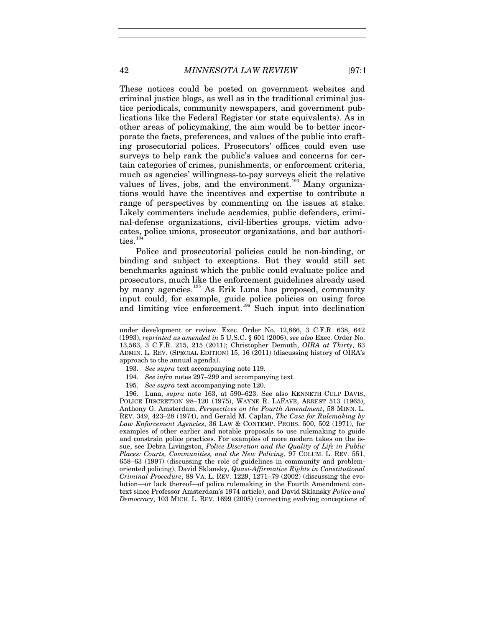These notices could be posted on government websites and criminal justice blogs, as well as in the traditional criminal justice periodicals, community newspapers, and government publications like the Federal Register (or state equivalents). As in other areas of policymaking, the aim would be to better incorporate the facts, preferences, and values of the public into crafting prosecutorial polices. Prosecutors' offices could even use surveys to help rank the public's values and concerns for certain categories of crimes, punishments, or enforcement criteria, much as agencies' willingness-to-pay surveys elicit the relative values of lives, jobs, and the environment.<sup>[193](#page-42-0)</sup> Many organizations would have the incentives and expertise to contribute a range of perspectives by commenting on the issues at stake. Likely commenters include academics, public defenders, criminal-defense organizations, civil-liberties groups, victim advocates, police unions, prosecutor organizations, and bar authori-ties.<sup>[194](#page-42-1)</sup>

Police and prosecutorial policies could be non-binding, or binding and subject to exceptions. But they would still set benchmarks against which the public could evaluate police and prosecutors, much like the enforcement guidelines already used by many agencies.<sup>[195](#page-42-2)</sup> As Erik Luna has proposed, community input could, for example, guide police policies on using force and limiting vice enforcement.<sup>[196](#page-42-3)</sup> Such input into declination

- 193. *See supra* text accompanying note [119.](#page-27-0)
- 194. *See infra* note[s 297](#page-64-0)[–299](#page-64-1) and accompanying text.
- 195. *See supra* text accompanying note [120.](#page-27-1)

<span id="page-42-3"></span><span id="page-42-2"></span><span id="page-42-1"></span><span id="page-42-0"></span>196. Luna, *supra* note [163,](#page-36-4) at 590–623. See also KENNETH CULP DAVIS, POLICE DISCRETION 98–120 (1975), WAYNE R. LAFAVE, ARREST 513 (1965), Anthony G. Amsterdam, *Perspectives on the Fourth Amendment*, 58 MINN. L. REV. 349, 423–28 (1974), and Gerald M. Caplan, *The Case for Rulemaking by Law Enforcement Agencies*, 36 LAW & CONTEMP. PROBS. 500, 502 (1971), for examples of other earlier and notable proposals to use rulemaking to guide and constrain police practices. For examples of more modern takes on the issue, see Debra Livingston, *Police Discretion and the Quality of Life in Public Places: Courts, Communities, and the New Policing*, 97 COLUM. L. REV. 551, 658–63 (1997) (discussing the role of guidelines in community and problemoriented policing), David Sklansky, *Quasi-Affirmative Rights in Constitutional Criminal Procedure*, 88 VA. L. REV. 1229, 1271–79 (2002) (discussing the evolution—or lack thereof—of police rulemaking in the Fourth Amendment context since Professor Amsterdam's 1974 article), and David Sklansky *Police and Democracy*, 103 MICH. L. REV. 1699 (2005) (connecting evolving conceptions of

 $\overline{a}$ 

under development or review. Exec. Order No. 12,866, 3 C.F.R. 638, 642 (1993), *reprinted as amended in* 5 U.S.C. § 601 (2006); *see also* Exec. Order No. 13,563, 3 C.F.R. 215, 215 (2011); Christopher Demuth, *OIRA at Thirty*, 63 ADMIN. L. REV. (SPECIAL EDITION) 15, 16 (2011) (discussing history of OIRA's approach to the annual agenda).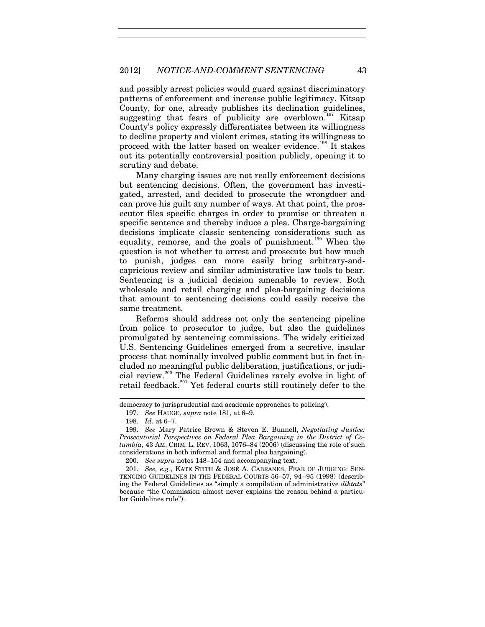and possibly arrest policies would guard against discriminatory patterns of enforcement and increase public legitimacy. Kitsap County, for one, already publishes its declination guidelines, suggesting that fears of publicity are overblown.<sup>[197](#page-43-0)</sup> Kitsap County's policy expressly differentiates between its willingness to decline property and violent crimes, stating its willingness to proceed with the latter based on weaker evidence.<sup>[198](#page-43-1)</sup> It stakes out its potentially controversial position publicly, opening it to scrutiny and debate.

Many charging issues are not really enforcement decisions but sentencing decisions. Often, the government has investigated, arrested, and decided to prosecute the wrongdoer and can prove his guilt any number of ways. At that point, the prosecutor files specific charges in order to promise or threaten a specific sentence and thereby induce a plea. Charge-bargaining decisions implicate classic sentencing considerations such as equality, remorse, and the goals of punishment.<sup>[199](#page-43-2)</sup> When the question is not whether to arrest and prosecute but how much to punish, judges can more easily bring arbitrary-andcapricious review and similar administrative law tools to bear. Sentencing is a judicial decision amenable to review. Both wholesale and retail charging and plea-bargaining decisions that amount to sentencing decisions could easily receive the same treatment.

Reforms should address not only the sentencing pipeline from police to prosecutor to judge, but also the guidelines promulgated by sentencing commissions. The widely criticized U.S. Sentencing Guidelines emerged from a secretive, insular process that nominally involved public comment but in fact included no meaningful public deliberation, justifications, or judicial review. [200](#page-43-3) The Federal Guidelines rarely evolve in light of retail feedback.<sup>[201](#page-43-4)</sup> Yet federal courts still routinely defer to the

j

200. *See supra* note[s 148](#page-32-0)[–154](#page-33-0) and accompanying text.

<span id="page-43-0"></span>democracy to jurisprudential and academic approaches to policing).

<sup>197.</sup> *See* HAUGE, *supra* note [181,](#page-40-9) at 6–9.

<sup>198.</sup> *Id.* at 6–7.

<span id="page-43-2"></span><span id="page-43-1"></span><sup>199.</sup> *See* Mary Patrice Brown & Steven E. Bunnell, *Negotiating Justice: Prosecutorial Perspectives on Federal Plea Bargaining in the District of Columbia*, 43 AM. CRIM. L. REV. 1063, 1076–84 (2006) (discussing the role of such considerations in both informal and formal plea bargaining).

<span id="page-43-4"></span><span id="page-43-3"></span><sup>201.</sup> *See, e.g.*, KATE STITH & JOSÉ A. CABRANES, FEAR OF JUDGING: SEN-TENCING GUIDELINES IN THE FEDERAL COURTS 56–57, 94–95 (1998) (describing the Federal Guidelines as "simply a compilation of administrative *diktats*" because "the Commission almost never explains the reason behind a particular Guidelines rule").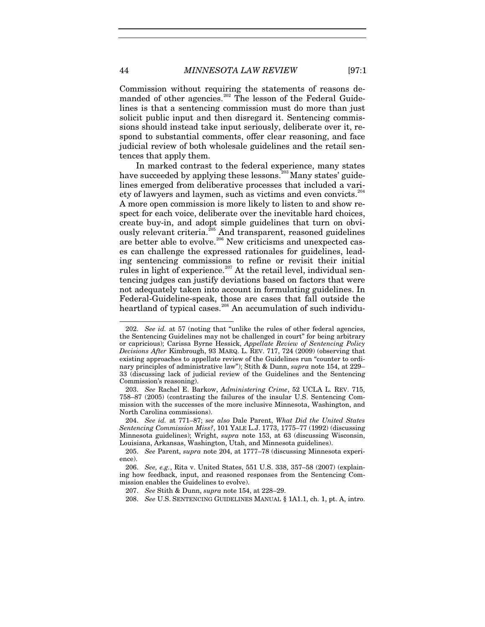Commission without requiring the statements of reasons de-manded of other agencies.<sup>[202](#page-44-1)</sup> The lesson of the Federal Guidelines is that a sentencing commission must do more than just solicit public input and then disregard it. Sentencing commissions should instead take input seriously, deliberate over it, respond to substantial comments, offer clear reasoning, and face judicial review of both wholesale guidelines and the retail sentences that apply them.

<span id="page-44-0"></span>In marked contrast to the federal experience, many states have succeeded by applying these lessons.<sup>[203](#page-44-2)</sup> Many states' guidelines emerged from deliberative processes that included a vari-ety of lawyers and laymen, such as victims and even convicts.<sup>[204](#page-44-3)</sup> A more open commission is more likely to listen to and show respect for each voice, deliberate over the inevitable hard choices, create buy-in, and adopt simple guidelines that turn on obvi-ously relevant criteria.<sup>[205](#page-44-4)</sup> And transparent, reasoned guidelines are better able to evolve.<sup>[206](#page-44-5)</sup> New criticisms and unexpected cases can challenge the expressed rationales for guidelines, leading sentencing commissions to refine or revisit their initial rules in light of experience.<sup>[207](#page-44-6)</sup> At the retail level, individual sentencing judges can justify deviations based on factors that were not adequately taken into account in formulating guidelines. In Federal-Guideline-speak, those are cases that fall outside the heartland of typical cases.<sup>[208](#page-44-7)</sup> An accumulation of such individu-

<span id="page-44-1"></span><sup>202.</sup> *See id.* at 57 (noting that "unlike the rules of other federal agencies, the Sentencing Guidelines may not be challenged in court" for being arbitrary or capricious); Carissa Byrne Hessick, *Appellate Review of Sentencing Policy Decisions After* Kimbrough, 93 MARQ. L. REV. 717, 724 (2009) (observing that existing approaches to appellate review of the Guidelines run "counter to ordinary principles of administrative law"); Stith & Dunn, *supra* note [154,](#page-33-0) at 229– 33 (discussing lack of judicial review of the Guidelines and the Sentencing Commission's reasoning).

<span id="page-44-2"></span><sup>203.</sup> *See* Rachel E. Barkow, *Administering Crime*, 52 UCLA L. REV. 715, 758–87 (2005) (contrasting the failures of the insular U.S. Sentencing Commission with the successes of the more inclusive Minnesota, Washington, and North Carolina commissions).

<span id="page-44-3"></span><sup>204.</sup> *See id.* at 771–87; *see also* Dale Parent, *What Did the United States Sentencing Commission Miss?*, 101 YALE L.J. 1773, 1775–77 (1992) (discussing Minnesota guidelines); Wright, *supra* note [153,](#page-33-1) at 63 (discussing Wisconsin, Louisiana, Arkansas, Washington, Utah, and Minnesota guidelines).

<span id="page-44-4"></span><sup>205.</sup> *See* Parent, *supra* note [204,](#page-44-0) at 1777–78 (discussing Minnesota experience).

<span id="page-44-7"></span><span id="page-44-6"></span><span id="page-44-5"></span><sup>206.</sup> *See, e.g.*, Rita v. United States, 551 U.S. 338, 357–58 (2007) (explaining how feedback, input, and reasoned responses from the Sentencing Commission enables the Guidelines to evolve).

<sup>207.</sup> *See* Stith & Dunn, *supra* not[e 154,](#page-33-0) at 228–29.

<sup>208.</sup> *See* U.S. SENTENCING GUIDELINES MANUAL § 1A1.1, ch. 1, pt. A, intro.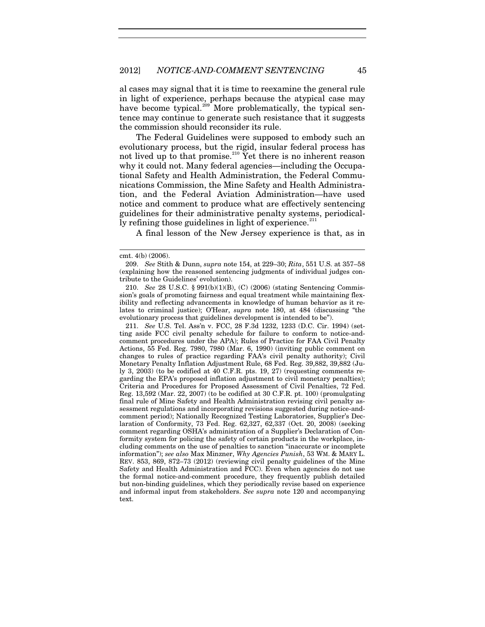al cases may signal that it is time to reexamine the general rule in light of experience, perhaps because the atypical case may have become typical.<sup>[209](#page-45-0)</sup> More problematically, the typical sentence may continue to generate such resistance that it suggests the commission should reconsider its rule.

The Federal Guidelines were supposed to embody such an evolutionary process, but the rigid, insular federal process has not lived up to that promise.<sup>[210](#page-45-1)</sup> Yet there is no inherent reason why it could not. Many federal agencies—including the Occupational Safety and Health Administration, the Federal Communications Commission, the Mine Safety and Health Administration, and the Federal Aviation Administration—have used notice and comment to produce what are effectively sentencing guidelines for their administrative penalty systems, periodically refining those guidelines in light of experience. $^{211}$  $^{211}$  $^{211}$ 

A final lesson of the New Jersey experience is that, as in

 $\overline{a}$ 

<span id="page-45-2"></span>211. *See* U.S. Tel. Ass'n v. FCC, 28 F.3d 1232, 1233 (D.C. Cir. 1994) (setting aside FCC civil penalty schedule for failure to conform to notice-andcomment procedures under the APA); Rules of Practice for FAA Civil Penalty Actions, 55 Fed. Reg. 7980, 7980 (Mar. 6, 1990) (inviting public comment on changes to rules of practice regarding FAA's civil penalty authority); Civil Monetary Penalty Inflation Adjustment Rule, 68 Fed. Reg. 39,882, 39,882 (July 3, 2003) (to be codified at 40 C.F.R. pts. 19, 27) (requesting comments regarding the EPA's proposed inflation adjustment to civil monetary penalties); Criteria and Procedures for Proposed Assessment of Civil Penalties, 72 Fed. Reg. 13,592 (Mar. 22, 2007) (to be codified at 30 C.F.R. pt. 100) (promulgating final rule of Mine Safety and Health Administration revising civil penalty assessment regulations and incorporating revisions suggested during notice-andcomment period); Nationally Recognized Testing Laboratories, Supplier's Declaration of Conformity, 73 Fed. Reg. 62,327, 62,337 (Oct. 20, 2008) (seeking comment regarding OSHA's administration of a Supplier's Declaration of Conformity system for policing the safety of certain products in the workplace, including comments on the use of penalties to sanction "inaccurate or incomplete information"); *see also* Max Minzner, *Why Agencies Punish*, 53 WM. & MARY L. REV. 853, 869, 872–73 (2012) (reviewing civil penalty guidelines of the Mine Safety and Health Administration and FCC). Even when agencies do not use the formal notice-and-comment procedure, they frequently publish detailed but non-binding guidelines, which they periodically revise based on experience and informal input from stakeholders. *See supra* note [120](#page-27-1) and accompanying text.

<span id="page-45-0"></span>cmt. 4(b) (2006).

<sup>209.</sup> *See* Stith & Dunn, *supra* not[e 154,](#page-33-0) at 229–30; *Rita*, 551 U.S. at 357–58 (explaining how the reasoned sentencing judgments of individual judges contribute to the Guidelines' evolution).

<span id="page-45-1"></span><sup>210.</sup> *See* 28 U.S.C. § 991(b)(1)(B), (C) (2006) (stating Sentencing Commission's goals of promoting fairness and equal treatment while maintaining flexibility and reflecting advancements in knowledge of human behavior as it relates to criminal justice); O'Hear, *supra* note [180,](#page-40-10) at 484 (discussing "the evolutionary process that guidelines development is intended to be").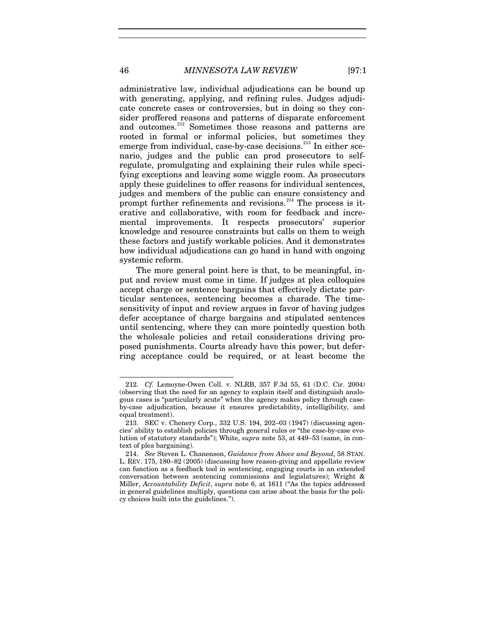administrative law, individual adjudications can be bound up with generating, applying, and refining rules. Judges adjudicate concrete cases or controversies, but in doing so they consider proffered reasons and patterns of disparate enforcement and outcomes.<sup>[212](#page-46-0)</sup> Sometimes those reasons and patterns are rooted in formal or informal policies, but sometimes they emerge from individual, case-by-case decisions. $^{213}$  $^{213}$  $^{213}$  In either scenario, judges and the public can prod prosecutors to selfregulate, promulgating and explaining their rules while specifying exceptions and leaving some wiggle room. As prosecutors apply these guidelines to offer reasons for individual sentences, judges and members of the public can ensure consistency and prompt further refinements and revisions.<sup>[214](#page-46-2)</sup> The process is iterative and collaborative, with room for feedback and incremental improvements. It respects prosecutors' superior knowledge and resource constraints but calls on them to weigh these factors and justify workable policies. And it demonstrates how individual adjudications can go hand in hand with ongoing systemic reform.

<span id="page-46-3"></span>The more general point here is that, to be meaningful, input and review must come in time. If judges at plea colloquies accept charge or sentence bargains that effectively dictate particular sentences, sentencing becomes a charade. The timesensitivity of input and review argues in favor of having judges defer acceptance of charge bargains and stipulated sentences until sentencing, where they can more pointedly question both the wholesale policies and retail considerations driving proposed punishments. Courts already have this power, but deferring acceptance could be required, or at least become the

<span id="page-46-0"></span><sup>212.</sup> *Cf.* Lemoyne-Owen Coll. v. NLRB, 357 F.3d 55, 61 (D.C. Cir. 2004) (observing that the need for an agency to explain itself and distinguish analogous cases is "particularly acute" when the agency makes policy through caseby-case adjudication, because it ensures predictability, intelligibility, and equal treatment).

<span id="page-46-1"></span><sup>213.</sup> SEC v. Chenery Corp., 332 U.S. 194, 202–03 (1947) (discussing agencies' ability to establish policies through general rules or "the case-by-case evolution of statutory standards"); White, *supra* note [53,](#page-16-0) at 449–53 (same, in context of plea bargaining).

<span id="page-46-2"></span><sup>214.</sup> *See* Steven L. Chanenson, *Guidance from Above and Beyond*, 58 STAN. L. REV. 175, 180–82 (2005) (discussing how reason-giving and appellate review can function as a feedback tool in sentencing, engaging courts in an extended conversation between sentencing commissions and legislatures); Wright & Miller, *Accountability Deficit*, *supra* note [6,](#page-4-0) at 1611 ("As the topics addressed in general guidelines multiply, questions can arise about the basis for the policy choices built into the guidelines.").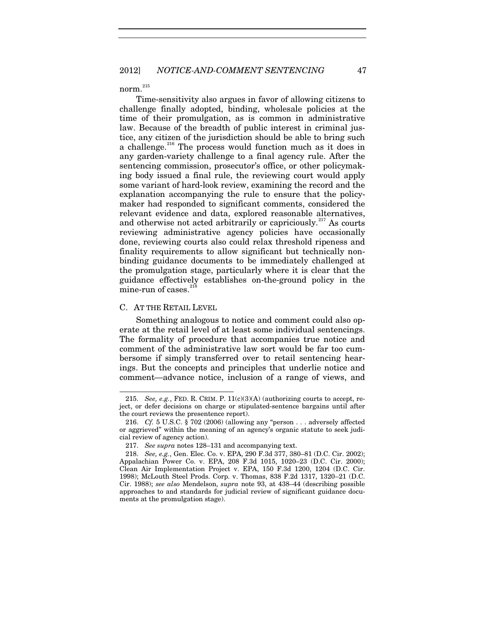norm. $^{215}$  $^{215}$  $^{215}$ 

Time-sensitivity also argues in favor of allowing citizens to challenge finally adopted, binding, wholesale policies at the time of their promulgation, as is common in administrative law. Because of the breadth of public interest in criminal justice, any citizen of the jurisdiction should be able to bring such a challenge.<sup>[216](#page-47-1)</sup> The process would function much as it does in any garden-variety challenge to a final agency rule. After the sentencing commission, prosecutor's office, or other policymaking body issued a final rule, the reviewing court would apply some variant of hard-look review, examining the record and the explanation accompanying the rule to ensure that the policymaker had responded to significant comments, considered the relevant evidence and data, explored reasonable alternatives, and otherwise not acted arbitrarily or capriciously.<sup>[217](#page-47-2)</sup> As courts reviewing administrative agency policies have occasionally done, reviewing courts also could relax threshold ripeness and finality requirements to allow significant but technically nonbinding guidance documents to be immediately challenged at the promulgation stage, particularly where it is clear that the guidance effectively establishes on-the-ground policy in the mine-run of cases.<sup>[218](#page-47-3)</sup>

#### C. AT THE RETAIL LEVEL

1

Something analogous to notice and comment could also operate at the retail level of at least some individual sentencings. The formality of procedure that accompanies true notice and comment of the administrative law sort would be far too cumbersome if simply transferred over to retail sentencing hearings. But the concepts and principles that underlie notice and comment—advance notice, inclusion of a range of views, and

<span id="page-47-0"></span><sup>215.</sup> *See, e.g.*, FED. R. CRIM. P. 11(c)(3)(A) (authorizing courts to accept, reject, or defer decisions on charge or stipulated-sentence bargains until after the court reviews the presentence report).

<span id="page-47-1"></span><sup>216.</sup> *Cf.* 5 U.S.C. § 702 (2006) (allowing any "person . . . adversely affected or aggrieved" within the meaning of an agency's organic statute to seek judicial review of agency action).

<sup>217.</sup> *See supra* note[s 128](#page-29-0)[–131](#page-29-1) and accompanying text.

<span id="page-47-3"></span><span id="page-47-2"></span><sup>218.</sup> *See, e.g.*, Gen. Elec. Co. v. EPA, 290 F.3d 377, 380–81 (D.C. Cir. 2002); Appalachian Power Co. v. EPA, 208 F.3d 1015, 1020–23 (D.C. Cir. 2000); Clean Air Implementation Project v. EPA, 150 F.3d 1200, 1204 (D.C. Cir. 1998); McLouth Steel Prods. Corp. v. Thomas, 838 F.2d 1317, 1320–21 (D.C. Cir. 1988); *see also* Mendelson, *supra* note [93,](#page-24-0) at 438–44 (describing possible approaches to and standards for judicial review of significant guidance documents at the promulgation stage).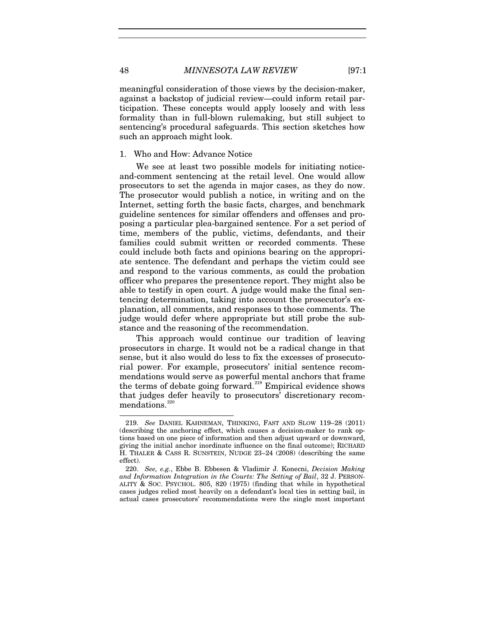meaningful consideration of those views by the decision-maker, against a backstop of judicial review—could inform retail participation. These concepts would apply loosely and with less formality than in full-blown rulemaking, but still subject to sentencing's procedural safeguards. This section sketches how such an approach might look.

### 1. Who and How: Advance Notice

We see at least two possible models for initiating noticeand-comment sentencing at the retail level. One would allow prosecutors to set the agenda in major cases, as they do now. The prosecutor would publish a notice, in writing and on the Internet, setting forth the basic facts, charges, and benchmark guideline sentences for similar offenders and offenses and proposing a particular plea-bargained sentence. For a set period of time, members of the public, victims, defendants, and their families could submit written or recorded comments. These could include both facts and opinions bearing on the appropriate sentence. The defendant and perhaps the victim could see and respond to the various comments, as could the probation officer who prepares the presentence report. They might also be able to testify in open court. A judge would make the final sentencing determination, taking into account the prosecutor's explanation, all comments, and responses to those comments. The judge would defer where appropriate but still probe the substance and the reasoning of the recommendation.

This approach would continue our tradition of leaving prosecutors in charge. It would not be a radical change in that sense, but it also would do less to fix the excesses of prosecutorial power. For example, prosecutors' initial sentence recommendations would serve as powerful mental anchors that frame the terms of debate going forward.<sup>[219](#page-48-0)</sup> Empirical evidence shows that judges defer heavily to prosecutors' discretionary recom-mendations.<sup>[220](#page-48-1)</sup>

<span id="page-48-0"></span><sup>219.</sup> *See* DANIEL KAHNEMAN, THINKING, FAST AND SLOW 119–28 (2011) (describing the anchoring effect, which causes a decision-maker to rank options based on one piece of information and then adjust upward or downward, giving the initial anchor inordinate influence on the final outcome); RICHARD H. THALER & CASS R. SUNSTEIN, NUDGE 23–24 (2008) (describing the same effect).

<span id="page-48-1"></span><sup>220.</sup> *See, e.g.*, Ebbe B. Ebbesen & Vladimir J. Konecni, *Decision Making and Information Integration in the Courts: The Setting of Bail*, 32 J. PERSON-ALITY & SOC. PSYCHOL. 805, 820 (1975) (finding that while in hypothetical cases judges relied most heavily on a defendant's local ties in setting bail, in actual cases prosecutors' recommendations were the single most important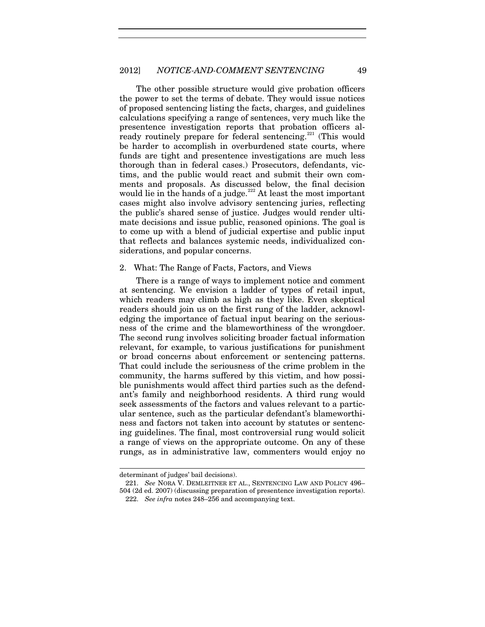#### 2012] *NOTICE-AND-COMMENT SENTENCING* 49

The other possible structure would give probation officers the power to set the terms of debate. They would issue notices of proposed sentencing listing the facts, charges, and guidelines calculations specifying a range of sentences, very much like the presentence investigation reports that probation officers al-ready routinely prepare for federal sentencing.<sup>[221](#page-49-0)</sup> (This would be harder to accomplish in overburdened state courts, where funds are tight and presentence investigations are much less thorough than in federal cases.) Prosecutors, defendants, victims, and the public would react and submit their own comments and proposals. As discussed below, the final decision would lie in the hands of a judge. $222$  At least the most important cases might also involve advisory sentencing juries, reflecting the public's shared sense of justice. Judges would render ultimate decisions and issue public, reasoned opinions. The goal is to come up with a blend of judicial expertise and public input that reflects and balances systemic needs, individualized considerations, and popular concerns.

#### 2. What: The Range of Facts, Factors, and Views

There is a range of ways to implement notice and comment at sentencing. We envision a ladder of types of retail input, which readers may climb as high as they like. Even skeptical readers should join us on the first rung of the ladder, acknowledging the importance of factual input bearing on the seriousness of the crime and the blameworthiness of the wrongdoer. The second rung involves soliciting broader factual information relevant, for example, to various justifications for punishment or broad concerns about enforcement or sentencing patterns. That could include the seriousness of the crime problem in the community, the harms suffered by this victim, and how possible punishments would affect third parties such as the defendant's family and neighborhood residents. A third rung would seek assessments of the factors and values relevant to a particular sentence, such as the particular defendant's blameworthiness and factors not taken into account by statutes or sentencing guidelines. The final, most controversial rung would solicit a range of views on the appropriate outcome. On any of these rungs, as in administrative law, commenters would enjoy no

 $\overline{a}$ 

<span id="page-49-0"></span>determinant of judges' bail decisions).

<span id="page-49-1"></span><sup>221.</sup> *See* NORA V. DEMLEITNER ET AL., SENTENCING LAW AND POLICY 496– 504 (2d ed. 2007) (discussing preparation of presentence investigation reports). 222. *See infra* note[s 248](#page-55-0)[–256](#page-56-0) and accompanying text.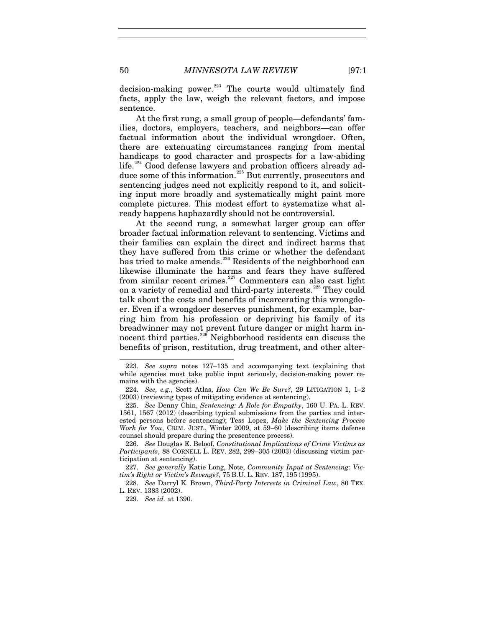decision-making power.<sup>[223](#page-50-0)</sup> The courts would ultimately find facts, apply the law, weigh the relevant factors, and impose sentence.

At the first rung, a small group of people—defendants' families, doctors, employers, teachers, and neighbors—can offer factual information about the individual wrongdoer. Often, there are extenuating circumstances ranging from mental handicaps to good character and prospects for a law-abiding life.<sup>[224](#page-50-1)</sup> Good defense lawyers and probation officers already ad-duce some of this information.<sup>[225](#page-50-2)</sup> But currently, prosecutors and sentencing judges need not explicitly respond to it, and soliciting input more broadly and systematically might paint more complete pictures. This modest effort to systematize what already happens haphazardly should not be controversial.

<span id="page-50-7"></span>At the second rung, a somewhat larger group can offer broader factual information relevant to sentencing. Victims and their families can explain the direct and indirect harms that they have suffered from this crime or whether the defendant has tried to make amends.<sup>[226](#page-50-3)</sup> Residents of the neighborhood can likewise illuminate the harms and fears they have suffered from similar recent crimes.<sup>[227](#page-50-4)</sup> Commenters can also cast light on a variety of remedial and third-party interests.<sup>[228](#page-50-5)</sup> They could talk about the costs and benefits of incarcerating this wrongdoer. Even if a wrongdoer deserves punishment, for example, barring him from his profession or depriving his family of its breadwinner may not prevent future danger or might harm in-nocent third parties.<sup>[229](#page-50-6)</sup> Neighborhood residents can discuss the benefits of prison, restitution, drug treatment, and other alter-

<span id="page-50-0"></span><sup>223.</sup> *See supra* notes 127–135 and accompanying text (explaining that while agencies must take public input seriously, decision-making power remains with the agencies).

<span id="page-50-1"></span><sup>224.</sup> *See, e.g.*, Scott Atlas, *How Can We Be Sure?*, 29 LITIGATION 1, 1–2 (2003) (reviewing types of mitigating evidence at sentencing).

<span id="page-50-2"></span><sup>225.</sup> *See* Denny Chin, *Sentencing: A Role for Empathy*, 160 U. PA. L. REV. 1561, 1567 (2012) (describing typical submissions from the parties and interested persons before sentencing); Tess Lopez, *Make the Sentencing Process Work for You*, CRIM. JUST., Winter 2009, at 59–60 (describing items defense counsel should prepare during the presentence process).

<span id="page-50-3"></span><sup>226.</sup> *See* Douglas E. Beloof, *Constitutional Implications of Crime Victims as Participants*, 88 CORNELL L. REV. 282, 299–305 (2003) (discussing victim participation at sentencing).

<span id="page-50-4"></span><sup>227.</sup> *See generally* Katie Long, Note, *Community Input at Sentencing: Victim's Right or Victim's Revenge?*, 75 B.U. L. REV. 187, 195 (1995).

<span id="page-50-6"></span><span id="page-50-5"></span><sup>228.</sup> *See* Darryl K. Brown, *Third-Party Interests in Criminal Law*, 80 TEX. L. REV. 1383 (2002).

<sup>229.</sup> *See id.* at 1390.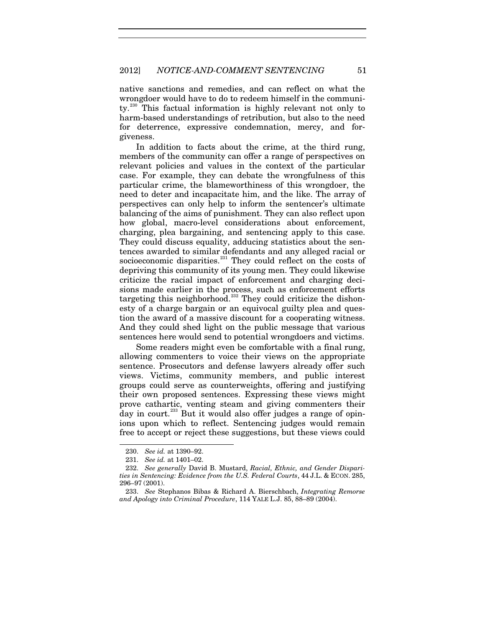native sanctions and remedies, and can reflect on what the wrongdoer would have to do to redeem himself in the communi-ty.<sup>[230](#page-51-0)</sup> This factual information is highly relevant not only to harm-based understandings of retribution, but also to the need for deterrence, expressive condemnation, mercy, and forgiveness.

In addition to facts about the crime, at the third rung, members of the community can offer a range of perspectives on relevant policies and values in the context of the particular case. For example, they can debate the wrongfulness of this particular crime, the blameworthiness of this wrongdoer, the need to deter and incapacitate him, and the like. The array of perspectives can only help to inform the sentencer's ultimate balancing of the aims of punishment. They can also reflect upon how global, macro-level considerations about enforcement, charging, plea bargaining, and sentencing apply to this case. They could discuss equality, adducing statistics about the sentences awarded to similar defendants and any alleged racial or socioeconomic disparities.<sup>[231](#page-51-1)</sup> They could reflect on the costs of depriving this community of its young men. They could likewise criticize the racial impact of enforcement and charging decisions made earlier in the process, such as enforcement efforts targeting this neighborhood.<sup>[232](#page-51-2)</sup> They could criticize the dishonesty of a charge bargain or an equivocal guilty plea and question the award of a massive discount for a cooperating witness. And they could shed light on the public message that various sentences here would send to potential wrongdoers and victims.

Some readers might even be comfortable with a final rung, allowing commenters to voice their views on the appropriate sentence. Prosecutors and defense lawyers already offer such views. Victims, community members, and public interest groups could serve as counterweights, offering and justifying their own proposed sentences. Expressing these views might prove cathartic, venting steam and giving commenters their day in court.<sup>[233](#page-51-3)</sup> But it would also offer judges a range of opinions upon which to reflect. Sentencing judges would remain free to accept or reject these suggestions, but these views could

<span id="page-51-4"></span><sup>230.</sup> *See id.* at 1390–92.

<sup>231.</sup> *See id.* at 1401–02.

<span id="page-51-2"></span><span id="page-51-1"></span><span id="page-51-0"></span><sup>232.</sup> *See generally* David B. Mustard, *Racial, Ethnic, and Gender Disparities in Sentencing: Evidence from the U.S. Federal Courts*, 44 J.L. & ECON. 285, 296–97 (2001).

<span id="page-51-3"></span><sup>233.</sup> *See* Stephanos Bibas & Richard A. Bierschbach, *Integrating Remorse and Apology into Criminal Procedure*, 114 YALE L.J. 85, 88–89 (2004).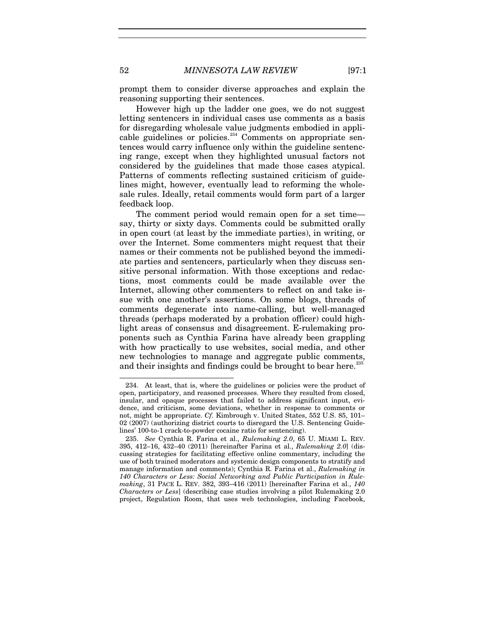prompt them to consider diverse approaches and explain the reasoning supporting their sentences.

However high up the ladder one goes, we do not suggest letting sentencers in individual cases use comments as a basis for disregarding wholesale value judgments embodied in appli-cable guidelines or policies.<sup>[234](#page-52-0)</sup> Comments on appropriate sentences would carry influence only within the guideline sentencing range, except when they highlighted unusual factors not considered by the guidelines that made those cases atypical. Patterns of comments reflecting sustained criticism of guidelines might, however, eventually lead to reforming the wholesale rules. Ideally, retail comments would form part of a larger feedback loop.

The comment period would remain open for a set time say, thirty or sixty days. Comments could be submitted orally in open court (at least by the immediate parties), in writing, or over the Internet. Some commenters might request that their names or their comments not be published beyond the immediate parties and sentencers, particularly when they discuss sensitive personal information. With those exceptions and redactions, most comments could be made available over the Internet, allowing other commenters to reflect on and take issue with one another's assertions. On some blogs, threads of comments degenerate into name-calling, but well-managed threads (perhaps moderated by a probation officer) could highlight areas of consensus and disagreement. E-rulemaking proponents such as Cynthia Farina have already been grappling with how practically to use websites, social media, and other new technologies to manage and aggregate public comments, and their insights and findings could be brought to bear here.<sup>[235](#page-52-1)</sup>

<span id="page-52-2"></span><span id="page-52-0"></span><sup>234.</sup> At least, that is, where the guidelines or policies were the product of open, participatory, and reasoned processes. Where they resulted from closed, insular, and opaque processes that failed to address significant input, evidence, and criticism, some deviations, whether in response to comments or not, might be appropriate. *Cf.* Kimbrough v. United States, 552 U.S. 85, 101– 02 (2007) (authorizing district courts to disregard the U.S. Sentencing Guidelines' 100-to-1 crack-to-powder cocaine ratio for sentencing).

<span id="page-52-1"></span><sup>235.</sup> *See* Cynthia R. Farina et al., *Rulemaking 2.0*, 65 U. MIAMI L. REV. 395, 412–16, 432–40 (2011) [hereinafter Farina et al., *Rulemaking 2.0*] (discussing strategies for facilitating effective online commentary, including the use of both trained moderators and systemic design components to stratify and manage information and comments); Cynthia R. Farina et al., *Rulemaking in 140 Characters or Less: Social Networking and Public Participation in Rulemaking*, 31 PACE L. REV. 382, 393–416 (2011) [hereinafter Farina et al., *140 Characters or Less*] (describing case studies involving a pilot Rulemaking 2.0 project, Regulation Room, that uses web technologies, including Facebook,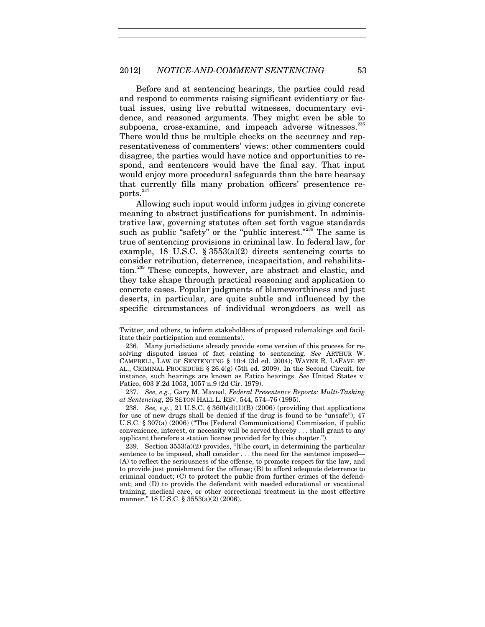### 2012] *NOTICE-AND-COMMENT SENTENCING* 53

Before and at sentencing hearings, the parties could read and respond to comments raising significant evidentiary or factual issues, using live rebuttal witnesses, documentary evidence, and reasoned arguments. They might even be able to subpoena, cross-examine, and impeach adverse witnesses.<sup>[236](#page-53-0)</sup> There would thus be multiple checks on the accuracy and representativeness of commenters' views: other commenters could disagree, the parties would have notice and opportunities to respond, and sentencers would have the final say. That input would enjoy more procedural safeguards than the bare hearsay that currently fills many probation officers' presentence re-ports.<sup>[237](#page-53-1)</sup>

Allowing such input would inform judges in giving concrete meaning to abstract justifications for punishment. In administrative law, governing statutes often set forth vague standards such as public "safety" or the "public interest."<sup>[238](#page-53-2)</sup> The same is true of sentencing provisions in criminal law. In federal law, for example, 18 U.S.C.  $\S 3553(a)(2)$  directs sentencing courts to consider retribution, deterrence, incapacitation, and rehabilita-tion.<sup>[239](#page-53-3)</sup> These concepts, however, are abstract and elastic, and they take shape through practical reasoning and application to concrete cases. Popular judgments of blameworthiness and just deserts, in particular, are quite subtle and influenced by the specific circumstances of individual wrongdoers as well as

 $\overline{a}$ 

<span id="page-53-1"></span>237. *See, e.g.*, Gary M. Maveal, *Federal Presentence Reports: Multi-Tasking at Sentencing*, 26 SETON HALL L. REV. 544, 574–76 (1995).

<span id="page-53-2"></span>238. *See, e.g.*, 21 U.S.C. § 360b(d)(1)(B) (2006) (providing that applications for use of new drugs shall be denied if the drug is found to be "unsafe"); 47 U.S.C. § 307(a) (2006) ("The [Federal Communications] Commission, if public convenience, interest, or necessity will be served thereby . . . shall grant to any applicant therefore a station license provided for by this chapter.").

<span id="page-53-3"></span>239. Section  $3553(a)(2)$  provides, "[t]he court, in determining the particular sentence to be imposed, shall consider . . . the need for the sentence imposed— (A) to reflect the seriousness of the offense, to promote respect for the law, and to provide just punishment for the offense; (B) to afford adequate deterrence to criminal conduct; (C) to protect the public from further crimes of the defendant; and (D) to provide the defendant with needed educational or vocational training, medical care, or other correctional treatment in the most effective manner." 18 U.S.C. § 3553(a)(2) (2006).

Twitter, and others, to inform stakeholders of proposed rulemakings and facilitate their participation and comments).

<span id="page-53-0"></span><sup>236.</sup> Many jurisdictions already provide some version of this process for resolving disputed issues of fact relating to sentencing. *See* ARTHUR W. CAMPBELL, LAW OF SENTENCING § 10:4 (3d ed. 2004); WAYNE R. LAFAVE ET AL., CRIMINAL PROCEDURE § 26.4(g) (5th ed. 2009). In the Second Circuit, for instance, such hearings are known as Fatico hearings. *See* United States v. Fatico, 603 F.2d 1053, 1057 n.9 (2d Cir. 1979).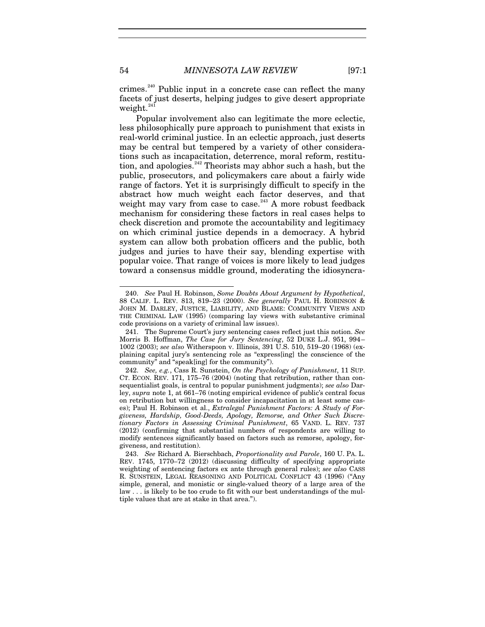<span id="page-54-5"></span>crimes.<sup>[240](#page-54-0)</sup> Public input in a concrete case can reflect the many facets of just deserts, helping judges to give desert appropriate weight.<sup>[241](#page-54-1)</sup>

<span id="page-54-4"></span>Popular involvement also can legitimate the more eclectic, less philosophically pure approach to punishment that exists in real-world criminal justice. In an eclectic approach, just deserts may be central but tempered by a variety of other considerations such as incapacitation, deterrence, moral reform, restitu-tion, and apologies.<sup>[242](#page-54-2)</sup> Theorists may abhor such a hash, but the public, prosecutors, and policymakers care about a fairly wide range of factors. Yet it is surprisingly difficult to specify in the abstract how much weight each factor deserves, and that weight may vary from case to case.<sup>[243](#page-54-3)</sup> A more robust feedback mechanism for considering these factors in real cases helps to check discretion and promote the accountability and legitimacy on which criminal justice depends in a democracy. A hybrid system can allow both probation officers and the public, both judges and juries to have their say, blending expertise with popular voice. That range of voices is more likely to lead judges toward a consensus middle ground, moderating the idiosyncra-

<span id="page-54-0"></span><sup>240.</sup> *See* Paul H. Robinson, *Some Doubts About Argument by Hypothetical*, 88 CALIF. L. REV. 813, 819–23 (2000). *See generally* PAUL H. ROBINSON & JOHN M. DARLEY, JUSTICE, LIABILITY, AND BLAME: COMMUNITY VIEWS AND THE CRIMINAL LAW (1995) (comparing lay views with substantive criminal code provisions on a variety of criminal law issues).

<span id="page-54-1"></span><sup>241.</sup> The Supreme Court's jury sentencing cases reflect just this notion. *See*  Morris B. Hoffman, *The Case for Jury Sentencing*, 52 DUKE L.J. 951, 994– 1002 (2003); *see also* Witherspoon v. Illinois, 391 U.S. 510, 519–20 (1968) (explaining capital jury's sentencing role as "express[ing] the conscience of the community" and "speak[ing] for the community").

<span id="page-54-2"></span><sup>242.</sup> *See, e.g.*, Cass R. Sunstein, *On the Psychology of Punishment*, 11 SUP. CT. ECON. REV. 171, 175–76 (2004) (noting that retribution, rather than consequentialist goals, is central to popular punishment judgments); *see also* Darley, *supra* note 1, at 661–76 (noting empirical evidence of public's central focus on retribution but willingness to consider incapacitation in at least some cases); Paul H. Robinson et al., *Extralegal Punishment Factors: A Study of Forgiveness, Hardship, Good-Deeds, Apology, Remorse, and Other Such Discretionary Factors in Assessing Criminal Punishment*, 65 VAND. L. REV. 737 (2012) (confirming that substantial numbers of respondents are willing to modify sentences significantly based on factors such as remorse, apology, forgiveness, and restitution).

<span id="page-54-3"></span><sup>243.</sup> *See* Richard A. Bierschbach, *Proportionality and Parole*, 160 U. PA. L. REV. 1745, 1770–72 (2012) (discussing difficulty of specifying appropriate weighting of sentencing factors ex ante through general rules); *see also* CASS R. SUNSTEIN, LEGAL REASONING AND POLITICAL CONFLICT 43 (1996) ("Any simple, general, and monistic or single-valued theory of a large area of the law . . . is likely to be too crude to fit with our best understandings of the multiple values that are at stake in that area.").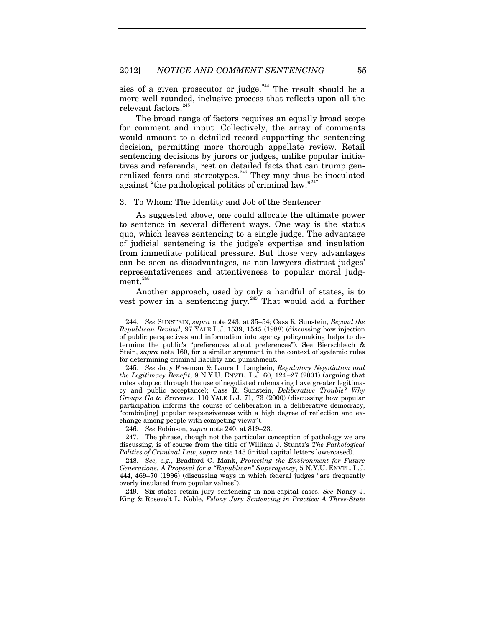sies of a given prosecutor or judge. $244$  The result should be a more well-rounded, inclusive process that reflects upon all the relevant factors.  $\real^{245}$  $\real^{245}$  $\real^{245}$ 

<span id="page-55-7"></span>The broad range of factors requires an equally broad scope for comment and input. Collectively, the array of comments would amount to a detailed record supporting the sentencing decision, permitting more thorough appellate review. Retail sentencing decisions by jurors or judges, unlike popular initiatives and referenda, rest on detailed facts that can trump gen-eralized fears and stereotypes.<sup>[246](#page-55-3)</sup> They may thus be inoculated against "the pathological politics of criminal law."<sup>[247](#page-55-4)</sup>

3. To Whom: The Identity and Job of the Sentencer

As suggested above, one could allocate the ultimate power to sentence in several different ways. One way is the status quo, which leaves sentencing to a single judge. The advantage of judicial sentencing is the judge's expertise and insulation from immediate political pressure. But those very advantages can be seen as disadvantages, as non-lawyers distrust judges' representativeness and attentiveness to popular moral judgment. $^{248}$  $^{248}$  $^{248}$ 

<span id="page-55-0"></span>Another approach, used by only a handful of states, is to vest power in a sentencing jury.<sup>[249](#page-55-6)</sup> That would add a further

<span id="page-55-1"></span><sup>244.</sup> *See* SUNSTEIN, *supra* note [243,](#page-54-4) at 35–54; Cass R. Sunstein, *Beyond the Republican Revival*, 97 YALE L.J. 1539, 1545 (1988) (discussing how injection of public perspectives and information into agency policymaking helps to determine the public's "preferences about preferences"). See Bierschbach & Stein, *supra* note [160,](#page-35-0) for a similar argument in the context of systemic rules for determining criminal liability and punishment.

<span id="page-55-2"></span><sup>245.</sup> *See* Jody Freeman & Laura I. Langbein, *Regulatory Negotiation and the Legitimacy Benefit*, 9 N.Y.U. ENVTL. L.J. 60, 124–27 (2001) (arguing that rules adopted through the use of negotiated rulemaking have greater legitimacy and public acceptance); Cass R. Sunstein, *Deliberative Trouble? Why Groups Go to Extremes*, 110 YALE L.J. 71, 73 (2000) (discussing how popular participation informs the course of deliberation in a deliberative democracy, "combin[ing] popular responsiveness with a high degree of reflection and exchange among people with competing views").

<sup>246.</sup> *See* Robinson, *supra* note [240,](#page-54-5) at 819–23.

<span id="page-55-4"></span><span id="page-55-3"></span><sup>247.</sup> The phrase, though not the particular conception of pathology we are discussing, is of course from the title of William J. Stuntz's *The Pathological Politics of Criminal Law*, *supra* note [143](#page-32-1) (initial capital letters lowercased).

<span id="page-55-5"></span><sup>248.</sup> *See, e.g.*, Bradford C. Mank, *Protecting the Environment for Future Generations: A Proposal for a "Republican" Superagency*, 5 N.Y.U. ENVTL. L.J. 444, 469–70 (1996) (discussing ways in which federal judges "are frequently overly insulated from popular values").

<span id="page-55-6"></span><sup>249.</sup> Six states retain jury sentencing in non-capital cases. *See* Nancy J. King & Rosevelt L. Noble, *Felony Jury Sentencing in Practice: A Three-State*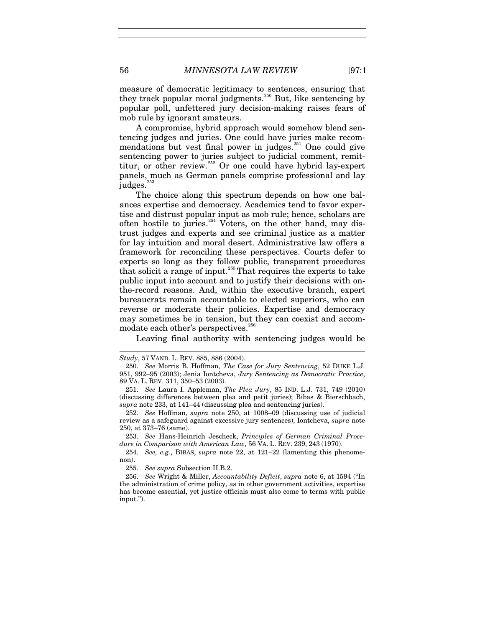<span id="page-56-1"></span>measure of democratic legitimacy to sentences, ensuring that they track popular moral judgments.<sup>[250](#page-56-2)</sup> But, like sentencing by popular poll, unfettered jury decision-making raises fears of mob rule by ignorant amateurs.

A compromise, hybrid approach would somehow blend sentencing judges and juries. One could have juries make recommendations but vest final power in judges. [251](#page-56-3) One could give sentencing power to juries subject to judicial comment, remit-titur, or other review.<sup>[252](#page-56-4)</sup> Or one could have hybrid lay-expert panels, much as German panels comprise professional and lay judges. $253$ 

The choice along this spectrum depends on how one balances expertise and democracy. Academics tend to favor expertise and distrust popular input as mob rule; hence, scholars are often hostile to juries.<sup>[254](#page-56-6)</sup> Voters, on the other hand, may distrust judges and experts and see criminal justice as a matter for lay intuition and moral desert. Administrative law offers a framework for reconciling these perspectives. Courts defer to experts so long as they follow public, transparent procedures that solicit a range of input.<sup>[255](#page-56-7)</sup> That requires the experts to take public input into account and to justify their decisions with onthe-record reasons. And, within the executive branch, expert bureaucrats remain accountable to elected superiors, who can reverse or moderate their policies. Expertise and democracy may sometimes be in tension, but they can coexist and accom-modate each other's perspectives.<sup>[256](#page-56-8)</sup>

<span id="page-56-0"></span>Leaving final authority with sentencing judges would be

 $\overline{a}$ 

<span id="page-56-2"></span>*Study*, 57 VAND. L. REV. 885, 886 (2004).

<sup>250.</sup> *See* Morris B. Hoffman, *The Case for Jury Sentencing*, 52 DUKE L.J. 951, 992–95 (2003); Jenia Iontcheva, *Jury Sentencing as Democratic Practice*, 89 VA. L. REV. 311, 350–53 (2003).

<span id="page-56-3"></span><sup>251.</sup> *See* Laura I. Appleman, *The Plea Jury*, 85 IND. L.J. 731, 749 (2010) (discussing differences between plea and petit juries); Bibas & Bierschbach, *supra* note [233,](#page-51-4) at 141–44 (discussing plea and sentencing juries).

<span id="page-56-4"></span><sup>252.</sup> *See* Hoffman, *supra* note [250,](#page-56-1) at 1008–09 (discussing use of judicial review as a safeguard against excessive jury sentences); Iontcheva, *supra* note [250,](#page-56-1) at 373–76 (same).

<span id="page-56-5"></span><sup>253.</sup> *See* Hans-Heinrich Jescheck, *Principles of German Criminal Procedure in Comparison with American Law*, 56 VA. L. REV. 239, 243 (1970).

<span id="page-56-6"></span><sup>254.</sup> *See, e.g.*, BIBAS, *supra* note 22, at 121–22 (lamenting this phenomenon).

<sup>255.</sup> *See supra* Subsection II.B.2.

<span id="page-56-8"></span><span id="page-56-7"></span><sup>256.</sup> *See* Wright & Miller, *Accountability Deficit*, *supra* note [6,](#page-4-0) at 1594 ("In the administration of crime policy, as in other government activities, expertise has become essential, yet justice officials must also come to terms with public input.").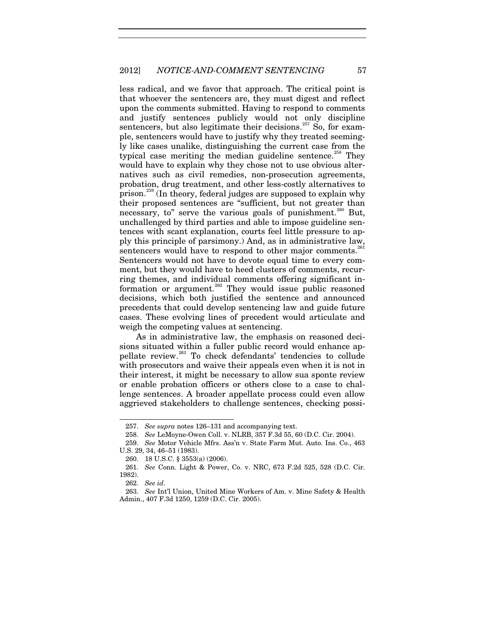less radical, and we favor that approach. The critical point is that whoever the sentencers are, they must digest and reflect upon the comments submitted. Having to respond to comments and justify sentences publicly would not only discipline sentencers, but also legitimate their decisions.<sup>[257](#page-57-1)</sup> So, for example, sentencers would have to justify why they treated seemingly like cases unalike, distinguishing the current case from the typical case meriting the median guideline sentence.<sup>[258](#page-57-2)</sup> They would have to explain why they chose not to use obvious alternatives such as civil remedies, non-prosecution agreements, probation, drug treatment, and other less-costly alternatives to prison.[259](#page-57-3) (In theory, federal judges are supposed to explain why their proposed sentences are "sufficient, but not greater than necessary, to" serve the various goals of punishment.<sup>[260](#page-57-4)</sup> But, unchallenged by third parties and able to impose guideline sentences with scant explanation, courts feel little pressure to apply this principle of parsimony.) And, as in administrative law, sentencers would have to respond to other major comments.<sup>[261](#page-57-5)</sup> Sentencers would not have to devote equal time to every comment, but they would have to heed clusters of comments, recurring themes, and individual comments offering significant in-formation or argument.<sup>[262](#page-57-6)</sup> They would issue public reasoned decisions, which both justified the sentence and announced precedents that could develop sentencing law and guide future cases. These evolving lines of precedent would articulate and weigh the competing values at sentencing.

<span id="page-57-0"></span>As in administrative law, the emphasis on reasoned decisions situated within a fuller public record would enhance ap-pellate review.<sup>[263](#page-57-7)</sup> To check defendants' tendencies to collude with prosecutors and waive their appeals even when it is not in their interest, it might be necessary to allow sua sponte review or enable probation officers or others close to a case to challenge sentences. A broader appellate process could even allow aggrieved stakeholders to challenge sentences, checking possi-

<sup>257.</sup> *See supra* notes [126](#page-29-2)[–131](#page-29-1) and accompanying text.

<sup>258.</sup> *See* LeMoyne-Owen Coll. v. NLRB, 357 F.3d 55, 60 (D.C. Cir. 2004).

<span id="page-57-3"></span><span id="page-57-2"></span><span id="page-57-1"></span><sup>259.</sup> *See* Motor Vehicle Mfrs. Ass'n v. State Farm Mut. Auto. Ins. Co., 463 U.S. 29, 34, 46–51 (1983).

<sup>260.</sup> 18 U.S.C. § 3553(a) (2006).

<span id="page-57-5"></span><span id="page-57-4"></span><sup>261.</sup> *See* Conn. Light & Power, Co. v. NRC, 673 F.2d 525, 528 (D.C. Cir. 1982).

<sup>262.</sup> *See id*.

<span id="page-57-7"></span><span id="page-57-6"></span><sup>263.</sup> *See* Int'l Union, United Mine Workers of Am. v. Mine Safety & Health Admin., 407 F.3d 1250, 1259 (D.C. Cir. 2005).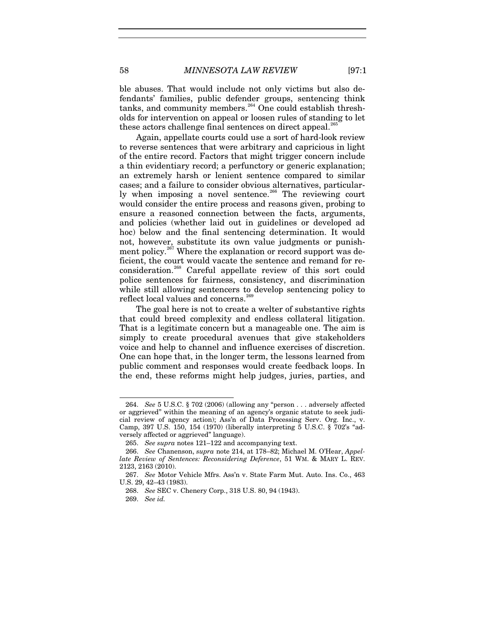ble abuses. That would include not only victims but also defendants' families, public defender groups, sentencing think tanks, and community members.<sup>[264](#page-58-1)</sup> One could establish thresholds for intervention on appeal or loosen rules of standing to let these actors challenge final sentences on direct appeal.<sup>[265](#page-58-2)</sup>

Again, appellate courts could use a sort of hard-look review to reverse sentences that were arbitrary and capricious in light of the entire record. Factors that might trigger concern include a thin evidentiary record; a perfunctory or generic explanation; an extremely harsh or lenient sentence compared to similar cases; and a failure to consider obvious alternatives, particular-ly when imposing a novel sentence.<sup>[266](#page-58-3)</sup> The reviewing court would consider the entire process and reasons given, probing to ensure a reasoned connection between the facts, arguments, and policies (whether laid out in guidelines or developed ad hoc) below and the final sentencing determination. It would not, however, substitute its own value judgments or punish-ment policy.<sup>[267](#page-58-4)</sup> Where the explanation or record support was deficient, the court would vacate the sentence and remand for reconsideration.[268](#page-58-5) Careful appellate review of this sort could police sentences for fairness, consistency, and discrimination while still allowing sentencers to develop sentencing policy to reflect local values and concerns.<sup>[269](#page-58-6)</sup>

<span id="page-58-0"></span>The goal here is not to create a welter of substantive rights that could breed complexity and endless collateral litigation. That is a legitimate concern but a manageable one. The aim is simply to create procedural avenues that give stakeholders voice and help to channel and influence exercises of discretion. One can hope that, in the longer term, the lessons learned from public comment and responses would create feedback loops. In the end, these reforms might help judges, juries, parties, and

<span id="page-58-1"></span><sup>264.</sup> *See* 5 U.S.C. § 702 (2006) (allowing any "person . . . adversely affected or aggrieved" within the meaning of an agency's organic statute to seek judicial review of agency action); Ass'n of Data Processing Serv. Org. Inc., v. Camp, 397 U.S. 150, 154 (1970) (liberally interpreting 5 U.S.C. § 702's "adversely affected or aggrieved" language).

<sup>265.</sup> *See supra* note[s 121](#page-28-0)[–122](#page-28-1) and accompanying text.

<span id="page-58-3"></span><span id="page-58-2"></span><sup>266.</sup> *See* Chanenson, *supra* note [214,](#page-46-3) at 178–82; Michael M. O'Hear, *Appellate Review of Sentences: Reconsidering Deference*, 51 WM. & MARY L. REV. 2123, 2163 (2010).

<span id="page-58-6"></span><span id="page-58-5"></span><span id="page-58-4"></span><sup>267.</sup> *See* Motor Vehicle Mfrs. Ass'n v. State Farm Mut. Auto. Ins. Co., 463 U.S. 29, 42–43 (1983).

<sup>268.</sup> *See* SEC v. Chenery Corp., 318 U.S. 80, 94 (1943).

<sup>269.</sup> *See id.*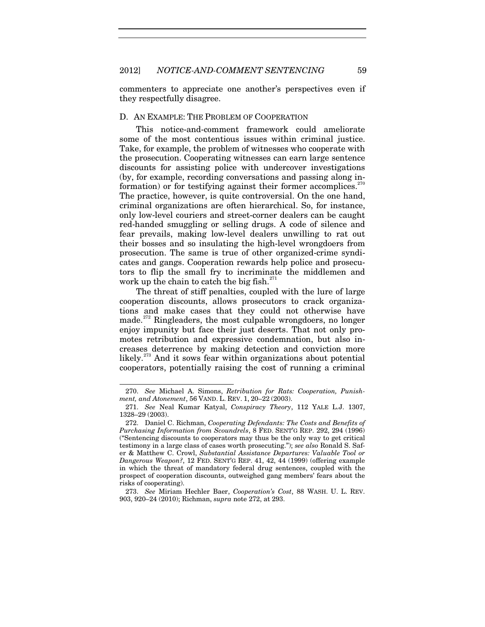commenters to appreciate one another's perspectives even if they respectfully disagree.

## D. AN EXAMPLE: THE PROBLEM OF COOPERATION

This notice-and-comment framework could ameliorate some of the most contentious issues within criminal justice. Take, for example, the problem of witnesses who cooperate with the prosecution. Cooperating witnesses can earn large sentence discounts for assisting police with undercover investigations (by, for example, recording conversations and passing along information) or for testifying against their former accomplices. $270$ The practice, however, is quite controversial. On the one hand, criminal organizations are often hierarchical. So, for instance, only low-level couriers and street-corner dealers can be caught red-handed smuggling or selling drugs. A code of silence and fear prevails, making low-level dealers unwilling to rat out their bosses and so insulating the high-level wrongdoers from prosecution. The same is true of other organized-crime syndicates and gangs. Cooperation rewards help police and prosecutors to flip the small fry to incriminate the middlemen and work up the chain to catch the big fish. $^{271}$  $^{271}$  $^{271}$ 

<span id="page-59-0"></span>The threat of stiff penalties, coupled with the lure of large cooperation discounts, allows prosecutors to crack organizations and make cases that they could not otherwise have made.<sup>[272](#page-59-3)</sup> Ringleaders, the most culpable wrongdoers, no longer enjoy impunity but face their just deserts. That not only promotes retribution and expressive condemnation, but also increases deterrence by making detection and conviction more likely.<sup>[273](#page-59-4)</sup> And it sows fear within organizations about potential cooperators, potentially raising the cost of running a criminal

<span id="page-59-5"></span><span id="page-59-1"></span><sup>270.</sup> *See* Michael A. Simons, *Retribution for Rats: Cooperation, Punishment, and Atonement*, 56 VAND. L. REV. 1, 20–22 (2003).

<span id="page-59-2"></span><sup>271.</sup> *See* Neal Kumar Katyal, *Conspiracy Theory*, 112 YALE L.J. 1307, 1328–29 (2003).

<span id="page-59-3"></span><sup>272.</sup> Daniel C. Richman, *Cooperating Defendants: The Costs and Benefits of Purchasing Information from Scoundrels*, 8 FED. SENT'G REP. 292, 294 (1996) ("Sentencing discounts to cooperators may thus be the only way to get critical testimony in a large class of cases worth prosecuting."); *see also* Ronald S. Safer & Matthew C. Crowl, *Substantial Assistance Departures: Valuable Tool or Dangerous Weapon?*, 12 FED. SENT'G REP. 41, 42, 44 (1999) (offering example in which the threat of mandatory federal drug sentences, coupled with the prospect of cooperation discounts, outweighed gang members' fears about the risks of cooperating).

<span id="page-59-4"></span><sup>273.</sup> *See* Miriam Hechler Baer, *Cooperation's Cost*, 88 WASH. U. L. REV. 903, 920–24 (2010); Richman, *supra* note [272,](#page-59-0) at 293.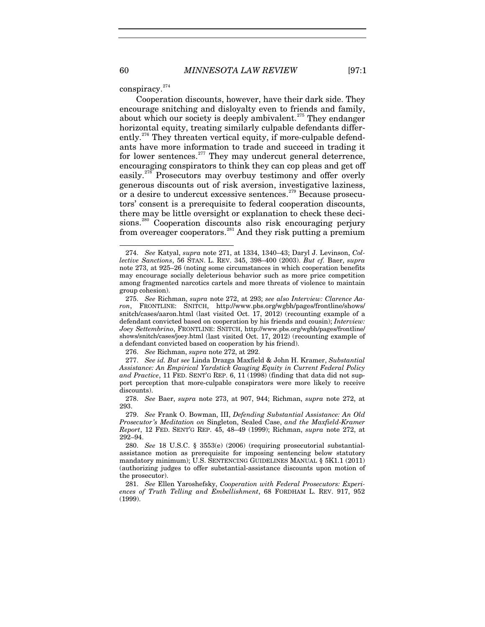conspiracy.<sup>[274](#page-60-0)</sup>

Cooperation discounts, however, have their dark side. They encourage snitching and disloyalty even to friends and family, about which our society is deeply ambivalent.<sup>[275](#page-60-1)</sup> They endanger horizontal equity, treating similarly culpable defendants differ-ently.<sup>[276](#page-60-2)</sup> They threaten vertical equity, if more-culpable defendants have more information to trade and succeed in trading it for lower sentences. $277$  They may undercut general deterrence, encouraging conspirators to think they can cop pleas and get off easily.<sup>[278](#page-60-4)</sup> Prosecutors may overbuy testimony and offer overly generous discounts out of risk aversion, investigative laziness, or a desire to undercut excessive sentences.<sup>[279](#page-60-5)</sup> Because prosecutors' consent is a prerequisite to federal cooperation discounts, there may be little oversight or explanation to check these deci-sions.<sup>[280](#page-60-6)</sup> Cooperation discounts also risk encouraging perjury from overeager cooperators.<sup>[281](#page-60-7)</sup> And they risk putting a premium

<span id="page-60-0"></span><sup>274.</sup> *See* Katyal, *supra* note 271, at 1334, 1340–43; Daryl J. Levinson, *Collective Sanctions*, 56 STAN. L. REV. 345, 398–400 (2003). *But cf.* Baer, *supra* note [273,](#page-59-5) at 925–26 (noting some circumstances in which cooperation benefits may encourage socially deleterious behavior such as more price competition among fragmented narcotics cartels and more threats of violence to maintain group cohesion).

<span id="page-60-1"></span><sup>275.</sup> *See* Richman, *supra* note [272,](#page-59-0) at 293; *see also Interview: Clarence Aaron*, FRONTLINE: SNITCH, http://www.pbs.org/wgbh/pages/frontline/shows/ snitch/cases/aaron.html (last visited Oct. 17, 2012) (recounting example of a defendant convicted based on cooperation by his friends and cousin); *Interview: Joey Settembrino*, FRONTLINE: SNITCH, http://www.pbs.org/wgbh/pages/frontline/ shows/snitch/cases/joey.html (last visited Oct. 17, 2012) (recounting example of a defendant convicted based on cooperation by his friend).

<sup>276.</sup> *See* Richman, *supra* note [272,](#page-59-0) at 292.

<span id="page-60-3"></span><span id="page-60-2"></span><sup>277.</sup> *See id. But see* Linda Drazga Maxfield & John H. Kramer, *Substantial Assistance: An Empirical Yardstick Gauging Equity in Current Federal Policy and Practice*, 11 FED. SENT'G REP. 6, 11 (1998) (finding that data did not support perception that more-culpable conspirators were more likely to receive discounts).

<span id="page-60-4"></span><sup>278.</sup> *See* Baer, *supra* note [273,](#page-59-5) at 907, 944; Richman, *supra* note [272,](#page-59-0) at 293.

<span id="page-60-5"></span><sup>279.</sup> *See* Frank O. Bowman, III, *Defending Substantial Assistance: An Old Prosecutor 's Meditation on* Singleton, Sealed Case, *and the Maxfield-Kramer Report*, 12 FED. SENT'G REP. 45, 48–49 (1999); Richman, *supra* note [272,](#page-59-0) at 292–94.

<span id="page-60-6"></span><sup>280.</sup> *See* 18 U.S.C. § 3553(e) (2006) (requiring prosecutorial substantialassistance motion as prerequisite for imposing sentencing below statutory mandatory minimum); U.S. SENTENCING GUIDELINES MANUAL § 5K1.1 (2011) (authorizing judges to offer substantial-assistance discounts upon motion of the prosecutor).

<span id="page-60-7"></span><sup>281.</sup> *See* Ellen Yaroshefsky, *Cooperation with Federal Prosecutors: Experiences of Truth Telling and Embellishment*, 68 FORDHAM L. REV. 917, 952 (1999).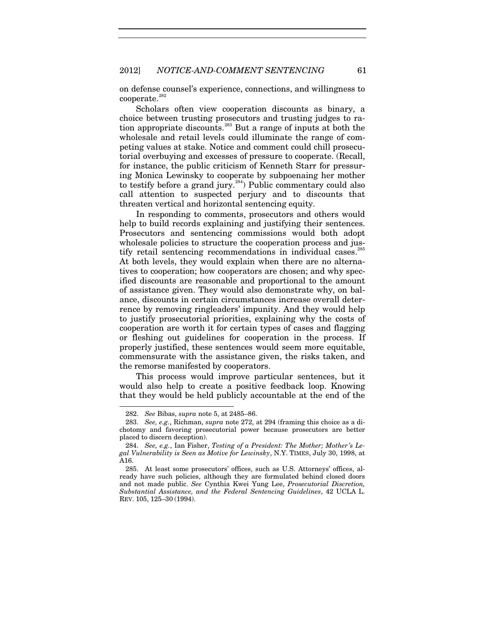on defense counsel's experience, connections, and willingness to  $cooperate.<sup>282</sup>$  $cooperate.<sup>282</sup>$  $cooperate.<sup>282</sup>$ 

Scholars often view cooperation discounts as binary, a choice between trusting prosecutors and trusting judges to ra-tion appropriate discounts.<sup>[283](#page-61-1)</sup> But a range of inputs at both the wholesale and retail levels could illuminate the range of competing values at stake. Notice and comment could chill prosecutorial overbuying and excesses of pressure to cooperate. (Recall, for instance, the public criticism of Kenneth Starr for pressuring Monica Lewinsky to cooperate by subpoenaing her mother to testify before a grand jury.<sup>[284](#page-61-2)</sup>) Public commentary could also call attention to suspected perjury and to discounts that threaten vertical and horizontal sentencing equity.

In responding to comments, prosecutors and others would help to build records explaining and justifying their sentences. Prosecutors and sentencing commissions would both adopt wholesale policies to structure the cooperation process and jus-tify retail sentencing recommendations in individual cases.<sup>[285](#page-61-3)</sup> At both levels, they would explain when there are no alternatives to cooperation; how cooperators are chosen; and why specified discounts are reasonable and proportional to the amount of assistance given. They would also demonstrate why, on balance, discounts in certain circumstances increase overall deterrence by removing ringleaders' impunity. And they would help to justify prosecutorial priorities, explaining why the costs of cooperation are worth it for certain types of cases and flagging or fleshing out guidelines for cooperation in the process. If properly justified, these sentences would seem more equitable, commensurate with the assistance given, the risks taken, and the remorse manifested by cooperators.

This process would improve particular sentences, but it would also help to create a positive feedback loop. Knowing that they would be held publicly accountable at the end of the

<sup>282.</sup> *See* Bibas, *supra* not[e 5,](#page-4-1) at 2485–86.

<span id="page-61-1"></span><span id="page-61-0"></span><sup>283.</sup> *See, e.g.*, Richman, *supra* note [272,](#page-59-0) at 294 (framing this choice as a dichotomy and favoring prosecutorial power because prosecutors are better placed to discern deception).

<span id="page-61-2"></span><sup>284.</sup> *See, e.g.*, Ian Fisher, *Testing of a President: The Mother; Mother 's Legal Vulnerability is Seen as Motive for Lewinsky*, N.Y. TIMES, July 30, 1998, at A16.

<span id="page-61-3"></span><sup>285.</sup> At least some prosecutors' offices, such as U.S. Attorneys' offices, already have such policies, although they are formulated behind closed doors and not made public. *See* Cynthia Kwei Yung Lee, *Prosecutorial Discretion, Substantial Assistance, and the Federal Sentencing Guidelines*, 42 UCLA L. REV. 105, 125–30 (1994).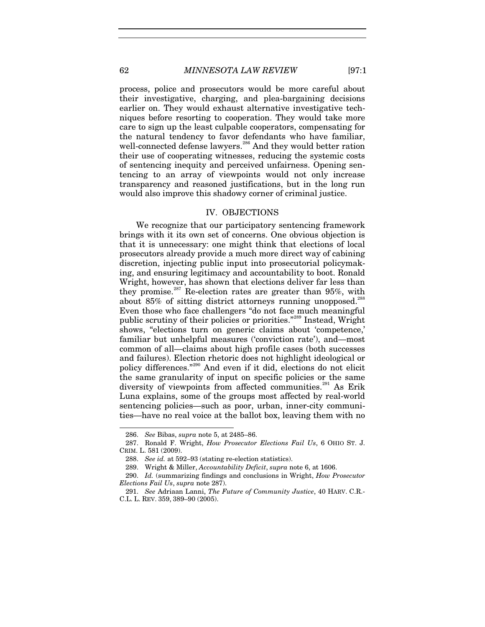process, police and prosecutors would be more careful about their investigative, charging, and plea-bargaining decisions earlier on. They would exhaust alternative investigative techniques before resorting to cooperation. They would take more care to sign up the least culpable cooperators, compensating for the natural tendency to favor defendants who have familiar, well-connected defense lawyers.<sup>[286](#page-62-0)</sup> And they would better ration their use of cooperating witnesses, reducing the systemic costs of sentencing inequity and perceived unfairness. Opening sentencing to an array of viewpoints would not only increase transparency and reasoned justifications, but in the long run would also improve this shadowy corner of criminal justice.

#### IV. OBJECTIONS

We recognize that our participatory sentencing framework brings with it its own set of concerns. One obvious objection is that it is unnecessary: one might think that elections of local prosecutors already provide a much more direct way of cabining discretion, injecting public input into prosecutorial policymaking, and ensuring legitimacy and accountability to boot. Ronald Wright, however, has shown that elections deliver far less than they promise.<sup>[287](#page-62-1)</sup> Re-election rates are greater than  $95\%$ , with about  $85\%$  of sitting district attorneys running unopposed.<sup>[288](#page-62-2)</sup> Even those who face challengers "do not face much meaningful public scrutiny of their policies or priorities."[289](#page-62-3) Instead, Wright shows, "elections turn on generic claims about 'competence,' familiar but unhelpful measures ('conviction rate'), and—most common of all—claims about high profile cases (both successes and failures). Election rhetoric does not highlight ideological or policy differences."[290](#page-62-4) And even if it did, elections do not elicit the same granularity of input on specific policies or the same diversity of viewpoints from affected communities.<sup>[291](#page-62-5)</sup> As Erik Luna explains, some of the groups most affected by real-world sentencing policies—such as poor, urban, inner-city communities—have no real voice at the ballot box, leaving them with no

<sup>286.</sup> *See* Bibas, *supra* note [5,](#page-4-1) at 2485–86.

<span id="page-62-2"></span><span id="page-62-1"></span><span id="page-62-0"></span><sup>287.</sup> Ronald F. Wright, *How Prosecutor Elections Fail Us*, 6 OHIO ST. J. CRIM. L. 581 (2009).

<sup>288.</sup> *See id.* at 592–93 (stating re-election statistics).

<sup>289.</sup> Wright & Miller, *Accountability Deficit*, *supra* note [6,](#page-4-0) at 1606.

<span id="page-62-4"></span><span id="page-62-3"></span><sup>290.</sup> *Id.* (summarizing findings and conclusions in Wright, *How Prosecutor Elections Fail Us*, *supra* note 287).

<span id="page-62-5"></span><sup>291.</sup> *See* Adriaan Lanni, *The Future of Community Justice*, 40 HARV. C.R.- C.L. L. REV. 359, 389–90 (2005).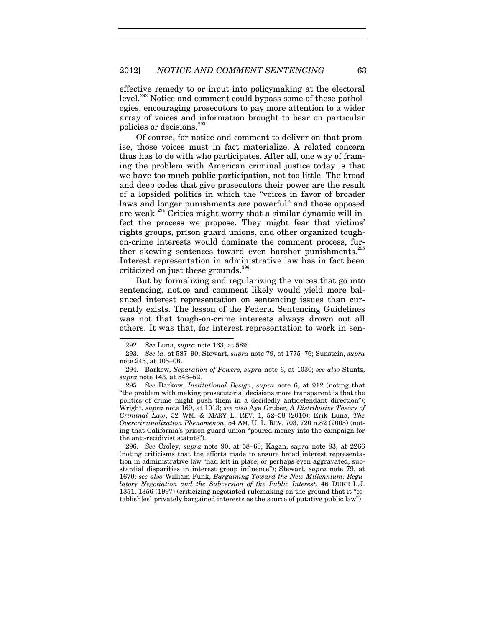effective remedy to or input into policymaking at the electoral level.<sup>[292](#page-63-0)</sup> Notice and comment could bypass some of these pathologies, encouraging prosecutors to pay more attention to a wider array of voices and information brought to bear on particular policies or decisions.[293](#page-63-1)

Of course, for notice and comment to deliver on that promise, those voices must in fact materialize. A related concern thus has to do with who participates. After all, one way of framing the problem with American criminal justice today is that we have too much public participation, not too little. The broad and deep codes that give prosecutors their power are the result of a lopsided politics in which the "voices in favor of broader laws and longer punishments are powerful" and those opposed are weak. $294$  Critics might worry that a similar dynamic will infect the process we propose. They might fear that victims' rights groups, prison guard unions, and other organized toughon-crime interests would dominate the comment process, fur-ther skewing sentences toward even harsher punishments.<sup>[295](#page-63-3)</sup> Interest representation in administrative law has in fact been criticized on just these grounds.<sup>[296](#page-63-4)</sup>

But by formalizing and regularizing the voices that go into sentencing, notice and comment likely would yield more balanced interest representation on sentencing issues than currently exists. The lesson of the Federal Sentencing Guidelines was not that tough-on-crime interests always drown out all others. It was that, for interest representation to work in sen-

<sup>292.</sup> *See* Luna, *supra* note [163,](#page-36-4) at 589.

<span id="page-63-1"></span><span id="page-63-0"></span><sup>293.</sup> *See id.* at 587–90; Stewart, *supra* note [79,](#page-22-0) at 1775–76; Sunstein, *supra* not[e 245,](#page-55-7) at 105–06.

<span id="page-63-2"></span><sup>294.</sup> Barkow, *Separation of Powers*, *supra* note [6,](#page-4-0) at 1030; *see also* Stuntz, *supra* note [143,](#page-32-1) at 546–52.

<span id="page-63-3"></span><sup>295.</sup> *See* Barkow, *Institutional Design*, *supra* note [6,](#page-4-0) at 912 (noting that "the problem with making prosecutorial decisions more transparent is that the politics of crime might push them in a decidedly antidefendant direction"); Wright, *supra* not[e 169,](#page-38-5) at 1013; *see also* Aya Gruber, *A Distributive Theory of Criminal Law*, 52 WM. & MARY L. REV. 1, 52–58 (2010); Erik Luna, *The Overcriminalization Phenomenon*, 54 AM. U. L. REV. 703, 720 n.82 (2005) (noting that California's prison guard union "poured money into the campaign for the anti-recidivist statute").

<span id="page-63-4"></span><sup>296.</sup> *See* Croley, *supra* note [90,](#page-23-0) at 58–60; Kagan, *supra* note [83,](#page-22-1) at 2266 (noting criticisms that the efforts made to ensure broad interest representation in administrative law "had left in place, or perhaps even aggravated, substantial disparities in interest group influence"); Stewart, *supra* note [79,](#page-22-0) at 1670; *see also* William Funk, *Bargaining Toward the New Millennium: Regulatory Negotiation and the Subversion of the Public Interest*, 46 DUKE L.J. 1351, 1356 (1997) (criticizing negotiated rulemaking on the ground that it "establish[es] privately bargained interests as the source of putative public law").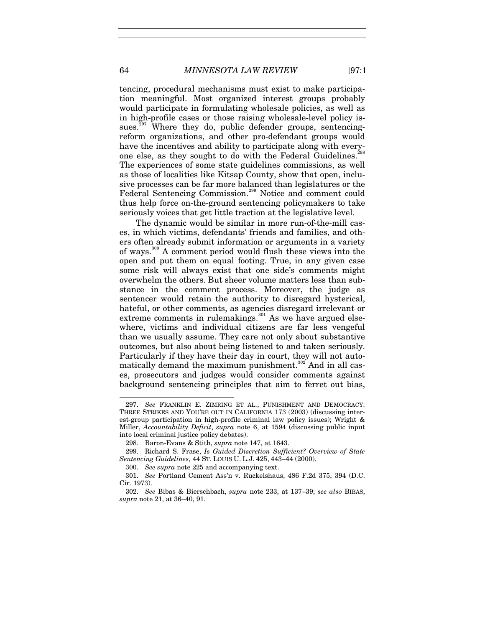<span id="page-64-0"></span>tencing, procedural mechanisms must exist to make participation meaningful. Most organized interest groups probably would participate in formulating wholesale policies, as well as in high-profile cases or those raising wholesale-level policy issues. $297$  Where they do, public defender groups, sentencingreform organizations, and other pro-defendant groups would have the incentives and ability to participate along with every-one else, as they sought to do with the Federal Guidelines.<sup>[298](#page-64-3)</sup> The experiences of some state guidelines commissions, as well as those of localities like Kitsap County, show that open, inclusive processes can be far more balanced than legislatures or the Federal Sentencing Commission.<sup>[299](#page-64-4)</sup> Notice and comment could thus help force on-the-ground sentencing policymakers to take seriously voices that get little traction at the legislative level.

<span id="page-64-1"></span>The dynamic would be similar in more run-of-the-mill cases, in which victims, defendants' friends and families, and others often already submit information or arguments in a variety of ways.<sup>[300](#page-64-5)</sup> A comment period would flush these views into the open and put them on equal footing. True, in any given case some risk will always exist that one side's comments might overwhelm the others. But sheer volume matters less than substance in the comment process. Moreover, the judge as sentencer would retain the authority to disregard hysterical, hateful, or other comments, as agencies disregard irrelevant or extreme comments in rulemakings. $301$  As we have argued elsewhere, victims and individual citizens are far less vengeful than we usually assume. They care not only about substantive outcomes, but also about being listened to and taken seriously. Particularly if they have their day in court, they will not auto-matically demand the maximum punishment.<sup>[302](#page-64-7)</sup> And in all cases, prosecutors and judges would consider comments against background sentencing principles that aim to ferret out bias,

<span id="page-64-2"></span><sup>297.</sup> *See* FRANKLIN E. ZIMRING ET AL., PUNISHMENT AND DEMOCRACY: THREE STRIKES AND YOU'RE OUT IN CALIFORNIA 173 (2003) (discussing interest-group participation in high-profile criminal law policy issues); Wright & Miller, *Accountability Deficit*, *supra* note [6,](#page-4-0) at 1594 (discussing public input into local criminal justice policy debates).

<sup>298.</sup> Baron-Evans & Stith, *supra* note [147,](#page-32-2) at 1643.

<span id="page-64-4"></span><span id="page-64-3"></span><sup>299.</sup> Richard S. Frase, *Is Guided Discretion Sufficient? Overview of State Sentencing Guidelines*, 44 ST. LOUIS U. L.J. 425, 443–44 (2000).

<sup>300.</sup> *See supra* note [225](#page-50-7) and accompanying text.

<span id="page-64-6"></span><span id="page-64-5"></span><sup>301.</sup> *See* Portland Cement Ass'n v. Ruckelshaus, 486 F.2d 375, 394 (D.C. Cir. 1973).

<span id="page-64-7"></span><sup>302.</sup> *See* Bibas & Bierschbach, *supra* note [233,](#page-51-4) at 137–39; *see also* BIBAS, *supra* note [21,](#page-10-0) at 36–40, 91.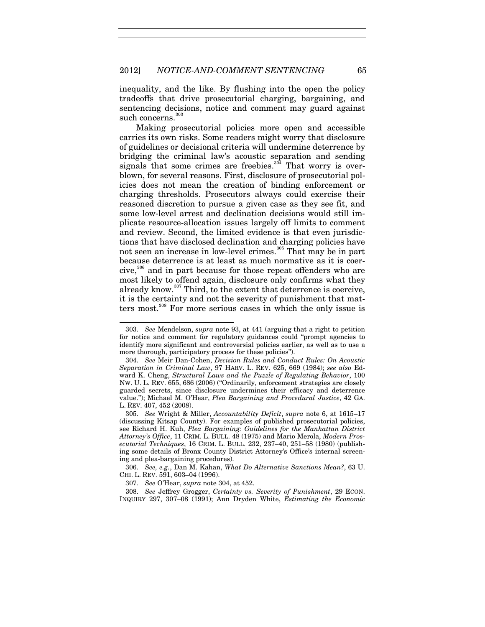inequality, and the like. By flushing into the open the policy tradeoffs that drive prosecutorial charging, bargaining, and sentencing decisions, notice and comment may guard against such concerns.<sup>[303](#page-65-1)</sup>

<span id="page-65-0"></span>Making prosecutorial policies more open and accessible carries its own risks. Some readers might worry that disclosure of guidelines or decisional criteria will undermine deterrence by bridging the criminal law's acoustic separation and sending signals that some crimes are freebies. $304$  That worry is overblown, for several reasons. First, disclosure of prosecutorial policies does not mean the creation of binding enforcement or charging thresholds. Prosecutors always could exercise their reasoned discretion to pursue a given case as they see fit, and some low-level arrest and declination decisions would still implicate resource-allocation issues largely off limits to comment and review. Second, the limited evidence is that even jurisdictions that have disclosed declination and charging policies have not seen an increase in low-level crimes.<sup>[305](#page-65-3)</sup> That may be in part because deterrence is at least as much normative as it is coer $cive$ ,<sup>[306](#page-65-4)</sup> and in part because for those repeat offenders who are most likely to offend again, disclosure only confirms what they already know.<sup>[307](#page-65-5)</sup> Third, to the extent that deterrence is coercive, it is the certainty and not the severity of punishment that matters most.[308](#page-65-6) For more serious cases in which the only issue is

<span id="page-65-1"></span><sup>303.</sup> *See* Mendelson, *supra* note [93,](#page-24-0) at 441 (arguing that a right to petition for notice and comment for regulatory guidances could "prompt agencies to identify more significant and controversial policies earlier, as well as to use a more thorough, participatory process for these policies").

<span id="page-65-2"></span><sup>304.</sup> *See* Meir Dan-Cohen, *Decision Rules and Conduct Rules: On Acoustic Separation in Criminal Law*, 97 HARV. L. REV. 625, 669 (1984); *see also* Edward K. Cheng, *Structural Laws and the Puzzle of Regulating Behavior*, 100 NW. U. L. REV. 655, 686 (2006) ("Ordinarily, enforcement strategies are closely guarded secrets, since disclosure undermines their efficacy and deterrence value."); Michael M. O'Hear, *Plea Bargaining and Procedural Justice*, 42 GA. L. REV. 407, 452 (2008).

<span id="page-65-3"></span><sup>305.</sup> *See* Wright & Miller, *Accountability Deficit*, *supra* note [6,](#page-4-0) at 1615–17 (discussing Kitsap County). For examples of published prosecutorial policies, see Richard H. Kuh, *Plea Bargaining: Guidelines for the Manhattan District Attorney's Office*, 11 CRIM. L. BULL. 48 (1975) and Mario Merola, *Modern Prosecutorial Techniques*, 16 CRIM. L. BULL. 232, 237–40, 251–58 (1980) (publishing some details of Bronx County District Attorney's Office's internal screening and plea-bargaining procedures).

<span id="page-65-4"></span><sup>306.</sup> *See, e.g.*, Dan M. Kahan, *What Do Alternative Sanctions Mean?*, 63 U. CHI. L. REV. 591, 603–04 (1996).

<sup>307.</sup> *See* O'Hear, *supra* not[e 304,](#page-65-0) at 452.

<span id="page-65-6"></span><span id="page-65-5"></span><sup>308.</sup> *See* Jeffrey Grogger, *Certainty vs. Severity of Punishment*, 29 ECON. INQUIRY 297, 307–08 (1991); Ann Dryden White, *Estimating the Economic*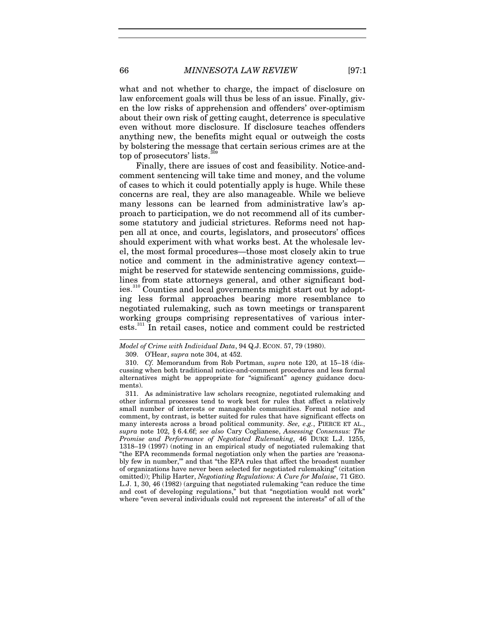what and not whether to charge, the impact of disclosure on law enforcement goals will thus be less of an issue. Finally, given the low risks of apprehension and offenders' over-optimism about their own risk of getting caught, deterrence is speculative even without more disclosure. If disclosure teaches offenders anything new, the benefits might equal or outweigh the costs by bolstering the message that certain serious crimes are at the top of prosecutors' lists.<sup>[309](#page-66-0)</sup>

Finally, there are issues of cost and feasibility. Notice-andcomment sentencing will take time and money, and the volume of cases to which it could potentially apply is huge. While these concerns are real, they are also manageable. While we believe many lessons can be learned from administrative law's approach to participation, we do not recommend all of its cumbersome statutory and judicial strictures. Reforms need not happen all at once, and courts, legislators, and prosecutors' offices should experiment with what works best. At the wholesale level, the most formal procedures—those most closely akin to true notice and comment in the administrative agency context might be reserved for statewide sentencing commissions, guidelines from state attorneys general, and other significant bodies.[310](#page-66-1) Counties and local governments might start out by adopting less formal approaches bearing more resemblance to negotiated rulemaking, such as town meetings or transparent working groups comprising representatives of various inter-ests.<sup>[311](#page-66-2)</sup> In retail cases, notice and comment could be restricted

<span id="page-66-2"></span>311. As administrative law scholars recognize, negotiated rulemaking and other informal processes tend to work best for rules that affect a relatively small number of interests or manageable communities. Formal notice and comment, by contrast, is better suited for rules that have significant effects on many interests across a broad political community. *See, e.g.*, PIERCE ET AL., *supra* note [102,](#page-25-0) § 6.4.6f; *see also* Cary Coglianese, *Assessing Consensus: The Promise and Performance of Negotiated Rulemaking*, 46 DUKE L.J. 1255, 1318–19 (1997) (noting in an empirical study of negotiated rulemaking that "the EPA recommends formal negotiation only when the parties are 'reasonably few in number,'" and that "the EPA rules that affect the broadest number of organizations have never been selected for negotiated rulemaking" (citation omitted)); Philip Harter, *Negotiating Regulations: A Cure for Malaise*, 71 GEO. L.J. 1, 30, 46 (1982) (arguing that negotiated rulemaking "can reduce the time and cost of developing regulations," but that "negotiation would not work" where "even several individuals could not represent the interests" of all of the

 $\overline{a}$ 

<span id="page-66-0"></span>*Model of Crime with Individual Data*, 94 Q.J. ECON. 57, 79 (1980).

<sup>309.</sup> O'Hear, *supra* note [304,](#page-65-0) at 452.

<span id="page-66-1"></span><sup>310.</sup> *Cf.* Memorandum from Rob Portman, *supra* note [120,](#page-27-1) at 15–18 (discussing when both traditional notice-and-comment procedures and less formal alternatives might be appropriate for "significant" agency guidance documents).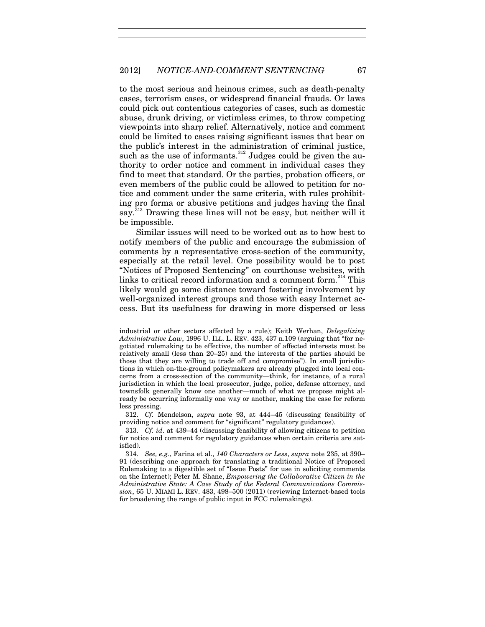to the most serious and heinous crimes, such as death-penalty cases, terrorism cases, or widespread financial frauds. Or laws could pick out contentious categories of cases, such as domestic abuse, drunk driving, or victimless crimes, to throw competing viewpoints into sharp relief. Alternatively, notice and comment could be limited to cases raising significant issues that bear on the public's interest in the administration of criminal justice, such as the use of informants. $312$  Judges could be given the authority to order notice and comment in individual cases they find to meet that standard. Or the parties, probation officers, or even members of the public could be allowed to petition for notice and comment under the same criteria, with rules prohibiting pro forma or abusive petitions and judges having the final say.<sup>[313](#page-67-1)</sup> Drawing these lines will not be easy, but neither will it be impossible.

Similar issues will need to be worked out as to how best to notify members of the public and encourage the submission of comments by a representative cross-section of the community, especially at the retail level. One possibility would be to post "Notices of Proposed Sentencing" on courthouse websites, with links to critical record information and a comment form.<sup>[314](#page-67-2)</sup> This likely would go some distance toward fostering involvement by well-organized interest groups and those with easy Internet access. But its usefulness for drawing in more dispersed or less

j

<span id="page-67-0"></span>312. *Cf.* Mendelson, *supra* note [93,](#page-24-0) at 444–45 (discussing feasibility of providing notice and comment for "significant" regulatory guidances).

<span id="page-67-1"></span>313. *Cf. id*. at 439–44 (discussing feasibility of allowing citizens to petition for notice and comment for regulatory guidances when certain criteria are satisfied).

industrial or other sectors affected by a rule); Keith Werhan, *Delegalizing Administrative Law*, 1996 U. ILL. L. REV. 423, 437 n.109 (arguing that "for negotiated rulemaking to be effective, the number of affected interests must be relatively small (less than 20–25) and the interests of the parties should be those that they are willing to trade off and compromise"). In small jurisdictions in which on-the-ground policymakers are already plugged into local concerns from a cross-section of the community—think, for instance, of a rural jurisdiction in which the local prosecutor, judge, police, defense attorney, and townsfolk generally know one another—much of what we propose might already be occurring informally one way or another, making the case for reform less pressing.

<span id="page-67-2"></span><sup>314.</sup> *See, e.g.*, Farina et al., *140 Characters or Less*, *supra* note [235,](#page-52-2) at 390– 91 (describing one approach for translating a traditional Notice of Proposed Rulemaking to a digestible set of "Issue Posts" for use in soliciting comments on the Internet); Peter M. Shane, *Empowering the Collaborative Citizen in the Administrative State: A Case Study of the Federal Communications Commission*, 65 U. MIAMI L. REV. 483, 498–500 (2011) (reviewing Internet-based tools for broadening the range of public input in FCC rulemakings).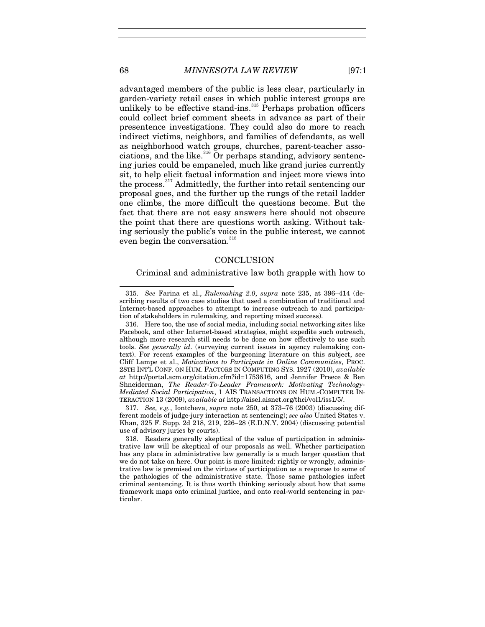advantaged members of the public is less clear, particularly in garden-variety retail cases in which public interest groups are unlikely to be effective stand-ins. $^{315}$  $^{315}$  $^{315}$  Perhaps probation officers could collect brief comment sheets in advance as part of their presentence investigations. They could also do more to reach indirect victims, neighbors, and families of defendants, as well as neighborhood watch groups, churches, parent-teacher associations, and the like. $316$  Or perhaps standing, advisory sentencing juries could be empaneled, much like grand juries currently sit, to help elicit factual information and inject more views into the process.<sup>[317](#page-68-2)</sup> Admittedly, the further into retail sentencing our proposal goes, and the further up the rungs of the retail ladder one climbs, the more difficult the questions become. But the fact that there are not easy answers here should not obscure the point that there are questions worth asking. Without taking seriously the public's voice in the public interest, we cannot even begin the conversation.<sup>[318](#page-68-3)</sup>

## **CONCLUSION**

Criminal and administrative law both grapple with how to

<span id="page-68-2"></span>317. *See, e.g.*, Iontcheva, *supra* note [250,](#page-56-1) at 373–76 (2003) (discussing different models of judge-jury interaction at sentencing); *see also* United States v. Khan, 325 F. Supp. 2d 218, 219, 226–28 (E.D.N.Y. 2004) (discussing potential use of advisory juries by courts).

<span id="page-68-0"></span><sup>315.</sup> *See* Farina et al., *Rulemaking 2.0*, *supra* note [235,](#page-52-2) at 396–414 (describing results of two case studies that used a combination of traditional and Internet-based approaches to attempt to increase outreach to and participation of stakeholders in rulemaking, and reporting mixed success).

<span id="page-68-1"></span><sup>316.</sup> Here too, the use of social media, including social networking sites like Facebook, and other Internet-based strategies, might expedite such outreach, although more research still needs to be done on how effectively to use such tools. *See generally id*. (surveying current issues in agency rulemaking context). For recent examples of the burgeoning literature on this subject, see Cliff Lampe et al., *Motivations to Participate in Online Communities*, PROC. 28TH INT'L CONF. ON HUM. FACTORS IN COMPUTING SYS. 1927 (2010), *available at* http://portal.acm.org/citation.cfm?id=1753616, and Jennifer Preece & Ben Shneiderman, *The Reader-To-Leader Framework: Motivating Technology-Mediated Social Participation*, 1 AIS TRANSACTIONS ON HUM.-COMPUTER IN-TERACTION 13 (2009), *available at* http://aisel.aisnet.org/thci/vol1/iss1/5/.

<span id="page-68-3"></span><sup>318.</sup> Readers generally skeptical of the value of participation in administrative law will be skeptical of our proposals as well. Whether participation has any place in administrative law generally is a much larger question that we do not take on here. Our point is more limited: rightly or wrongly, administrative law is premised on the virtues of participation as a response to some of the pathologies of the administrative state. Those same pathologies infect criminal sentencing. It is thus worth thinking seriously about how that same framework maps onto criminal justice, and onto real-world sentencing in particular.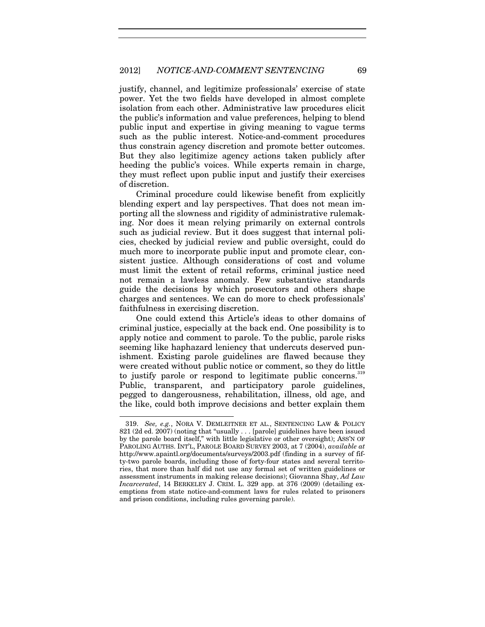justify, channel, and legitimize professionals' exercise of state power. Yet the two fields have developed in almost complete isolation from each other. Administrative law procedures elicit the public's information and value preferences, helping to blend public input and expertise in giving meaning to vague terms such as the public interest. Notice-and-comment procedures thus constrain agency discretion and promote better outcomes. But they also legitimize agency actions taken publicly after heeding the public's voices. While experts remain in charge, they must reflect upon public input and justify their exercises of discretion.

Criminal procedure could likewise benefit from explicitly blending expert and lay perspectives. That does not mean importing all the slowness and rigidity of administrative rulemaking. Nor does it mean relying primarily on external controls such as judicial review. But it does suggest that internal policies, checked by judicial review and public oversight, could do much more to incorporate public input and promote clear, consistent justice. Although considerations of cost and volume must limit the extent of retail reforms, criminal justice need not remain a lawless anomaly. Few substantive standards guide the decisions by which prosecutors and others shape charges and sentences. We can do more to check professionals' faithfulness in exercising discretion.

One could extend this Article's ideas to other domains of criminal justice, especially at the back end. One possibility is to apply notice and comment to parole. To the public, parole risks seeming like haphazard leniency that undercuts deserved punishment. Existing parole guidelines are flawed because they were created without public notice or comment, so they do little to justify parole or respond to legitimate public concerns. $319$ Public, transparent, and participatory parole guidelines, pegged to dangerousness, rehabilitation, illness, old age, and the like, could both improve decisions and better explain them

<span id="page-69-0"></span><sup>319.</sup> *See, e.g.*, NORA V. DEMLEITNER ET AL., SENTENCING LAW & POLICY 821 (2d ed. 2007) (noting that "usually . . . [parole] guidelines have been issued by the parole board itself," with little legislative or other oversight); ASS'N OF PAROLING AUTHS. INT'L, PAROLE BOARD SURVEY 2003, at 7 (2004), *available at* http://www.apaintl.org/documents/surveys/2003.pdf (finding in a survey of fifty-two parole boards, including those of forty-four states and several territories, that more than half did not use any formal set of written guidelines or assessment instruments in making release decisions); Giovanna Shay, *Ad Law Incarcerated*, 14 BERKELEY J. CRIM. L. 329 app. at 376 (2009) (detailing exemptions from state notice-and-comment laws for rules related to prisoners and prison conditions, including rules governing parole).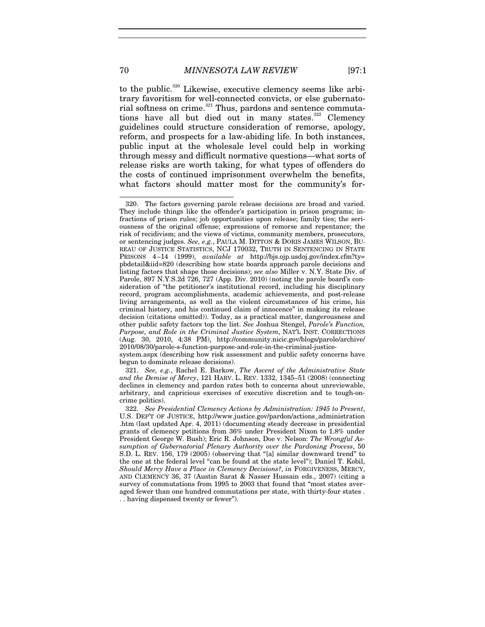to the public.<sup>[320](#page-70-0)</sup> Likewise, executive clemency seems like arbitrary favoritism for well-connected convicts, or else gubernato-rial softness on crime.<sup>[321](#page-70-1)</sup> Thus, pardons and sentence commuta-tions have all but died out in many states.<sup>[322](#page-70-2)</sup> Clemency guidelines could structure consideration of remorse, apology, reform, and prospects for a law-abiding life. In both instances, public input at the wholesale level could help in working through messy and difficult normative questions—what sorts of release risks are worth taking, for what types of offenders do the costs of continued imprisonment overwhelm the benefits, what factors should matter most for the community's for-

system.aspx (describing how risk assessment and public safety concerns have begun to dominate release decisions).

<span id="page-70-3"></span>

<span id="page-70-0"></span><sup>320.</sup> The factors governing parole release decisions are broad and varied. They include things like the offender's participation in prison programs; infractions of prison rules; job opportunities upon release; family ties; the seriousness of the original offense; expressions of remorse and repentance; the risk of recidivism; and the views of victims, community members, prosecutors, or sentencing judges. *See, e.g.*, PAULA M. DITTON & DORIS JAMES WILSON, BU-REAU OF JUSTICE STATISTICS, NCJ 170032, TRUTH IN SENTENCING IN STATE PRISONS 4–14 (1999), *available at* http://bjs.ojp.usdoj.gov/index.cfm?ty= pbdetail&iid=820 (describing how state boards approach parole decisions and listing factors that shape those decisions); *see also* Miller v. N.Y. State Div. of Parole, 897 N.Y.S.2d 726, 727 (App. Div. 2010) (noting the parole board's consideration of "the petitioner's institutional record, including his disciplinary record, program accomplishments, academic achievements, and post-release living arrangements, as well as the violent circumstances of his crime, his criminal history, and his continued claim of innocence" in making its release decision (citations omitted)). Today, as a practical matter, dangerousness and other public safety factors top the list. *See* Joshua Stengel, *Parole's Function, Purpose, and Role in the Criminal Justice System*, NAT'L INST. CORRECTIONS (Aug. 30, 2010, 4:38 PM), http://community.nicic.gov/blogs/parole/archive/ 2010/08/30/parole-s-function-purpose-and-role-in-the-criminal-justice-

<span id="page-70-1"></span><sup>321.</sup> *See, e.g.*, Rachel E. Barkow, *The Ascent of the Administrative State and the Demise of Mercy*, 121 HARV. L. REV. 1332, 1345–51 (2008) (connecting declines in clemency and pardon rates both to concerns about unreviewable, arbitrary, and capricious exercises of executive discretion and to tough-oncrime politics).

<span id="page-70-2"></span><sup>322.</sup> *See Presidential Clemency Actions by Administration: 1945 to Present*, U.S. DEP'T OF JUSTICE, http://www.justice.gov/pardon/actions\_administration .htm (last updated Apr. 4, 2011) (documenting steady decrease in presidential grants of clemency petitions from 36% under President Nixon to 1.8% under President George W. Bush); Eric R. Johnson, Doe v. Nelson: *The Wrongful Assumption of Gubernatorial Plenary Authority over the Pardoning Process*, 50 S.D. L. REV. 156, 179 (2005) (observing that "[a] similar downward trend" to the one at the federal level "can be found at the state level"); Daniel T. Kobil, *Should Mercy Have a Place in Clemency Decisions?*, *in* FORGIVENESS, MERCY, AND CLEMENCY 36, 37 (Austin Sarat & Nasser Hussain eds., 2007) (citing a survey of commutations from 1995 to 2003 that found that "most states averaged fewer than one hundred commutations per state, with thirty-four states . . . having dispensed twenty or fewer").